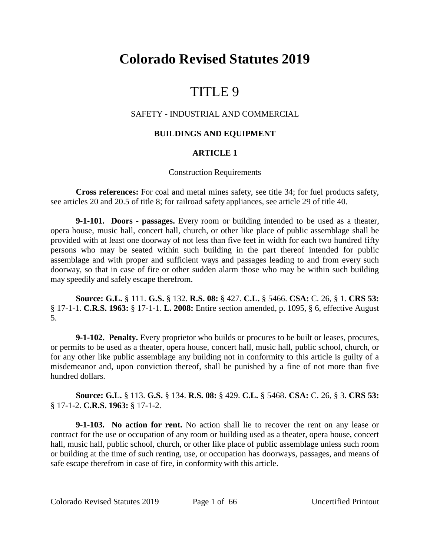# **Colorado Revised Statutes 2019**

# TITLE 9

# SAFETY - INDUSTRIAL AND COMMERCIAL

# **BUILDINGS AND EQUIPMENT**

# **ARTICLE 1**

## Construction Requirements

**Cross references:** For coal and metal mines safety, see title 34; for fuel products safety, see articles 20 and 20.5 of title 8; for railroad safety appliances, see article 29 of title 40.

**9-1-101. Doors - passages.** Every room or building intended to be used as a theater, opera house, music hall, concert hall, church, or other like place of public assemblage shall be provided with at least one doorway of not less than five feet in width for each two hundred fifty persons who may be seated within such building in the part thereof intended for public assemblage and with proper and sufficient ways and passages leading to and from every such doorway, so that in case of fire or other sudden alarm those who may be within such building may speedily and safely escape therefrom.

**Source: G.L.** § 111. **G.S.** § 132. **R.S. 08:** § 427. **C.L.** § 5466. **CSA:** C. 26, § 1. **CRS 53:** § 17-1-1. **C.R.S. 1963:** § 17-1-1. **L. 2008:** Entire section amended, p. 1095, § 6, effective August 5.

**9-1-102. Penalty.** Every proprietor who builds or procures to be built or leases, procures, or permits to be used as a theater, opera house, concert hall, music hall, public school, church, or for any other like public assemblage any building not in conformity to this article is guilty of a misdemeanor and, upon conviction thereof, shall be punished by a fine of not more than five hundred dollars.

**Source: G.L.** § 113. **G.S.** § 134. **R.S. 08:** § 429. **C.L.** § 5468. **CSA:** C. 26, § 3. **CRS 53:** § 17-1-2. **C.R.S. 1963:** § 17-1-2.

**9-1-103. No action for rent.** No action shall lie to recover the rent on any lease or contract for the use or occupation of any room or building used as a theater, opera house, concert hall, music hall, public school, church, or other like place of public assemblage unless such room or building at the time of such renting, use, or occupation has doorways, passages, and means of safe escape therefrom in case of fire, in conformity with this article.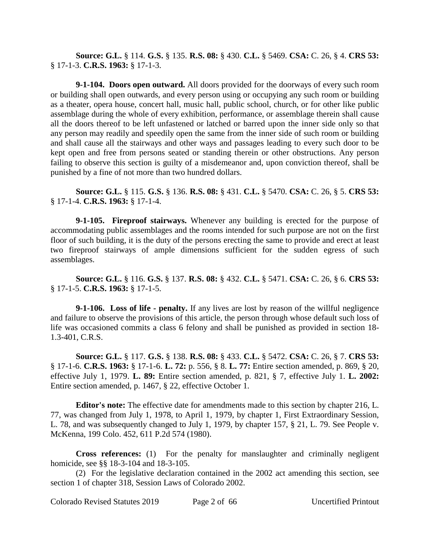**Source: G.L.** § 114. **G.S.** § 135. **R.S. 08:** § 430. **C.L.** § 5469. **CSA:** C. 26, § 4. **CRS 53:** § 17-1-3. **C.R.S. 1963:** § 17-1-3.

**9-1-104. Doors open outward.** All doors provided for the doorways of every such room or building shall open outwards, and every person using or occupying any such room or building as a theater, opera house, concert hall, music hall, public school, church, or for other like public assemblage during the whole of every exhibition, performance, or assemblage therein shall cause all the doors thereof to be left unfastened or latched or barred upon the inner side only so that any person may readily and speedily open the same from the inner side of such room or building and shall cause all the stairways and other ways and passages leading to every such door to be kept open and free from persons seated or standing therein or other obstructions. Any person failing to observe this section is guilty of a misdemeanor and, upon conviction thereof, shall be punished by a fine of not more than two hundred dollars.

**Source: G.L.** § 115. **G.S.** § 136. **R.S. 08:** § 431. **C.L.** § 5470. **CSA:** C. 26, § 5. **CRS 53:** § 17-1-4. **C.R.S. 1963:** § 17-1-4.

**9-1-105. Fireproof stairways.** Whenever any building is erected for the purpose of accommodating public assemblages and the rooms intended for such purpose are not on the first floor of such building, it is the duty of the persons erecting the same to provide and erect at least two fireproof stairways of ample dimensions sufficient for the sudden egress of such assemblages.

**Source: G.L.** § 116. **G.S.** § 137. **R.S. 08:** § 432. **C.L.** § 5471. **CSA:** C. 26, § 6. **CRS 53:** § 17-1-5. **C.R.S. 1963:** § 17-1-5.

**9-1-106. Loss of life - penalty.** If any lives are lost by reason of the willful negligence and failure to observe the provisions of this article, the person through whose default such loss of life was occasioned commits a class 6 felony and shall be punished as provided in section 18- 1.3-401, C.R.S.

**Source: G.L.** § 117. **G.S.** § 138. **R.S. 08:** § 433. **C.L.** § 5472. **CSA:** C. 26, § 7. **CRS 53:** § 17-1-6. **C.R.S. 1963:** § 17-1-6. **L. 72:** p. 556, § 8. **L. 77:** Entire section amended, p. 869, § 20, effective July 1, 1979. **L. 89:** Entire section amended, p. 821, § 7, effective July 1. **L. 2002:** Entire section amended, p. 1467, § 22, effective October 1.

**Editor's note:** The effective date for amendments made to this section by chapter 216, L. 77, was changed from July 1, 1978, to April 1, 1979, by chapter 1, First Extraordinary Session, L. 78, and was subsequently changed to July 1, 1979, by chapter 157, § 21, L. 79. See People v. McKenna, 199 Colo. 452, 611 P.2d 574 (1980).

**Cross references:** (1) For the penalty for manslaughter and criminally negligent homicide, see §§ 18-3-104 and 18-3-105.

(2) For the legislative declaration contained in the 2002 act amending this section, see section 1 of chapter 318, Session Laws of Colorado 2002.

Colorado Revised Statutes 2019 Page 2 of 66 Uncertified Printout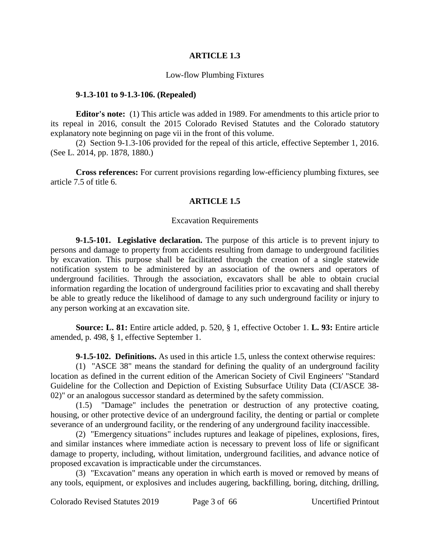#### **ARTICLE 1.3**

#### Low-flow Plumbing Fixtures

#### **9-1.3-101 to 9-1.3-106. (Repealed)**

**Editor's note:** (1) This article was added in 1989. For amendments to this article prior to its repeal in 2016, consult the 2015 Colorado Revised Statutes and the Colorado statutory explanatory note beginning on page vii in the front of this volume.

(2) Section 9-1.3-106 provided for the repeal of this article, effective September 1, 2016. (See L. 2014, pp. 1878, 1880.)

**Cross references:** For current provisions regarding low-efficiency plumbing fixtures, see article 7.5 of title 6.

## **ARTICLE 1.5**

#### Excavation Requirements

**9-1.5-101. Legislative declaration.** The purpose of this article is to prevent injury to persons and damage to property from accidents resulting from damage to underground facilities by excavation. This purpose shall be facilitated through the creation of a single statewide notification system to be administered by an association of the owners and operators of underground facilities. Through the association, excavators shall be able to obtain crucial information regarding the location of underground facilities prior to excavating and shall thereby be able to greatly reduce the likelihood of damage to any such underground facility or injury to any person working at an excavation site.

**Source: L. 81:** Entire article added, p. 520, § 1, effective October 1. **L. 93:** Entire article amended, p. 498, § 1, effective September 1.

**9-1.5-102. Definitions.** As used in this article 1.5, unless the context otherwise requires:

(1) "ASCE 38" means the standard for defining the quality of an underground facility location as defined in the current edition of the American Society of Civil Engineers' "Standard Guideline for the Collection and Depiction of Existing Subsurface Utility Data (CI/ASCE 38- 02)" or an analogous successor standard as determined by the safety commission.

(1.5) "Damage" includes the penetration or destruction of any protective coating, housing, or other protective device of an underground facility, the denting or partial or complete severance of an underground facility, or the rendering of any underground facility inaccessible.

(2) "Emergency situations" includes ruptures and leakage of pipelines, explosions, fires, and similar instances where immediate action is necessary to prevent loss of life or significant damage to property, including, without limitation, underground facilities, and advance notice of proposed excavation is impracticable under the circumstances.

(3) "Excavation" means any operation in which earth is moved or removed by means of any tools, equipment, or explosives and includes augering, backfilling, boring, ditching, drilling,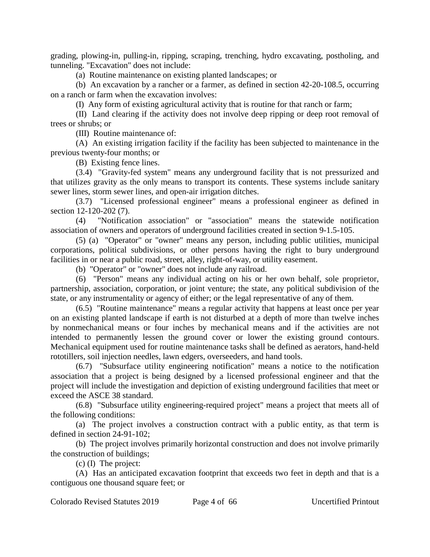grading, plowing-in, pulling-in, ripping, scraping, trenching, hydro excavating, postholing, and tunneling. "Excavation" does not include:

(a) Routine maintenance on existing planted landscapes; or

(b) An excavation by a rancher or a farmer, as defined in section 42-20-108.5, occurring on a ranch or farm when the excavation involves:

(I) Any form of existing agricultural activity that is routine for that ranch or farm;

(II) Land clearing if the activity does not involve deep ripping or deep root removal of trees or shrubs; or

(III) Routine maintenance of:

(A) An existing irrigation facility if the facility has been subjected to maintenance in the previous twenty-four months; or

(B) Existing fence lines.

(3.4) "Gravity-fed system" means any underground facility that is not pressurized and that utilizes gravity as the only means to transport its contents. These systems include sanitary sewer lines, storm sewer lines, and open-air irrigation ditches.

(3.7) "Licensed professional engineer" means a professional engineer as defined in section 12-120-202 (7).

(4) "Notification association" or "association" means the statewide notification association of owners and operators of underground facilities created in section 9-1.5-105.

(5) (a) "Operator" or "owner" means any person, including public utilities, municipal corporations, political subdivisions, or other persons having the right to bury underground facilities in or near a public road, street, alley, right-of-way, or utility easement.

(b) "Operator" or "owner" does not include any railroad.

(6) "Person" means any individual acting on his or her own behalf, sole proprietor, partnership, association, corporation, or joint venture; the state, any political subdivision of the state, or any instrumentality or agency of either; or the legal representative of any of them.

(6.5) "Routine maintenance" means a regular activity that happens at least once per year on an existing planted landscape if earth is not disturbed at a depth of more than twelve inches by nonmechanical means or four inches by mechanical means and if the activities are not intended to permanently lessen the ground cover or lower the existing ground contours. Mechanical equipment used for routine maintenance tasks shall be defined as aerators, hand-held rototillers, soil injection needles, lawn edgers, overseeders, and hand tools.

(6.7) "Subsurface utility engineering notification" means a notice to the notification association that a project is being designed by a licensed professional engineer and that the project will include the investigation and depiction of existing underground facilities that meet or exceed the ASCE 38 standard.

(6.8) "Subsurface utility engineering-required project" means a project that meets all of the following conditions:

(a) The project involves a construction contract with a public entity, as that term is defined in section 24-91-102;

(b) The project involves primarily horizontal construction and does not involve primarily the construction of buildings;

(c) (I) The project:

(A) Has an anticipated excavation footprint that exceeds two feet in depth and that is a contiguous one thousand square feet; or

Colorado Revised Statutes 2019 Page 4 of 66 Uncertified Printout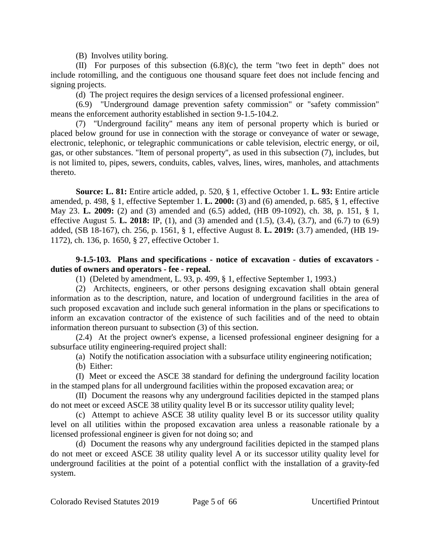(B) Involves utility boring.

(II) For purposes of this subsection (6.8)(c), the term "two feet in depth" does not include rotomilling, and the contiguous one thousand square feet does not include fencing and signing projects.

(d) The project requires the design services of a licensed professional engineer.

(6.9) "Underground damage prevention safety commission" or "safety commission" means the enforcement authority established in section 9-1.5-104.2.

(7) "Underground facility" means any item of personal property which is buried or placed below ground for use in connection with the storage or conveyance of water or sewage, electronic, telephonic, or telegraphic communications or cable television, electric energy, or oil, gas, or other substances. "Item of personal property", as used in this subsection (7), includes, but is not limited to, pipes, sewers, conduits, cables, valves, lines, wires, manholes, and attachments thereto.

**Source: L. 81:** Entire article added, p. 520, § 1, effective October 1. **L. 93:** Entire article amended, p. 498, § 1, effective September 1. **L. 2000:** (3) and (6) amended, p. 685, § 1, effective May 23. **L. 2009:** (2) and (3) amended and (6.5) added, (HB 09-1092), ch. 38, p. 151, § 1, effective August 5. **L. 2018:** IP, (1), and (3) amended and (1.5), (3.4), (3.7), and (6.7) to (6.9) added, (SB 18-167), ch. 256, p. 1561, § 1, effective August 8. **L. 2019:** (3.7) amended, (HB 19- 1172), ch. 136, p. 1650, § 27, effective October 1.

# **9-1.5-103. Plans and specifications - notice of excavation - duties of excavators duties of owners and operators - fee - repeal.**

(1) (Deleted by amendment, L. 93, p. 499, § 1, effective September 1, 1993.)

(2) Architects, engineers, or other persons designing excavation shall obtain general information as to the description, nature, and location of underground facilities in the area of such proposed excavation and include such general information in the plans or specifications to inform an excavation contractor of the existence of such facilities and of the need to obtain information thereon pursuant to subsection (3) of this section.

(2.4) At the project owner's expense, a licensed professional engineer designing for a subsurface utility engineering-required project shall:

(a) Notify the notification association with a subsurface utility engineering notification;

(b) Either:

(I) Meet or exceed the ASCE 38 standard for defining the underground facility location in the stamped plans for all underground facilities within the proposed excavation area; or

(II) Document the reasons why any underground facilities depicted in the stamped plans do not meet or exceed ASCE 38 utility quality level B or its successor utility quality level;

(c) Attempt to achieve ASCE 38 utility quality level B or its successor utility quality level on all utilities within the proposed excavation area unless a reasonable rationale by a licensed professional engineer is given for not doing so; and

(d) Document the reasons why any underground facilities depicted in the stamped plans do not meet or exceed ASCE 38 utility quality level A or its successor utility quality level for underground facilities at the point of a potential conflict with the installation of a gravity-fed system.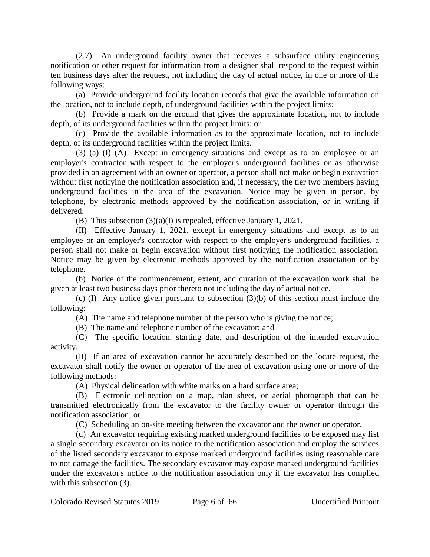(2.7) An underground facility owner that receives a subsurface utility engineering notification or other request for information from a designer shall respond to the request within ten business days after the request, not including the day of actual notice, in one or more of the following ways:

(a) Provide underground facility location records that give the available information on the location, not to include depth, of underground facilities within the project limits;

(b) Provide a mark on the ground that gives the approximate location, not to include depth, of its underground facilities within the project limits; or

(c) Provide the available information as to the approximate location, not to include depth, of its underground facilities within the project limits.

(3) (a) (I) (A) Except in emergency situations and except as to an employee or an employer's contractor with respect to the employer's underground facilities or as otherwise provided in an agreement with an owner or operator, a person shall not make or begin excavation without first notifying the notification association and, if necessary, the tier two members having underground facilities in the area of the excavation. Notice may be given in person, by telephone, by electronic methods approved by the notification association, or in writing if delivered.

(B) This subsection (3)(a)(I) is repealed, effective January 1, 2021.

(II) Effective January 1, 2021, except in emergency situations and except as to an employee or an employer's contractor with respect to the employer's underground facilities, a person shall not make or begin excavation without first notifying the notification association. Notice may be given by electronic methods approved by the notification association or by telephone.

(b) Notice of the commencement, extent, and duration of the excavation work shall be given at least two business days prior thereto not including the day of actual notice.

(c) (I) Any notice given pursuant to subsection (3)(b) of this section must include the following:

(A) The name and telephone number of the person who is giving the notice;

(B) The name and telephone number of the excavator; and

(C) The specific location, starting date, and description of the intended excavation activity.

(II) If an area of excavation cannot be accurately described on the locate request, the excavator shall notify the owner or operator of the area of excavation using one or more of the following methods:

(A) Physical delineation with white marks on a hard surface area;

(B) Electronic delineation on a map, plan sheet, or aerial photograph that can be transmitted electronically from the excavator to the facility owner or operator through the notification association; or

(C) Scheduling an on-site meeting between the excavator and the owner or operator.

(d) An excavator requiring existing marked underground facilities to be exposed may list a single secondary excavator on its notice to the notification association and employ the services of the listed secondary excavator to expose marked underground facilities using reasonable care to not damage the facilities. The secondary excavator may expose marked underground facilities under the excavator's notice to the notification association only if the excavator has complied with this subsection  $(3)$ .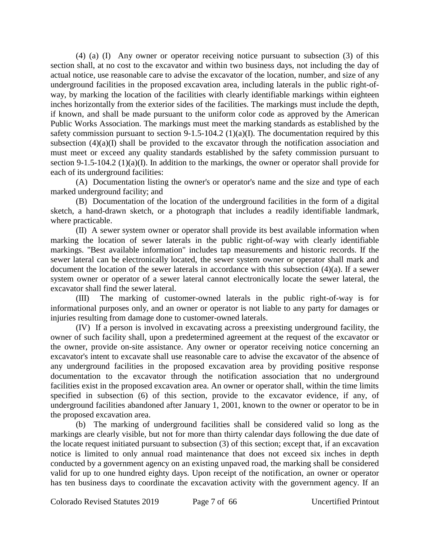(4) (a) (I) Any owner or operator receiving notice pursuant to subsection (3) of this section shall, at no cost to the excavator and within two business days, not including the day of actual notice, use reasonable care to advise the excavator of the location, number, and size of any underground facilities in the proposed excavation area, including laterals in the public right-ofway, by marking the location of the facilities with clearly identifiable markings within eighteen inches horizontally from the exterior sides of the facilities. The markings must include the depth, if known, and shall be made pursuant to the uniform color code as approved by the American Public Works Association. The markings must meet the marking standards as established by the safety commission pursuant to section 9-1.5-104.2 (1)(a)(I). The documentation required by this subsection  $(4)(a)(I)$  shall be provided to the excavator through the notification association and must meet or exceed any quality standards established by the safety commission pursuant to section 9-1.5-104.2 (1)(a)(I). In addition to the markings, the owner or operator shall provide for each of its underground facilities:

(A) Documentation listing the owner's or operator's name and the size and type of each marked underground facility; and

(B) Documentation of the location of the underground facilities in the form of a digital sketch, a hand-drawn sketch, or a photograph that includes a readily identifiable landmark, where practicable.

(II) A sewer system owner or operator shall provide its best available information when marking the location of sewer laterals in the public right-of-way with clearly identifiable markings. "Best available information" includes tap measurements and historic records. If the sewer lateral can be electronically located, the sewer system owner or operator shall mark and document the location of the sewer laterals in accordance with this subsection (4)(a). If a sewer system owner or operator of a sewer lateral cannot electronically locate the sewer lateral, the excavator shall find the sewer lateral.

(III) The marking of customer-owned laterals in the public right-of-way is for informational purposes only, and an owner or operator is not liable to any party for damages or injuries resulting from damage done to customer-owned laterals.

(IV) If a person is involved in excavating across a preexisting underground facility, the owner of such facility shall, upon a predetermined agreement at the request of the excavator or the owner, provide on-site assistance. Any owner or operator receiving notice concerning an excavator's intent to excavate shall use reasonable care to advise the excavator of the absence of any underground facilities in the proposed excavation area by providing positive response documentation to the excavator through the notification association that no underground facilities exist in the proposed excavation area. An owner or operator shall, within the time limits specified in subsection (6) of this section, provide to the excavator evidence, if any, of underground facilities abandoned after January 1, 2001, known to the owner or operator to be in the proposed excavation area.

(b) The marking of underground facilities shall be considered valid so long as the markings are clearly visible, but not for more than thirty calendar days following the due date of the locate request initiated pursuant to subsection (3) of this section; except that, if an excavation notice is limited to only annual road maintenance that does not exceed six inches in depth conducted by a government agency on an existing unpaved road, the marking shall be considered valid for up to one hundred eighty days. Upon receipt of the notification, an owner or operator has ten business days to coordinate the excavation activity with the government agency. If an

Colorado Revised Statutes 2019 Page 7 of 66 Uncertified Printout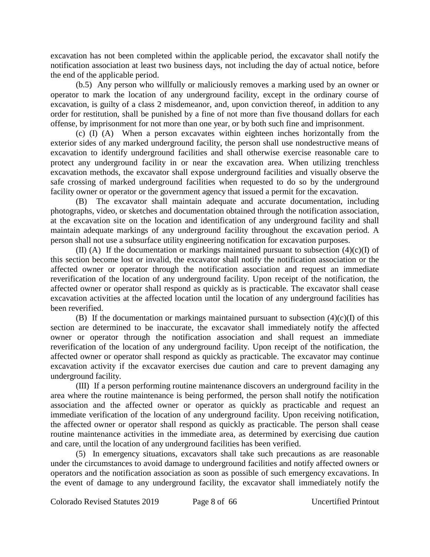excavation has not been completed within the applicable period, the excavator shall notify the notification association at least two business days, not including the day of actual notice, before the end of the applicable period.

(b.5) Any person who willfully or maliciously removes a marking used by an owner or operator to mark the location of any underground facility, except in the ordinary course of excavation, is guilty of a class 2 misdemeanor, and, upon conviction thereof, in addition to any order for restitution, shall be punished by a fine of not more than five thousand dollars for each offense, by imprisonment for not more than one year, or by both such fine and imprisonment.

(c) (I) (A) When a person excavates within eighteen inches horizontally from the exterior sides of any marked underground facility, the person shall use nondestructive means of excavation to identify underground facilities and shall otherwise exercise reasonable care to protect any underground facility in or near the excavation area. When utilizing trenchless excavation methods, the excavator shall expose underground facilities and visually observe the safe crossing of marked underground facilities when requested to do so by the underground facility owner or operator or the government agency that issued a permit for the excavation.

(B) The excavator shall maintain adequate and accurate documentation, including photographs, video, or sketches and documentation obtained through the notification association, at the excavation site on the location and identification of any underground facility and shall maintain adequate markings of any underground facility throughout the excavation period. A person shall not use a subsurface utility engineering notification for excavation purposes.

(II) (A) If the documentation or markings maintained pursuant to subsection  $(4)(c)(I)$  of this section become lost or invalid, the excavator shall notify the notification association or the affected owner or operator through the notification association and request an immediate reverification of the location of any underground facility. Upon receipt of the notification, the affected owner or operator shall respond as quickly as is practicable. The excavator shall cease excavation activities at the affected location until the location of any underground facilities has been reverified.

(B) If the documentation or markings maintained pursuant to subsection  $(4)(c)(I)$  of this section are determined to be inaccurate, the excavator shall immediately notify the affected owner or operator through the notification association and shall request an immediate reverification of the location of any underground facility. Upon receipt of the notification, the affected owner or operator shall respond as quickly as practicable. The excavator may continue excavation activity if the excavator exercises due caution and care to prevent damaging any underground facility.

(III) If a person performing routine maintenance discovers an underground facility in the area where the routine maintenance is being performed, the person shall notify the notification association and the affected owner or operator as quickly as practicable and request an immediate verification of the location of any underground facility. Upon receiving notification, the affected owner or operator shall respond as quickly as practicable. The person shall cease routine maintenance activities in the immediate area, as determined by exercising due caution and care, until the location of any underground facilities has been verified.

(5) In emergency situations, excavators shall take such precautions as are reasonable under the circumstances to avoid damage to underground facilities and notify affected owners or operators and the notification association as soon as possible of such emergency excavations. In the event of damage to any underground facility, the excavator shall immediately notify the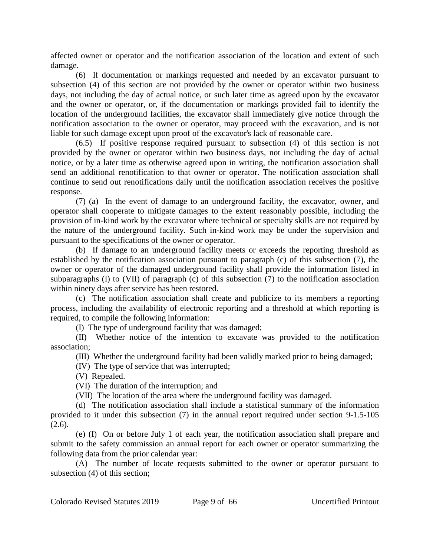affected owner or operator and the notification association of the location and extent of such damage.

(6) If documentation or markings requested and needed by an excavator pursuant to subsection (4) of this section are not provided by the owner or operator within two business days, not including the day of actual notice, or such later time as agreed upon by the excavator and the owner or operator, or, if the documentation or markings provided fail to identify the location of the underground facilities, the excavator shall immediately give notice through the notification association to the owner or operator, may proceed with the excavation, and is not liable for such damage except upon proof of the excavator's lack of reasonable care.

(6.5) If positive response required pursuant to subsection (4) of this section is not provided by the owner or operator within two business days, not including the day of actual notice, or by a later time as otherwise agreed upon in writing, the notification association shall send an additional renotification to that owner or operator. The notification association shall continue to send out renotifications daily until the notification association receives the positive response.

(7) (a) In the event of damage to an underground facility, the excavator, owner, and operator shall cooperate to mitigate damages to the extent reasonably possible, including the provision of in-kind work by the excavator where technical or specialty skills are not required by the nature of the underground facility. Such in-kind work may be under the supervision and pursuant to the specifications of the owner or operator.

(b) If damage to an underground facility meets or exceeds the reporting threshold as established by the notification association pursuant to paragraph (c) of this subsection (7), the owner or operator of the damaged underground facility shall provide the information listed in subparagraphs (I) to (VII) of paragraph (c) of this subsection (7) to the notification association within ninety days after service has been restored.

(c) The notification association shall create and publicize to its members a reporting process, including the availability of electronic reporting and a threshold at which reporting is required, to compile the following information:

(I) The type of underground facility that was damaged;

(II) Whether notice of the intention to excavate was provided to the notification association;

(III) Whether the underground facility had been validly marked prior to being damaged;

(IV) The type of service that was interrupted;

(V) Repealed.

(VI) The duration of the interruption; and

(VII) The location of the area where the underground facility was damaged.

(d) The notification association shall include a statistical summary of the information provided to it under this subsection (7) in the annual report required under section 9-1.5-105  $(2.6)$ .

(e) (I) On or before July 1 of each year, the notification association shall prepare and submit to the safety commission an annual report for each owner or operator summarizing the following data from the prior calendar year:

(A) The number of locate requests submitted to the owner or operator pursuant to subsection (4) of this section;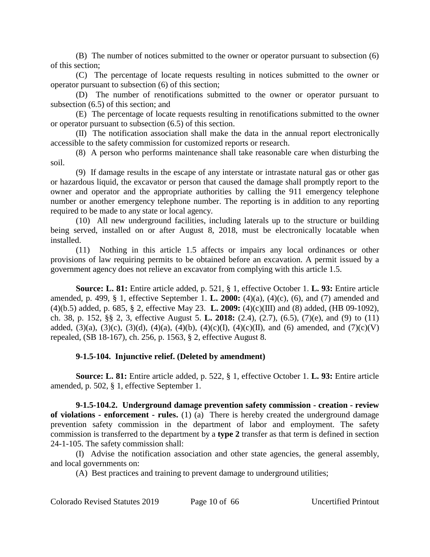(B) The number of notices submitted to the owner or operator pursuant to subsection (6) of this section;

(C) The percentage of locate requests resulting in notices submitted to the owner or operator pursuant to subsection (6) of this section;

(D) The number of renotifications submitted to the owner or operator pursuant to subsection (6.5) of this section; and

(E) The percentage of locate requests resulting in renotifications submitted to the owner or operator pursuant to subsection (6.5) of this section.

(II) The notification association shall make the data in the annual report electronically accessible to the safety commission for customized reports or research.

(8) A person who performs maintenance shall take reasonable care when disturbing the soil.

(9) If damage results in the escape of any interstate or intrastate natural gas or other gas or hazardous liquid, the excavator or person that caused the damage shall promptly report to the owner and operator and the appropriate authorities by calling the 911 emergency telephone number or another emergency telephone number. The reporting is in addition to any reporting required to be made to any state or local agency.

(10) All new underground facilities, including laterals up to the structure or building being served, installed on or after August 8, 2018, must be electronically locatable when installed.

(11) Nothing in this article 1.5 affects or impairs any local ordinances or other provisions of law requiring permits to be obtained before an excavation. A permit issued by a government agency does not relieve an excavator from complying with this article 1.5.

**Source: L. 81:** Entire article added, p. 521, § 1, effective October 1. **L. 93:** Entire article amended, p. 499, § 1, effective September 1. **L. 2000:** (4)(a), (4)(c), (6), and (7) amended and (4)(b.5) added, p. 685, § 2, effective May 23. **L. 2009:** (4)(c)(III) and (8) added, (HB 09-1092), ch. 38, p. 152, §§ 2, 3, effective August 5. **L. 2018:** (2.4), (2.7), (6.5), (7)(e), and (9) to (11) added, (3)(a), (3)(c), (3)(d), (4)(a), (4)(b), (4)(c)(I), (4)(c)(II), and (6) amended, and (7)(c)(V) repealed, (SB 18-167), ch. 256, p. 1563, § 2, effective August 8.

# **9-1.5-104. Injunctive relief. (Deleted by amendment)**

**Source: L. 81:** Entire article added, p. 522, § 1, effective October 1. **L. 93:** Entire article amended, p. 502, § 1, effective September 1.

**9-1.5-104.2. Underground damage prevention safety commission - creation - review of violations - enforcement - rules.** (1) (a) There is hereby created the underground damage prevention safety commission in the department of labor and employment. The safety commission is transferred to the department by a **type 2** transfer as that term is defined in section 24-1-105. The safety commission shall:

(I) Advise the notification association and other state agencies, the general assembly, and local governments on:

(A) Best practices and training to prevent damage to underground utilities;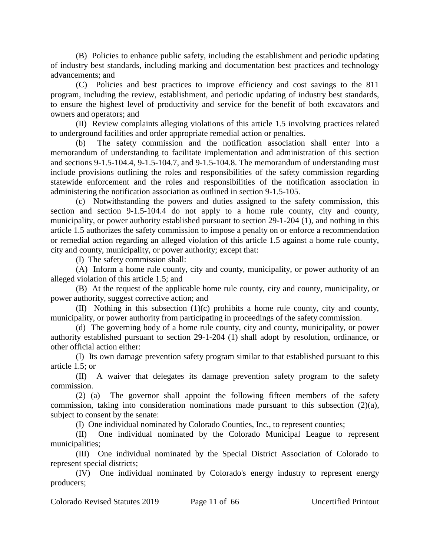(B) Policies to enhance public safety, including the establishment and periodic updating of industry best standards, including marking and documentation best practices and technology advancements; and

(C) Policies and best practices to improve efficiency and cost savings to the 811 program, including the review, establishment, and periodic updating of industry best standards, to ensure the highest level of productivity and service for the benefit of both excavators and owners and operators; and

(II) Review complaints alleging violations of this article 1.5 involving practices related to underground facilities and order appropriate remedial action or penalties.

(b) The safety commission and the notification association shall enter into a memorandum of understanding to facilitate implementation and administration of this section and sections 9-1.5-104.4, 9-1.5-104.7, and 9-1.5-104.8. The memorandum of understanding must include provisions outlining the roles and responsibilities of the safety commission regarding statewide enforcement and the roles and responsibilities of the notification association in administering the notification association as outlined in section 9-1.5-105.

(c) Notwithstanding the powers and duties assigned to the safety commission, this section and section 9-1.5-104.4 do not apply to a home rule county, city and county, municipality, or power authority established pursuant to section 29-1-204 (1), and nothing in this article 1.5 authorizes the safety commission to impose a penalty on or enforce a recommendation or remedial action regarding an alleged violation of this article 1.5 against a home rule county, city and county, municipality, or power authority; except that:

(I) The safety commission shall:

(A) Inform a home rule county, city and county, municipality, or power authority of an alleged violation of this article 1.5; and

(B) At the request of the applicable home rule county, city and county, municipality, or power authority, suggest corrective action; and

(II) Nothing in this subsection (1)(c) prohibits a home rule county, city and county, municipality, or power authority from participating in proceedings of the safety commission.

(d) The governing body of a home rule county, city and county, municipality, or power authority established pursuant to section 29-1-204 (1) shall adopt by resolution, ordinance, or other official action either:

(I) Its own damage prevention safety program similar to that established pursuant to this article 1.5; or

(II) A waiver that delegates its damage prevention safety program to the safety commission.

(2) (a) The governor shall appoint the following fifteen members of the safety commission, taking into consideration nominations made pursuant to this subsection (2)(a), subject to consent by the senate:

(I) One individual nominated by Colorado Counties, Inc., to represent counties;

(II) One individual nominated by the Colorado Municipal League to represent municipalities;

(III) One individual nominated by the Special District Association of Colorado to represent special districts;

(IV) One individual nominated by Colorado's energy industry to represent energy producers;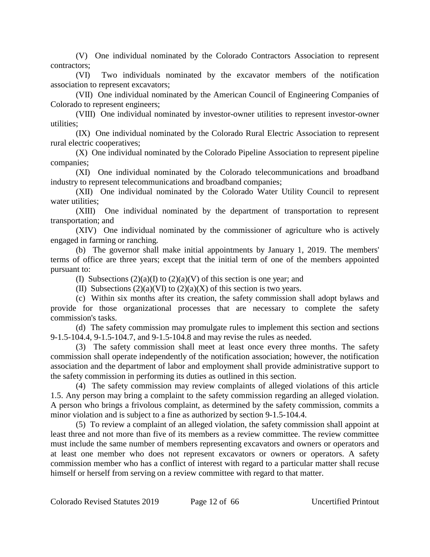(V) One individual nominated by the Colorado Contractors Association to represent contractors;

(VI) Two individuals nominated by the excavator members of the notification association to represent excavators;

(VII) One individual nominated by the American Council of Engineering Companies of Colorado to represent engineers;

(VIII) One individual nominated by investor-owner utilities to represent investor-owner utilities;

(IX) One individual nominated by the Colorado Rural Electric Association to represent rural electric cooperatives;

(X) One individual nominated by the Colorado Pipeline Association to represent pipeline companies;

(XI) One individual nominated by the Colorado telecommunications and broadband industry to represent telecommunications and broadband companies;

(XII) One individual nominated by the Colorado Water Utility Council to represent water utilities;

(XIII) One individual nominated by the department of transportation to represent transportation; and

(XIV) One individual nominated by the commissioner of agriculture who is actively engaged in farming or ranching.

(b) The governor shall make initial appointments by January 1, 2019. The members' terms of office are three years; except that the initial term of one of the members appointed pursuant to:

(I) Subsections  $(2)(a)(I)$  to  $(2)(a)(V)$  of this section is one year; and

(II) Subsections  $(2)(a)(VI)$  to  $(2)(a)(X)$  of this section is two years.

(c) Within six months after its creation, the safety commission shall adopt bylaws and provide for those organizational processes that are necessary to complete the safety commission's tasks.

(d) The safety commission may promulgate rules to implement this section and sections 9-1.5-104.4, 9-1.5-104.7, and 9-1.5-104.8 and may revise the rules as needed.

(3) The safety commission shall meet at least once every three months. The safety commission shall operate independently of the notification association; however, the notification association and the department of labor and employment shall provide administrative support to the safety commission in performing its duties as outlined in this section.

(4) The safety commission may review complaints of alleged violations of this article 1.5. Any person may bring a complaint to the safety commission regarding an alleged violation. A person who brings a frivolous complaint, as determined by the safety commission, commits a minor violation and is subject to a fine as authorized by section 9-1.5-104.4.

(5) To review a complaint of an alleged violation, the safety commission shall appoint at least three and not more than five of its members as a review committee. The review committee must include the same number of members representing excavators and owners or operators and at least one member who does not represent excavators or owners or operators. A safety commission member who has a conflict of interest with regard to a particular matter shall recuse himself or herself from serving on a review committee with regard to that matter.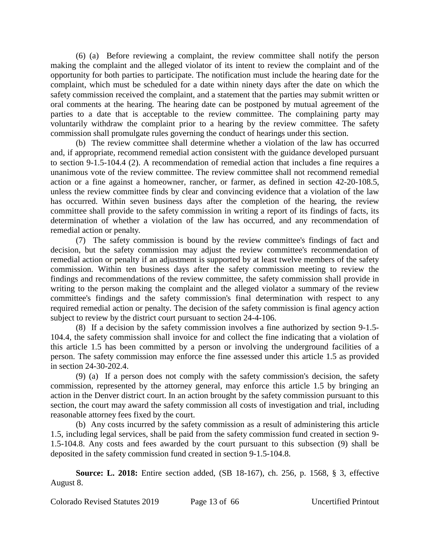(6) (a) Before reviewing a complaint, the review committee shall notify the person making the complaint and the alleged violator of its intent to review the complaint and of the opportunity for both parties to participate. The notification must include the hearing date for the complaint, which must be scheduled for a date within ninety days after the date on which the safety commission received the complaint, and a statement that the parties may submit written or oral comments at the hearing. The hearing date can be postponed by mutual agreement of the parties to a date that is acceptable to the review committee. The complaining party may voluntarily withdraw the complaint prior to a hearing by the review committee. The safety commission shall promulgate rules governing the conduct of hearings under this section.

(b) The review committee shall determine whether a violation of the law has occurred and, if appropriate, recommend remedial action consistent with the guidance developed pursuant to section 9-1.5-104.4 (2). A recommendation of remedial action that includes a fine requires a unanimous vote of the review committee. The review committee shall not recommend remedial action or a fine against a homeowner, rancher, or farmer, as defined in section 42-20-108.5, unless the review committee finds by clear and convincing evidence that a violation of the law has occurred. Within seven business days after the completion of the hearing, the review committee shall provide to the safety commission in writing a report of its findings of facts, its determination of whether a violation of the law has occurred, and any recommendation of remedial action or penalty.

(7) The safety commission is bound by the review committee's findings of fact and decision, but the safety commission may adjust the review committee's recommendation of remedial action or penalty if an adjustment is supported by at least twelve members of the safety commission. Within ten business days after the safety commission meeting to review the findings and recommendations of the review committee, the safety commission shall provide in writing to the person making the complaint and the alleged violator a summary of the review committee's findings and the safety commission's final determination with respect to any required remedial action or penalty. The decision of the safety commission is final agency action subject to review by the district court pursuant to section 24-4-106.

(8) If a decision by the safety commission involves a fine authorized by section 9-1.5- 104.4, the safety commission shall invoice for and collect the fine indicating that a violation of this article 1.5 has been committed by a person or involving the underground facilities of a person. The safety commission may enforce the fine assessed under this article 1.5 as provided in section 24-30-202.4.

(9) (a) If a person does not comply with the safety commission's decision, the safety commission, represented by the attorney general, may enforce this article 1.5 by bringing an action in the Denver district court. In an action brought by the safety commission pursuant to this section, the court may award the safety commission all costs of investigation and trial, including reasonable attorney fees fixed by the court.

(b) Any costs incurred by the safety commission as a result of administering this article 1.5, including legal services, shall be paid from the safety commission fund created in section 9- 1.5-104.8. Any costs and fees awarded by the court pursuant to this subsection (9) shall be deposited in the safety commission fund created in section 9-1.5-104.8.

**Source: L. 2018:** Entire section added, (SB 18-167), ch. 256, p. 1568, § 3, effective August 8.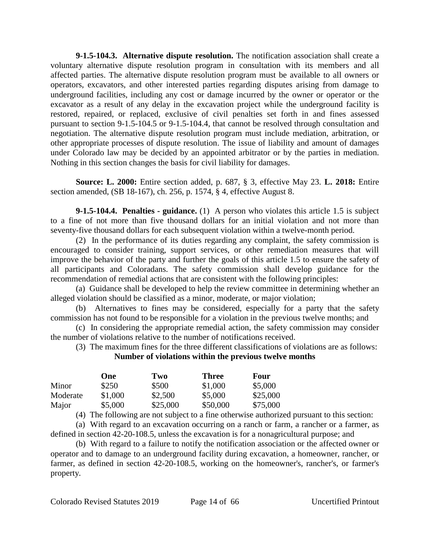**9-1.5-104.3. Alternative dispute resolution.** The notification association shall create a voluntary alternative dispute resolution program in consultation with its members and all affected parties. The alternative dispute resolution program must be available to all owners or operators, excavators, and other interested parties regarding disputes arising from damage to underground facilities, including any cost or damage incurred by the owner or operator or the excavator as a result of any delay in the excavation project while the underground facility is restored, repaired, or replaced, exclusive of civil penalties set forth in and fines assessed pursuant to section 9-1.5-104.5 or 9-1.5-104.4, that cannot be resolved through consultation and negotiation. The alternative dispute resolution program must include mediation, arbitration, or other appropriate processes of dispute resolution. The issue of liability and amount of damages under Colorado law may be decided by an appointed arbitrator or by the parties in mediation. Nothing in this section changes the basis for civil liability for damages.

**Source: L. 2000:** Entire section added, p. 687, § 3, effective May 23. **L. 2018:** Entire section amended, (SB 18-167), ch. 256, p. 1574, § 4, effective August 8.

**9-1.5-104.4. Penalties - guidance.** (1) A person who violates this article 1.5 is subject to a fine of not more than five thousand dollars for an initial violation and not more than seventy-five thousand dollars for each subsequent violation within a twelve-month period.

(2) In the performance of its duties regarding any complaint, the safety commission is encouraged to consider training, support services, or other remediation measures that will improve the behavior of the party and further the goals of this article 1.5 to ensure the safety of all participants and Coloradans. The safety commission shall develop guidance for the recommendation of remedial actions that are consistent with the following principles:

(a) Guidance shall be developed to help the review committee in determining whether an alleged violation should be classified as a minor, moderate, or major violation;

(b) Alternatives to fines may be considered, especially for a party that the safety commission has not found to be responsible for a violation in the previous twelve months; and

(c) In considering the appropriate remedial action, the safety commission may consider the number of violations relative to the number of notifications received.

(3) The maximum fines for the three different classifications of violations are as follows: **Number of violations within the previous twelve months**

|          | One     | Two      | <b>Three</b> | Four     |
|----------|---------|----------|--------------|----------|
| Minor    | \$250   | \$500    | \$1,000      | \$5,000  |
| Moderate | \$1,000 | \$2,500  | \$5,000      | \$25,000 |
| Major    | \$5,000 | \$25,000 | \$50,000     | \$75,000 |

(4) The following are not subject to a fine otherwise authorized pursuant to this section:

(a) With regard to an excavation occurring on a ranch or farm, a rancher or a farmer, as defined in section 42-20-108.5, unless the excavation is for a nonagricultural purpose; and

(b) With regard to a failure to notify the notification association or the affected owner or operator and to damage to an underground facility during excavation, a homeowner, rancher, or farmer, as defined in section 42-20-108.5, working on the homeowner's, rancher's, or farmer's property.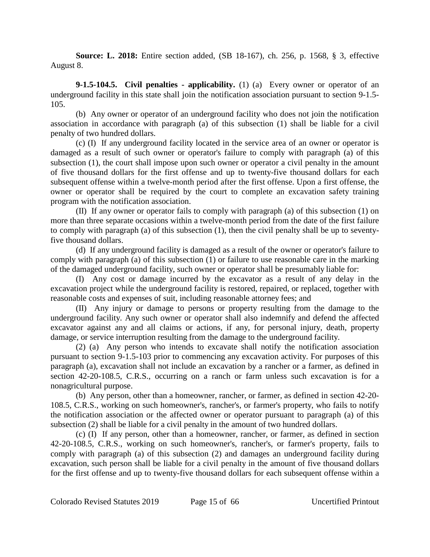**Source: L. 2018:** Entire section added, (SB 18-167), ch. 256, p. 1568, § 3, effective August 8.

**9-1.5-104.5. Civil penalties - applicability.** (1) (a) Every owner or operator of an underground facility in this state shall join the notification association pursuant to section 9-1.5- 105.

(b) Any owner or operator of an underground facility who does not join the notification association in accordance with paragraph (a) of this subsection (1) shall be liable for a civil penalty of two hundred dollars.

(c) (I) If any underground facility located in the service area of an owner or operator is damaged as a result of such owner or operator's failure to comply with paragraph (a) of this subsection (1), the court shall impose upon such owner or operator a civil penalty in the amount of five thousand dollars for the first offense and up to twenty-five thousand dollars for each subsequent offense within a twelve-month period after the first offense. Upon a first offense, the owner or operator shall be required by the court to complete an excavation safety training program with the notification association.

(II) If any owner or operator fails to comply with paragraph (a) of this subsection (1) on more than three separate occasions within a twelve-month period from the date of the first failure to comply with paragraph (a) of this subsection (1), then the civil penalty shall be up to seventyfive thousand dollars.

(d) If any underground facility is damaged as a result of the owner or operator's failure to comply with paragraph (a) of this subsection (1) or failure to use reasonable care in the marking of the damaged underground facility, such owner or operator shall be presumably liable for:

(I) Any cost or damage incurred by the excavator as a result of any delay in the excavation project while the underground facility is restored, repaired, or replaced, together with reasonable costs and expenses of suit, including reasonable attorney fees; and

(II) Any injury or damage to persons or property resulting from the damage to the underground facility. Any such owner or operator shall also indemnify and defend the affected excavator against any and all claims or actions, if any, for personal injury, death, property damage, or service interruption resulting from the damage to the underground facility.

(2) (a) Any person who intends to excavate shall notify the notification association pursuant to section 9-1.5-103 prior to commencing any excavation activity. For purposes of this paragraph (a), excavation shall not include an excavation by a rancher or a farmer, as defined in section 42-20-108.5, C.R.S., occurring on a ranch or farm unless such excavation is for a nonagricultural purpose.

(b) Any person, other than a homeowner, rancher, or farmer, as defined in section 42-20- 108.5, C.R.S., working on such homeowner's, rancher's, or farmer's property, who fails to notify the notification association or the affected owner or operator pursuant to paragraph (a) of this subsection (2) shall be liable for a civil penalty in the amount of two hundred dollars.

(c) (I) If any person, other than a homeowner, rancher, or farmer, as defined in section 42-20-108.5, C.R.S., working on such homeowner's, rancher's, or farmer's property, fails to comply with paragraph (a) of this subsection (2) and damages an underground facility during excavation, such person shall be liable for a civil penalty in the amount of five thousand dollars for the first offense and up to twenty-five thousand dollars for each subsequent offense within a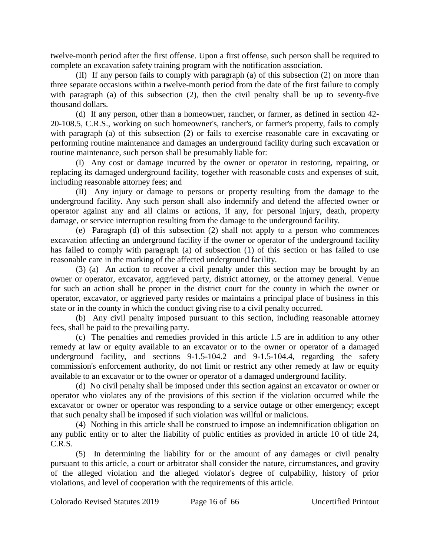twelve-month period after the first offense. Upon a first offense, such person shall be required to complete an excavation safety training program with the notification association.

(II) If any person fails to comply with paragraph (a) of this subsection (2) on more than three separate occasions within a twelve-month period from the date of the first failure to comply with paragraph (a) of this subsection  $(2)$ , then the civil penalty shall be up to seventy-five thousand dollars.

(d) If any person, other than a homeowner, rancher, or farmer, as defined in section 42- 20-108.5, C.R.S., working on such homeowner's, rancher's, or farmer's property, fails to comply with paragraph (a) of this subsection (2) or fails to exercise reasonable care in excavating or performing routine maintenance and damages an underground facility during such excavation or routine maintenance, such person shall be presumably liable for:

(I) Any cost or damage incurred by the owner or operator in restoring, repairing, or replacing its damaged underground facility, together with reasonable costs and expenses of suit, including reasonable attorney fees; and

(II) Any injury or damage to persons or property resulting from the damage to the underground facility. Any such person shall also indemnify and defend the affected owner or operator against any and all claims or actions, if any, for personal injury, death, property damage, or service interruption resulting from the damage to the underground facility.

(e) Paragraph (d) of this subsection (2) shall not apply to a person who commences excavation affecting an underground facility if the owner or operator of the underground facility has failed to comply with paragraph (a) of subsection (1) of this section or has failed to use reasonable care in the marking of the affected underground facility.

(3) (a) An action to recover a civil penalty under this section may be brought by an owner or operator, excavator, aggrieved party, district attorney, or the attorney general. Venue for such an action shall be proper in the district court for the county in which the owner or operator, excavator, or aggrieved party resides or maintains a principal place of business in this state or in the county in which the conduct giving rise to a civil penalty occurred.

(b) Any civil penalty imposed pursuant to this section, including reasonable attorney fees, shall be paid to the prevailing party.

(c) The penalties and remedies provided in this article 1.5 are in addition to any other remedy at law or equity available to an excavator or to the owner or operator of a damaged underground facility, and sections 9-1.5-104.2 and 9-1.5-104.4, regarding the safety commission's enforcement authority, do not limit or restrict any other remedy at law or equity available to an excavator or to the owner or operator of a damaged underground facility.

(d) No civil penalty shall be imposed under this section against an excavator or owner or operator who violates any of the provisions of this section if the violation occurred while the excavator or owner or operator was responding to a service outage or other emergency; except that such penalty shall be imposed if such violation was willful or malicious.

(4) Nothing in this article shall be construed to impose an indemnification obligation on any public entity or to alter the liability of public entities as provided in article 10 of title 24, C.R.S.

(5) In determining the liability for or the amount of any damages or civil penalty pursuant to this article, a court or arbitrator shall consider the nature, circumstances, and gravity of the alleged violation and the alleged violator's degree of culpability, history of prior violations, and level of cooperation with the requirements of this article.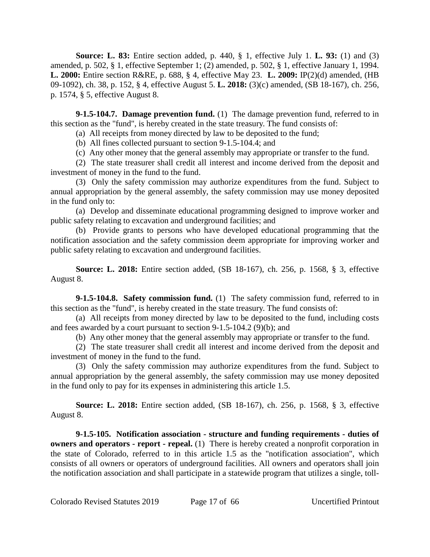**Source: L. 83:** Entire section added, p. 440, § 1, effective July 1. **L. 93:** (1) and (3) amended, p. 502, § 1, effective September 1; (2) amended, p. 502, § 1, effective January 1, 1994. **L. 2000:** Entire section R&RE, p. 688, § 4, effective May 23. **L. 2009:** IP(2)(d) amended, (HB 09-1092), ch. 38, p. 152, § 4, effective August 5. **L. 2018:** (3)(c) amended, (SB 18-167), ch. 256, p. 1574, § 5, effective August 8.

**9-1.5-104.7. Damage prevention fund.** (1) The damage prevention fund, referred to in this section as the "fund", is hereby created in the state treasury. The fund consists of:

(a) All receipts from money directed by law to be deposited to the fund;

(b) All fines collected pursuant to section 9-1.5-104.4; and

(c) Any other money that the general assembly may appropriate or transfer to the fund.

(2) The state treasurer shall credit all interest and income derived from the deposit and investment of money in the fund to the fund.

(3) Only the safety commission may authorize expenditures from the fund. Subject to annual appropriation by the general assembly, the safety commission may use money deposited in the fund only to:

(a) Develop and disseminate educational programming designed to improve worker and public safety relating to excavation and underground facilities; and

(b) Provide grants to persons who have developed educational programming that the notification association and the safety commission deem appropriate for improving worker and public safety relating to excavation and underground facilities.

**Source: L. 2018:** Entire section added, (SB 18-167), ch. 256, p. 1568, § 3, effective August 8.

**9-1.5-104.8. Safety commission fund.** (1) The safety commission fund, referred to in this section as the "fund", is hereby created in the state treasury. The fund consists of:

(a) All receipts from money directed by law to be deposited to the fund, including costs and fees awarded by a court pursuant to section 9-1.5-104.2 (9)(b); and

(b) Any other money that the general assembly may appropriate or transfer to the fund.

(2) The state treasurer shall credit all interest and income derived from the deposit and investment of money in the fund to the fund.

(3) Only the safety commission may authorize expenditures from the fund. Subject to annual appropriation by the general assembly, the safety commission may use money deposited in the fund only to pay for its expenses in administering this article 1.5.

**Source: L. 2018:** Entire section added, (SB 18-167), ch. 256, p. 1568, § 3, effective August 8.

**9-1.5-105. Notification association - structure and funding requirements - duties of owners and operators - report - repeal.** (1) There is hereby created a nonprofit corporation in the state of Colorado, referred to in this article 1.5 as the "notification association", which consists of all owners or operators of underground facilities. All owners and operators shall join the notification association and shall participate in a statewide program that utilizes a single, toll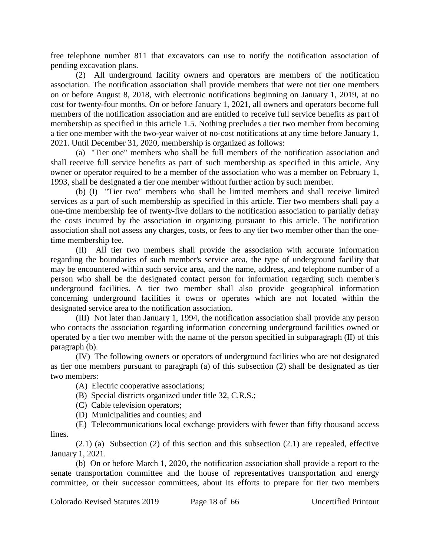free telephone number 811 that excavators can use to notify the notification association of pending excavation plans.

(2) All underground facility owners and operators are members of the notification association. The notification association shall provide members that were not tier one members on or before August 8, 2018, with electronic notifications beginning on January 1, 2019, at no cost for twenty-four months. On or before January 1, 2021, all owners and operators become full members of the notification association and are entitled to receive full service benefits as part of membership as specified in this article 1.5. Nothing precludes a tier two member from becoming a tier one member with the two-year waiver of no-cost notifications at any time before January 1, 2021. Until December 31, 2020, membership is organized as follows:

(a) "Tier one" members who shall be full members of the notification association and shall receive full service benefits as part of such membership as specified in this article. Any owner or operator required to be a member of the association who was a member on February 1, 1993, shall be designated a tier one member without further action by such member.

(b) (I) "Tier two" members who shall be limited members and shall receive limited services as a part of such membership as specified in this article. Tier two members shall pay a one-time membership fee of twenty-five dollars to the notification association to partially defray the costs incurred by the association in organizing pursuant to this article. The notification association shall not assess any charges, costs, or fees to any tier two member other than the onetime membership fee.

(II) All tier two members shall provide the association with accurate information regarding the boundaries of such member's service area, the type of underground facility that may be encountered within such service area, and the name, address, and telephone number of a person who shall be the designated contact person for information regarding such member's underground facilities. A tier two member shall also provide geographical information concerning underground facilities it owns or operates which are not located within the designated service area to the notification association.

(III) Not later than January 1, 1994, the notification association shall provide any person who contacts the association regarding information concerning underground facilities owned or operated by a tier two member with the name of the person specified in subparagraph (II) of this paragraph (b).

(IV) The following owners or operators of underground facilities who are not designated as tier one members pursuant to paragraph (a) of this subsection (2) shall be designated as tier two members:

- (A) Electric cooperative associations;
- (B) Special districts organized under title 32, C.R.S.;
- (C) Cable television operators;
- (D) Municipalities and counties; and

(E) Telecommunications local exchange providers with fewer than fifty thousand access lines.

 $(2.1)$  (a) Subsection (2) of this section and this subsection  $(2.1)$  are repealed, effective January 1, 2021.

(b) On or before March 1, 2020, the notification association shall provide a report to the senate transportation committee and the house of representatives transportation and energy committee, or their successor committees, about its efforts to prepare for tier two members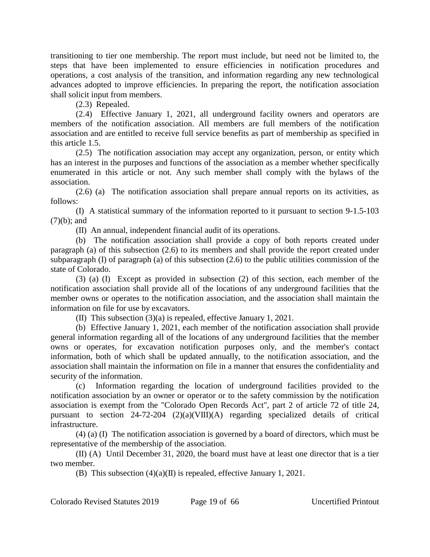transitioning to tier one membership. The report must include, but need not be limited to, the steps that have been implemented to ensure efficiencies in notification procedures and operations, a cost analysis of the transition, and information regarding any new technological advances adopted to improve efficiencies. In preparing the report, the notification association shall solicit input from members.

(2.3) Repealed.

(2.4) Effective January 1, 2021, all underground facility owners and operators are members of the notification association. All members are full members of the notification association and are entitled to receive full service benefits as part of membership as specified in this article 1.5.

(2.5) The notification association may accept any organization, person, or entity which has an interest in the purposes and functions of the association as a member whether specifically enumerated in this article or not. Any such member shall comply with the bylaws of the association.

(2.6) (a) The notification association shall prepare annual reports on its activities, as follows:

(I) A statistical summary of the information reported to it pursuant to section 9-1.5-103 (7)(b); and

(II) An annual, independent financial audit of its operations.

(b) The notification association shall provide a copy of both reports created under paragraph (a) of this subsection (2.6) to its members and shall provide the report created under subparagraph (I) of paragraph (a) of this subsection (2.6) to the public utilities commission of the state of Colorado.

(3) (a) (I) Except as provided in subsection (2) of this section, each member of the notification association shall provide all of the locations of any underground facilities that the member owns or operates to the notification association, and the association shall maintain the information on file for use by excavators.

(II) This subsection (3)(a) is repealed, effective January 1, 2021.

(b) Effective January 1, 2021, each member of the notification association shall provide general information regarding all of the locations of any underground facilities that the member owns or operates, for excavation notification purposes only, and the member's contact information, both of which shall be updated annually, to the notification association, and the association shall maintain the information on file in a manner that ensures the confidentiality and security of the information.

(c) Information regarding the location of underground facilities provided to the notification association by an owner or operator or to the safety commission by the notification association is exempt from the "Colorado Open Records Act", part 2 of article 72 of title 24, pursuant to section 24-72-204 (2)(a)(VIII)(A) regarding specialized details of critical infrastructure.

(4) (a) (I) The notification association is governed by a board of directors, which must be representative of the membership of the association.

(II) (A) Until December 31, 2020, the board must have at least one director that is a tier two member.

(B) This subsection  $(4)(a)(II)$  is repealed, effective January 1, 2021.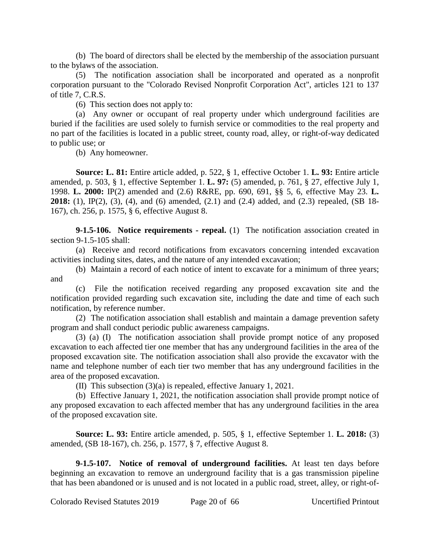(b) The board of directors shall be elected by the membership of the association pursuant to the bylaws of the association.

(5) The notification association shall be incorporated and operated as a nonprofit corporation pursuant to the "Colorado Revised Nonprofit Corporation Act", articles 121 to 137 of title 7, C.R.S.

(6) This section does not apply to:

(a) Any owner or occupant of real property under which underground facilities are buried if the facilities are used solely to furnish service or commodities to the real property and no part of the facilities is located in a public street, county road, alley, or right-of-way dedicated to public use; or

(b) Any homeowner.

**Source: L. 81:** Entire article added, p. 522, § 1, effective October 1. **L. 93:** Entire article amended, p. 503, § 1, effective September 1. **L. 97:** (5) amended, p. 761, § 27, effective July 1, 1998. **L. 2000:** IP(2) amended and (2.6) R&RE, pp. 690, 691, §§ 5, 6, effective May 23. **L. 2018:** (1), IP(2), (3), (4), and (6) amended, (2.1) and (2.4) added, and (2.3) repealed, (SB 18- 167), ch. 256, p. 1575, § 6, effective August 8.

**9-1.5-106. Notice requirements - repeal.** (1) The notification association created in section 9-1.5-105 shall:

(a) Receive and record notifications from excavators concerning intended excavation activities including sites, dates, and the nature of any intended excavation;

(b) Maintain a record of each notice of intent to excavate for a minimum of three years; and

(c) File the notification received regarding any proposed excavation site and the notification provided regarding such excavation site, including the date and time of each such notification, by reference number.

(2) The notification association shall establish and maintain a damage prevention safety program and shall conduct periodic public awareness campaigns.

(3) (a) (I) The notification association shall provide prompt notice of any proposed excavation to each affected tier one member that has any underground facilities in the area of the proposed excavation site. The notification association shall also provide the excavator with the name and telephone number of each tier two member that has any underground facilities in the area of the proposed excavation.

(II) This subsection (3)(a) is repealed, effective January 1, 2021.

(b) Effective January 1, 2021, the notification association shall provide prompt notice of any proposed excavation to each affected member that has any underground facilities in the area of the proposed excavation site.

**Source: L. 93:** Entire article amended, p. 505, § 1, effective September 1. **L. 2018:** (3) amended, (SB 18-167), ch. 256, p. 1577, § 7, effective August 8.

**9-1.5-107. Notice of removal of underground facilities.** At least ten days before beginning an excavation to remove an underground facility that is a gas transmission pipeline that has been abandoned or is unused and is not located in a public road, street, alley, or right-of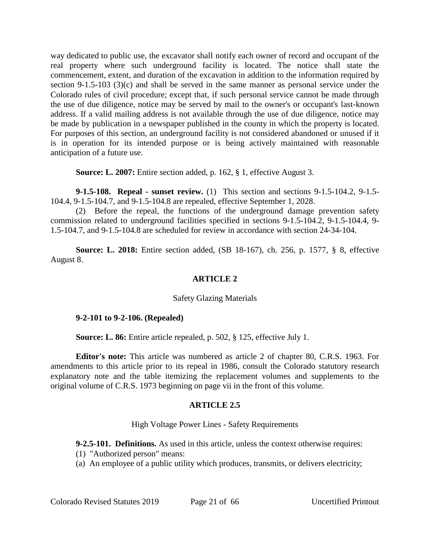way dedicated to public use, the excavator shall notify each owner of record and occupant of the real property where such underground facility is located. The notice shall state the commencement, extent, and duration of the excavation in addition to the information required by section 9-1.5-103 (3)(c) and shall be served in the same manner as personal service under the Colorado rules of civil procedure; except that, if such personal service cannot be made through the use of due diligence, notice may be served by mail to the owner's or occupant's last-known address. If a valid mailing address is not available through the use of due diligence, notice may be made by publication in a newspaper published in the county in which the property is located. For purposes of this section, an underground facility is not considered abandoned or unused if it is in operation for its intended purpose or is being actively maintained with reasonable anticipation of a future use.

**Source: L. 2007:** Entire section added, p. 162, § 1, effective August 3.

**9-1.5-108. Repeal - sunset review.** (1) This section and sections 9-1.5-104.2, 9-1.5- 104.4, 9-1.5-104.7, and 9-1.5-104.8 are repealed, effective September 1, 2028.

(2) Before the repeal, the functions of the underground damage prevention safety commission related to underground facilities specified in sections 9-1.5-104.2, 9-1.5-104.4, 9- 1.5-104.7, and 9-1.5-104.8 are scheduled for review in accordance with section 24-34-104.

**Source: L. 2018:** Entire section added, (SB 18-167), ch. 256, p. 1577, § 8, effective August 8.

# **ARTICLE 2**

## Safety Glazing Materials

## **9-2-101 to 9-2-106. (Repealed)**

**Source: L. 86:** Entire article repealed, p. 502, § 125, effective July 1.

**Editor's note:** This article was numbered as article 2 of chapter 80, C.R.S. 1963. For amendments to this article prior to its repeal in 1986, consult the Colorado statutory research explanatory note and the table itemizing the replacement volumes and supplements to the original volume of C.R.S. 1973 beginning on page vii in the front of this volume.

## **ARTICLE 2.5**

## High Voltage Power Lines - Safety Requirements

**9-2.5-101. Definitions.** As used in this article, unless the context otherwise requires:

- (1) "Authorized person" means:
- (a) An employee of a public utility which produces, transmits, or delivers electricity;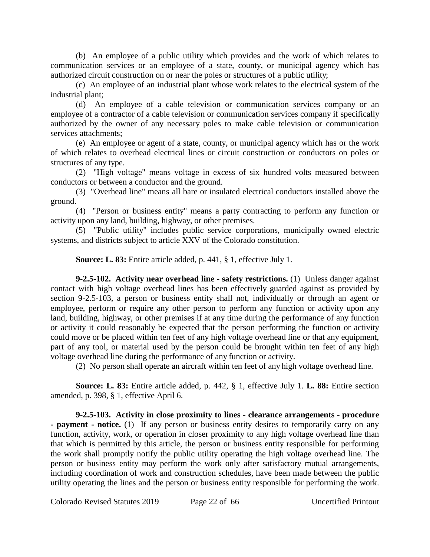(b) An employee of a public utility which provides and the work of which relates to communication services or an employee of a state, county, or municipal agency which has authorized circuit construction on or near the poles or structures of a public utility;

(c) An employee of an industrial plant whose work relates to the electrical system of the industrial plant;

(d) An employee of a cable television or communication services company or an employee of a contractor of a cable television or communication services company if specifically authorized by the owner of any necessary poles to make cable television or communication services attachments;

(e) An employee or agent of a state, county, or municipal agency which has or the work of which relates to overhead electrical lines or circuit construction or conductors on poles or structures of any type.

(2) "High voltage" means voltage in excess of six hundred volts measured between conductors or between a conductor and the ground.

(3) "Overhead line" means all bare or insulated electrical conductors installed above the ground.

(4) "Person or business entity" means a party contracting to perform any function or activity upon any land, building, highway, or other premises.

(5) "Public utility" includes public service corporations, municipally owned electric systems, and districts subject to article XXV of the Colorado constitution.

**Source: L. 83:** Entire article added, p. 441, § 1, effective July 1.

**9-2.5-102. Activity near overhead line - safety restrictions.** (1) Unless danger against contact with high voltage overhead lines has been effectively guarded against as provided by section 9-2.5-103, a person or business entity shall not, individually or through an agent or employee, perform or require any other person to perform any function or activity upon any land, building, highway, or other premises if at any time during the performance of any function or activity it could reasonably be expected that the person performing the function or activity could move or be placed within ten feet of any high voltage overhead line or that any equipment, part of any tool, or material used by the person could be brought within ten feet of any high voltage overhead line during the performance of any function or activity.

(2) No person shall operate an aircraft within ten feet of any high voltage overhead line.

**Source: L. 83:** Entire article added, p. 442, § 1, effective July 1. **L. 88:** Entire section amended, p. 398, § 1, effective April 6.

**9-2.5-103. Activity in close proximity to lines - clearance arrangements - procedure - payment - notice.** (1) If any person or business entity desires to temporarily carry on any function, activity, work, or operation in closer proximity to any high voltage overhead line than that which is permitted by this article, the person or business entity responsible for performing the work shall promptly notify the public utility operating the high voltage overhead line. The person or business entity may perform the work only after satisfactory mutual arrangements, including coordination of work and construction schedules, have been made between the public utility operating the lines and the person or business entity responsible for performing the work.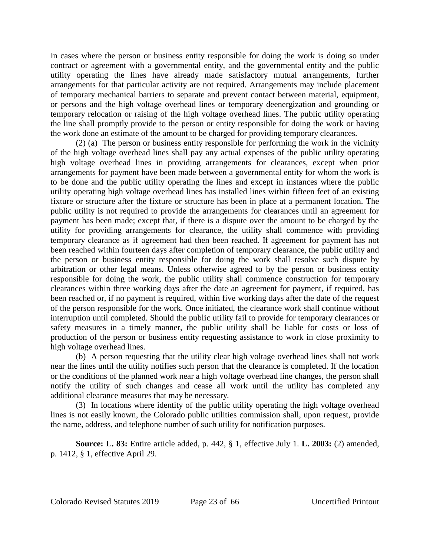In cases where the person or business entity responsible for doing the work is doing so under contract or agreement with a governmental entity, and the governmental entity and the public utility operating the lines have already made satisfactory mutual arrangements, further arrangements for that particular activity are not required. Arrangements may include placement of temporary mechanical barriers to separate and prevent contact between material, equipment, or persons and the high voltage overhead lines or temporary deenergization and grounding or temporary relocation or raising of the high voltage overhead lines. The public utility operating the line shall promptly provide to the person or entity responsible for doing the work or having the work done an estimate of the amount to be charged for providing temporary clearances.

(2) (a) The person or business entity responsible for performing the work in the vicinity of the high voltage overhead lines shall pay any actual expenses of the public utility operating high voltage overhead lines in providing arrangements for clearances, except when prior arrangements for payment have been made between a governmental entity for whom the work is to be done and the public utility operating the lines and except in instances where the public utility operating high voltage overhead lines has installed lines within fifteen feet of an existing fixture or structure after the fixture or structure has been in place at a permanent location. The public utility is not required to provide the arrangements for clearances until an agreement for payment has been made; except that, if there is a dispute over the amount to be charged by the utility for providing arrangements for clearance, the utility shall commence with providing temporary clearance as if agreement had then been reached. If agreement for payment has not been reached within fourteen days after completion of temporary clearance, the public utility and the person or business entity responsible for doing the work shall resolve such dispute by arbitration or other legal means. Unless otherwise agreed to by the person or business entity responsible for doing the work, the public utility shall commence construction for temporary clearances within three working days after the date an agreement for payment, if required, has been reached or, if no payment is required, within five working days after the date of the request of the person responsible for the work. Once initiated, the clearance work shall continue without interruption until completed. Should the public utility fail to provide for temporary clearances or safety measures in a timely manner, the public utility shall be liable for costs or loss of production of the person or business entity requesting assistance to work in close proximity to high voltage overhead lines.

(b) A person requesting that the utility clear high voltage overhead lines shall not work near the lines until the utility notifies such person that the clearance is completed. If the location or the conditions of the planned work near a high voltage overhead line changes, the person shall notify the utility of such changes and cease all work until the utility has completed any additional clearance measures that may be necessary.

(3) In locations where identity of the public utility operating the high voltage overhead lines is not easily known, the Colorado public utilities commission shall, upon request, provide the name, address, and telephone number of such utility for notification purposes.

**Source: L. 83:** Entire article added, p. 442, § 1, effective July 1. **L. 2003:** (2) amended, p. 1412, § 1, effective April 29.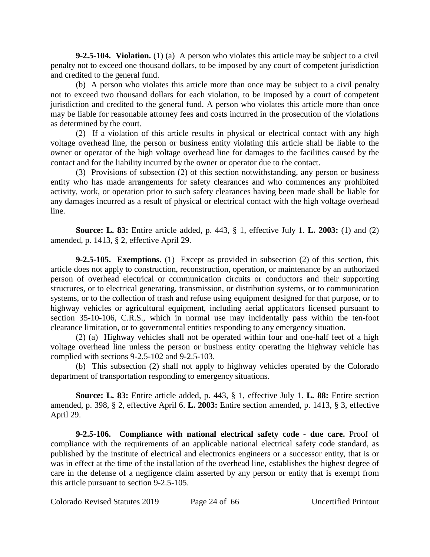**9-2.5-104. Violation.** (1) (a) A person who violates this article may be subject to a civil penalty not to exceed one thousand dollars, to be imposed by any court of competent jurisdiction and credited to the general fund.

(b) A person who violates this article more than once may be subject to a civil penalty not to exceed two thousand dollars for each violation, to be imposed by a court of competent jurisdiction and credited to the general fund. A person who violates this article more than once may be liable for reasonable attorney fees and costs incurred in the prosecution of the violations as determined by the court.

(2) If a violation of this article results in physical or electrical contact with any high voltage overhead line, the person or business entity violating this article shall be liable to the owner or operator of the high voltage overhead line for damages to the facilities caused by the contact and for the liability incurred by the owner or operator due to the contact.

(3) Provisions of subsection (2) of this section notwithstanding, any person or business entity who has made arrangements for safety clearances and who commences any prohibited activity, work, or operation prior to such safety clearances having been made shall be liable for any damages incurred as a result of physical or electrical contact with the high voltage overhead line.

**Source: L. 83:** Entire article added, p. 443, § 1, effective July 1. **L. 2003:** (1) and (2) amended, p. 1413, § 2, effective April 29.

**9-2.5-105. Exemptions.** (1) Except as provided in subsection (2) of this section, this article does not apply to construction, reconstruction, operation, or maintenance by an authorized person of overhead electrical or communication circuits or conductors and their supporting structures, or to electrical generating, transmission, or distribution systems, or to communication systems, or to the collection of trash and refuse using equipment designed for that purpose, or to highway vehicles or agricultural equipment, including aerial applicators licensed pursuant to section 35-10-106, C.R.S., which in normal use may incidentally pass within the ten-foot clearance limitation, or to governmental entities responding to any emergency situation.

(2) (a) Highway vehicles shall not be operated within four and one-half feet of a high voltage overhead line unless the person or business entity operating the highway vehicle has complied with sections 9-2.5-102 and 9-2.5-103.

(b) This subsection (2) shall not apply to highway vehicles operated by the Colorado department of transportation responding to emergency situations.

**Source: L. 83:** Entire article added, p. 443, § 1, effective July 1. **L. 88:** Entire section amended, p. 398, § 2, effective April 6. **L. 2003:** Entire section amended, p. 1413, § 3, effective April 29.

**9-2.5-106. Compliance with national electrical safety code - due care.** Proof of compliance with the requirements of an applicable national electrical safety code standard, as published by the institute of electrical and electronics engineers or a successor entity, that is or was in effect at the time of the installation of the overhead line, establishes the highest degree of care in the defense of a negligence claim asserted by any person or entity that is exempt from this article pursuant to section 9-2.5-105.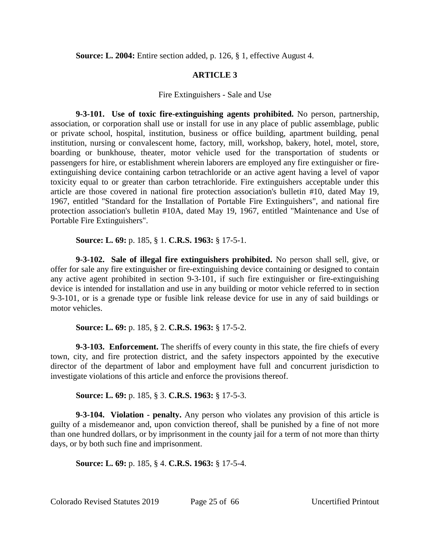**Source: L. 2004:** Entire section added, p. 126, § 1, effective August 4.

# **ARTICLE 3**

## Fire Extinguishers - Sale and Use

**9-3-101. Use of toxic fire-extinguishing agents prohibited.** No person, partnership, association, or corporation shall use or install for use in any place of public assemblage, public or private school, hospital, institution, business or office building, apartment building, penal institution, nursing or convalescent home, factory, mill, workshop, bakery, hotel, motel, store, boarding or bunkhouse, theater, motor vehicle used for the transportation of students or passengers for hire, or establishment wherein laborers are employed any fire extinguisher or fireextinguishing device containing carbon tetrachloride or an active agent having a level of vapor toxicity equal to or greater than carbon tetrachloride. Fire extinguishers acceptable under this article are those covered in national fire protection association's bulletin #10, dated May 19, 1967, entitled "Standard for the Installation of Portable Fire Extinguishers", and national fire protection association's bulletin #10A, dated May 19, 1967, entitled "Maintenance and Use of Portable Fire Extinguishers".

**Source: L. 69:** p. 185, § 1. **C.R.S. 1963:** § 17-5-1.

**9-3-102. Sale of illegal fire extinguishers prohibited.** No person shall sell, give, or offer for sale any fire extinguisher or fire-extinguishing device containing or designed to contain any active agent prohibited in section 9-3-101, if such fire extinguisher or fire-extinguishing device is intended for installation and use in any building or motor vehicle referred to in section 9-3-101, or is a grenade type or fusible link release device for use in any of said buildings or motor vehicles.

**Source: L. 69:** p. 185, § 2. **C.R.S. 1963:** § 17-5-2.

**9-3-103. Enforcement.** The sheriffs of every county in this state, the fire chiefs of every town, city, and fire protection district, and the safety inspectors appointed by the executive director of the department of labor and employment have full and concurrent jurisdiction to investigate violations of this article and enforce the provisions thereof.

**Source: L. 69:** p. 185, § 3. **C.R.S. 1963:** § 17-5-3.

**9-3-104. Violation - penalty.** Any person who violates any provision of this article is guilty of a misdemeanor and, upon conviction thereof, shall be punished by a fine of not more than one hundred dollars, or by imprisonment in the county jail for a term of not more than thirty days, or by both such fine and imprisonment.

**Source: L. 69:** p. 185, § 4. **C.R.S. 1963:** § 17-5-4.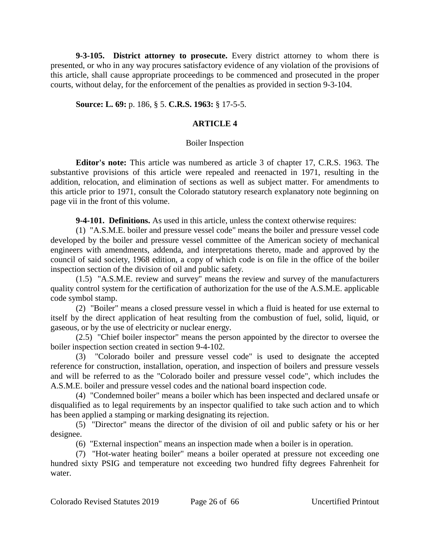**9-3-105. District attorney to prosecute.** Every district attorney to whom there is presented, or who in any way procures satisfactory evidence of any violation of the provisions of this article, shall cause appropriate proceedings to be commenced and prosecuted in the proper courts, without delay, for the enforcement of the penalties as provided in section 9-3-104.

## **Source: L. 69:** p. 186, § 5. **C.R.S. 1963:** § 17-5-5.

## **ARTICLE 4**

## Boiler Inspection

**Editor's note:** This article was numbered as article 3 of chapter 17, C.R.S. 1963. The substantive provisions of this article were repealed and reenacted in 1971, resulting in the addition, relocation, and elimination of sections as well as subject matter. For amendments to this article prior to 1971, consult the Colorado statutory research explanatory note beginning on page vii in the front of this volume.

**9-4-101. Definitions.** As used in this article, unless the context otherwise requires:

(1) "A.S.M.E. boiler and pressure vessel code" means the boiler and pressure vessel code developed by the boiler and pressure vessel committee of the American society of mechanical engineers with amendments, addenda, and interpretations thereto, made and approved by the council of said society, 1968 edition, a copy of which code is on file in the office of the boiler inspection section of the division of oil and public safety.

(1.5) "A.S.M.E. review and survey" means the review and survey of the manufacturers quality control system for the certification of authorization for the use of the A.S.M.E. applicable code symbol stamp.

(2) "Boiler" means a closed pressure vessel in which a fluid is heated for use external to itself by the direct application of heat resulting from the combustion of fuel, solid, liquid, or gaseous, or by the use of electricity or nuclear energy.

(2.5) "Chief boiler inspector" means the person appointed by the director to oversee the boiler inspection section created in section 9-4-102.

(3) "Colorado boiler and pressure vessel code" is used to designate the accepted reference for construction, installation, operation, and inspection of boilers and pressure vessels and will be referred to as the "Colorado boiler and pressure vessel code", which includes the A.S.M.E. boiler and pressure vessel codes and the national board inspection code.

(4) "Condemned boiler" means a boiler which has been inspected and declared unsafe or disqualified as to legal requirements by an inspector qualified to take such action and to which has been applied a stamping or marking designating its rejection.

(5) "Director" means the director of the division of oil and public safety or his or her designee.

(6) "External inspection" means an inspection made when a boiler is in operation.

(7) "Hot-water heating boiler" means a boiler operated at pressure not exceeding one hundred sixty PSIG and temperature not exceeding two hundred fifty degrees Fahrenheit for water.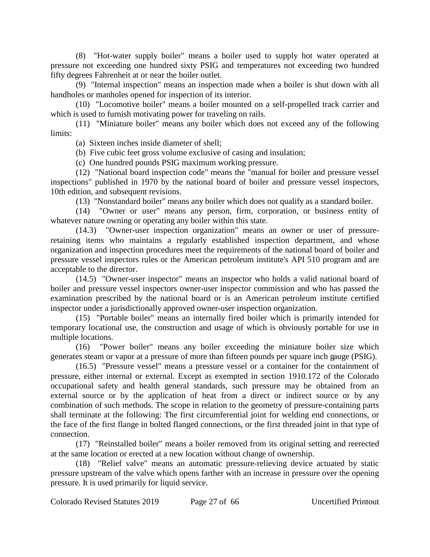(8) "Hot-water supply boiler" means a boiler used to supply hot water operated at pressure not exceeding one hundred sixty PSIG and temperatures not exceeding two hundred fifty degrees Fahrenheit at or near the boiler outlet.

(9) "Internal inspection" means an inspection made when a boiler is shut down with all handholes or manholes opened for inspection of its interior.

(10) "Locomotive boiler" means a boiler mounted on a self-propelled track carrier and which is used to furnish motivating power for traveling on rails.

(11) "Miniature boiler" means any boiler which does not exceed any of the following limits:

(a) Sixteen inches inside diameter of shell;

(b) Five cubic feet gross volume exclusive of casing and insulation;

(c) One hundred pounds PSIG maximum working pressure.

(12) "National board inspection code" means the "manual for boiler and pressure vessel inspections" published in 1970 by the national board of boiler and pressure vessel inspectors, 10th edition, and subsequent revisions.

(13) "Nonstandard boiler" means any boiler which does not qualify as a standard boiler.

(14) "Owner or user" means any person, firm, corporation, or business entity of whatever nature owning or operating any boiler within this state.

(14.3) "Owner-user inspection organization" means an owner or user of pressureretaining items who maintains a regularly established inspection department, and whose organization and inspection procedures meet the requirements of the national board of boiler and pressure vessel inspectors rules or the American petroleum institute's API 510 program and are acceptable to the director.

(14.5) "Owner-user inspector" means an inspector who holds a valid national board of boiler and pressure vessel inspectors owner-user inspector commission and who has passed the examination prescribed by the national board or is an American petroleum institute certified inspector under a jurisdictionally approved owner-user inspection organization.

(15) "Portable boiler" means an internally fired boiler which is primarily intended for temporary locational use, the construction and usage of which is obviously portable for use in multiple locations.

(16) "Power boiler" means any boiler exceeding the miniature boiler size which generates steam or vapor at a pressure of more than fifteen pounds per square inch gauge (PSIG).

(16.5) "Pressure vessel" means a pressure vessel or a container for the containment of pressure, either internal or external. Except as exempted in section 1910.172 of the Colorado occupational safety and health general standards, such pressure may be obtained from an external source or by the application of heat from a direct or indirect source or by any combination of such methods. The scope in relation to the geometry of pressure-containing parts shall terminate at the following: The first circumferential joint for welding end connections, or the face of the first flange in bolted flanged connections, or the first threaded joint in that type of connection.

(17) "Reinstalled boiler" means a boiler removed from its original setting and reerected at the same location or erected at a new location without change of ownership.

(18) "Relief valve" means an automatic pressure-relieving device actuated by static pressure upstream of the valve which opens farther with an increase in pressure over the opening pressure. It is used primarily for liquid service.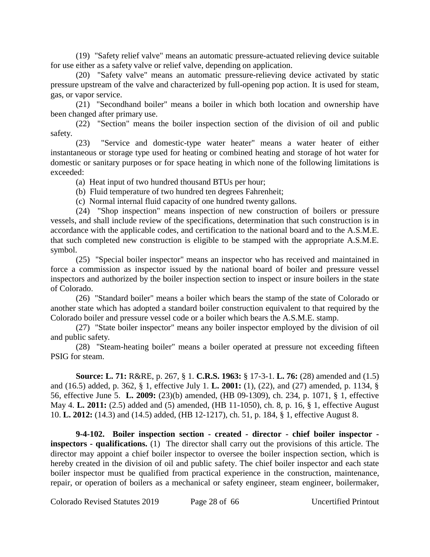(19) "Safety relief valve" means an automatic pressure-actuated relieving device suitable for use either as a safety valve or relief valve, depending on application.

(20) "Safety valve" means an automatic pressure-relieving device activated by static pressure upstream of the valve and characterized by full-opening pop action. It is used for steam, gas, or vapor service.

(21) "Secondhand boiler" means a boiler in which both location and ownership have been changed after primary use.

(22) "Section" means the boiler inspection section of the division of oil and public safety.

(23) "Service and domestic-type water heater" means a water heater of either instantaneous or storage type used for heating or combined heating and storage of hot water for domestic or sanitary purposes or for space heating in which none of the following limitations is exceeded:

(a) Heat input of two hundred thousand BTUs per hour;

(b) Fluid temperature of two hundred ten degrees Fahrenheit;

(c) Normal internal fluid capacity of one hundred twenty gallons.

(24) "Shop inspection" means inspection of new construction of boilers or pressure vessels, and shall include review of the specifications, determination that such construction is in accordance with the applicable codes, and certification to the national board and to the A.S.M.E. that such completed new construction is eligible to be stamped with the appropriate A.S.M.E. symbol.

(25) "Special boiler inspector" means an inspector who has received and maintained in force a commission as inspector issued by the national board of boiler and pressure vessel inspectors and authorized by the boiler inspection section to inspect or insure boilers in the state of Colorado.

(26) "Standard boiler" means a boiler which bears the stamp of the state of Colorado or another state which has adopted a standard boiler construction equivalent to that required by the Colorado boiler and pressure vessel code or a boiler which bears the A.S.M.E. stamp.

(27) "State boiler inspector" means any boiler inspector employed by the division of oil and public safety.

(28) "Steam-heating boiler" means a boiler operated at pressure not exceeding fifteen PSIG for steam.

**Source: L. 71:** R&RE, p. 267, § 1. **C.R.S. 1963:** § 17-3-1. **L. 76:** (28) amended and (1.5) and (16.5) added, p. 362, § 1, effective July 1. **L. 2001:** (1), (22), and (27) amended, p. 1134, § 56, effective June 5. **L. 2009:** (23)(b) amended, (HB 09-1309), ch. 234, p. 1071, § 1, effective May 4. **L. 2011:** (2.5) added and (5) amended, (HB 11-1050), ch. 8, p. 16, § 1, effective August 10. **L. 2012:** (14.3) and (14.5) added, (HB 12-1217), ch. 51, p. 184, § 1, effective August 8.

**9-4-102. Boiler inspection section - created - director - chief boiler inspector inspectors - qualifications.** (1) The director shall carry out the provisions of this article. The director may appoint a chief boiler inspector to oversee the boiler inspection section, which is hereby created in the division of oil and public safety. The chief boiler inspector and each state boiler inspector must be qualified from practical experience in the construction, maintenance, repair, or operation of boilers as a mechanical or safety engineer, steam engineer, boilermaker,

Colorado Revised Statutes 2019 Page 28 of 66 Uncertified Printout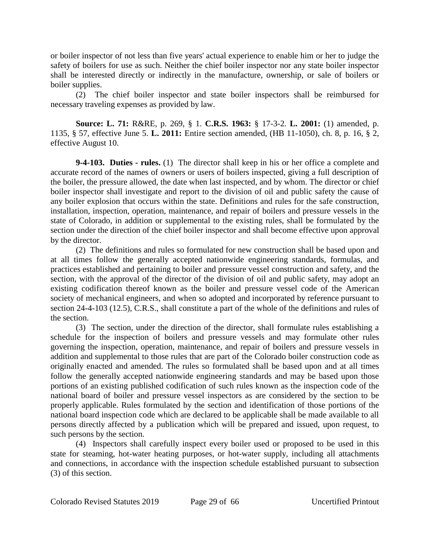or boiler inspector of not less than five years' actual experience to enable him or her to judge the safety of boilers for use as such. Neither the chief boiler inspector nor any state boiler inspector shall be interested directly or indirectly in the manufacture, ownership, or sale of boilers or boiler supplies.

(2) The chief boiler inspector and state boiler inspectors shall be reimbursed for necessary traveling expenses as provided by law.

**Source: L. 71:** R&RE, p. 269, § 1. **C.R.S. 1963:** § 17-3-2. **L. 2001:** (1) amended, p. 1135, § 57, effective June 5. **L. 2011:** Entire section amended, (HB 11-1050), ch. 8, p. 16, § 2, effective August 10.

**9-4-103. Duties - rules.** (1) The director shall keep in his or her office a complete and accurate record of the names of owners or users of boilers inspected, giving a full description of the boiler, the pressure allowed, the date when last inspected, and by whom. The director or chief boiler inspector shall investigate and report to the division of oil and public safety the cause of any boiler explosion that occurs within the state. Definitions and rules for the safe construction, installation, inspection, operation, maintenance, and repair of boilers and pressure vessels in the state of Colorado, in addition or supplemental to the existing rules, shall be formulated by the section under the direction of the chief boiler inspector and shall become effective upon approval by the director.

(2) The definitions and rules so formulated for new construction shall be based upon and at all times follow the generally accepted nationwide engineering standards, formulas, and practices established and pertaining to boiler and pressure vessel construction and safety, and the section, with the approval of the director of the division of oil and public safety, may adopt an existing codification thereof known as the boiler and pressure vessel code of the American society of mechanical engineers, and when so adopted and incorporated by reference pursuant to section 24-4-103 (12.5), C.R.S., shall constitute a part of the whole of the definitions and rules of the section.

(3) The section, under the direction of the director, shall formulate rules establishing a schedule for the inspection of boilers and pressure vessels and may formulate other rules governing the inspection, operation, maintenance, and repair of boilers and pressure vessels in addition and supplemental to those rules that are part of the Colorado boiler construction code as originally enacted and amended. The rules so formulated shall be based upon and at all times follow the generally accepted nationwide engineering standards and may be based upon those portions of an existing published codification of such rules known as the inspection code of the national board of boiler and pressure vessel inspectors as are considered by the section to be properly applicable. Rules formulated by the section and identification of those portions of the national board inspection code which are declared to be applicable shall be made available to all persons directly affected by a publication which will be prepared and issued, upon request, to such persons by the section.

(4) Inspectors shall carefully inspect every boiler used or proposed to be used in this state for steaming, hot-water heating purposes, or hot-water supply, including all attachments and connections, in accordance with the inspection schedule established pursuant to subsection (3) of this section.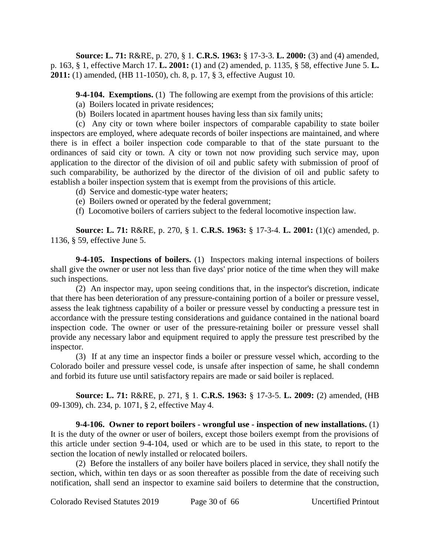**Source: L. 71:** R&RE, p. 270, § 1. **C.R.S. 1963:** § 17-3-3. **L. 2000:** (3) and (4) amended, p. 163, § 1, effective March 17. **L. 2001:** (1) and (2) amended, p. 1135, § 58, effective June 5. **L. 2011:** (1) amended, (HB 11-1050), ch. 8, p. 17, § 3, effective August 10.

**9-4-104. Exemptions.** (1) The following are exempt from the provisions of this article:

- (a) Boilers located in private residences;
- (b) Boilers located in apartment houses having less than six family units;

(c) Any city or town where boiler inspectors of comparable capability to state boiler inspectors are employed, where adequate records of boiler inspections are maintained, and where there is in effect a boiler inspection code comparable to that of the state pursuant to the ordinances of said city or town. A city or town not now providing such service may, upon application to the director of the division of oil and public safety with submission of proof of such comparability, be authorized by the director of the division of oil and public safety to establish a boiler inspection system that is exempt from the provisions of this article.

- (d) Service and domestic-type water heaters;
- (e) Boilers owned or operated by the federal government;
- (f) Locomotive boilers of carriers subject to the federal locomotive inspection law.

**Source: L. 71:** R&RE, p. 270, § 1. **C.R.S. 1963:** § 17-3-4. **L. 2001:** (1)(c) amended, p. 1136, § 59, effective June 5.

**9-4-105. Inspections of boilers.** (1) Inspectors making internal inspections of boilers shall give the owner or user not less than five days' prior notice of the time when they will make such inspections.

(2) An inspector may, upon seeing conditions that, in the inspector's discretion, indicate that there has been deterioration of any pressure-containing portion of a boiler or pressure vessel, assess the leak tightness capability of a boiler or pressure vessel by conducting a pressure test in accordance with the pressure testing considerations and guidance contained in the national board inspection code. The owner or user of the pressure-retaining boiler or pressure vessel shall provide any necessary labor and equipment required to apply the pressure test prescribed by the inspector.

(3) If at any time an inspector finds a boiler or pressure vessel which, according to the Colorado boiler and pressure vessel code, is unsafe after inspection of same, he shall condemn and forbid its future use until satisfactory repairs are made or said boiler is replaced.

**Source: L. 71:** R&RE, p. 271, § 1. **C.R.S. 1963:** § 17-3-5. **L. 2009:** (2) amended, (HB 09-1309), ch. 234, p. 1071, § 2, effective May 4.

**9-4-106. Owner to report boilers - wrongful use - inspection of new installations.** (1) It is the duty of the owner or user of boilers, except those boilers exempt from the provisions of this article under section 9-4-104, used or which are to be used in this state, to report to the section the location of newly installed or relocated boilers.

(2) Before the installers of any boiler have boilers placed in service, they shall notify the section, which, within ten days or as soon thereafter as possible from the date of receiving such notification, shall send an inspector to examine said boilers to determine that the construction,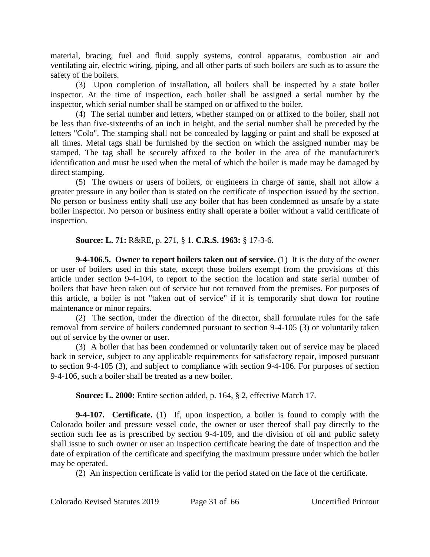material, bracing, fuel and fluid supply systems, control apparatus, combustion air and ventilating air, electric wiring, piping, and all other parts of such boilers are such as to assure the safety of the boilers.

(3) Upon completion of installation, all boilers shall be inspected by a state boiler inspector. At the time of inspection, each boiler shall be assigned a serial number by the inspector, which serial number shall be stamped on or affixed to the boiler.

(4) The serial number and letters, whether stamped on or affixed to the boiler, shall not be less than five-sixteenths of an inch in height, and the serial number shall be preceded by the letters "Colo". The stamping shall not be concealed by lagging or paint and shall be exposed at all times. Metal tags shall be furnished by the section on which the assigned number may be stamped. The tag shall be securely affixed to the boiler in the area of the manufacturer's identification and must be used when the metal of which the boiler is made may be damaged by direct stamping.

(5) The owners or users of boilers, or engineers in charge of same, shall not allow a greater pressure in any boiler than is stated on the certificate of inspection issued by the section. No person or business entity shall use any boiler that has been condemned as unsafe by a state boiler inspector. No person or business entity shall operate a boiler without a valid certificate of inspection.

**Source: L. 71:** R&RE, p. 271, § 1. **C.R.S. 1963:** § 17-3-6.

**9-4-106.5. Owner to report boilers taken out of service.** (1) It is the duty of the owner or user of boilers used in this state, except those boilers exempt from the provisions of this article under section 9-4-104, to report to the section the location and state serial number of boilers that have been taken out of service but not removed from the premises. For purposes of this article, a boiler is not "taken out of service" if it is temporarily shut down for routine maintenance or minor repairs.

(2) The section, under the direction of the director, shall formulate rules for the safe removal from service of boilers condemned pursuant to section 9-4-105 (3) or voluntarily taken out of service by the owner or user.

(3) A boiler that has been condemned or voluntarily taken out of service may be placed back in service, subject to any applicable requirements for satisfactory repair, imposed pursuant to section 9-4-105 (3), and subject to compliance with section 9-4-106. For purposes of section 9-4-106, such a boiler shall be treated as a new boiler.

**Source: L. 2000:** Entire section added, p. 164, § 2, effective March 17.

**9-4-107. Certificate.** (1) If, upon inspection, a boiler is found to comply with the Colorado boiler and pressure vessel code, the owner or user thereof shall pay directly to the section such fee as is prescribed by section 9-4-109, and the division of oil and public safety shall issue to such owner or user an inspection certificate bearing the date of inspection and the date of expiration of the certificate and specifying the maximum pressure under which the boiler may be operated.

(2) An inspection certificate is valid for the period stated on the face of the certificate.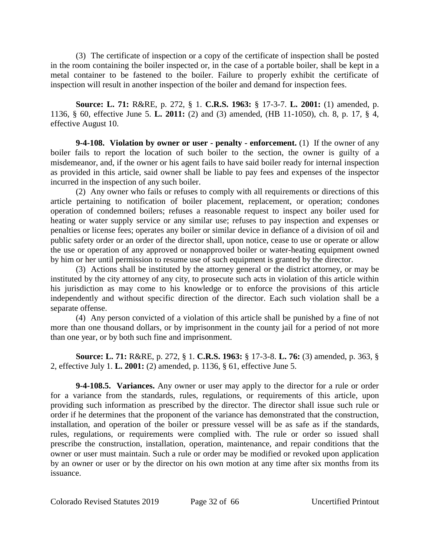(3) The certificate of inspection or a copy of the certificate of inspection shall be posted in the room containing the boiler inspected or, in the case of a portable boiler, shall be kept in a metal container to be fastened to the boiler. Failure to properly exhibit the certificate of inspection will result in another inspection of the boiler and demand for inspection fees.

**Source: L. 71:** R&RE, p. 272, § 1. **C.R.S. 1963:** § 17-3-7. **L. 2001:** (1) amended, p. 1136, § 60, effective June 5. **L. 2011:** (2) and (3) amended, (HB 11-1050), ch. 8, p. 17, § 4, effective August 10.

**9-4-108. Violation by owner or user - penalty - enforcement.** (1) If the owner of any boiler fails to report the location of such boiler to the section, the owner is guilty of a misdemeanor, and, if the owner or his agent fails to have said boiler ready for internal inspection as provided in this article, said owner shall be liable to pay fees and expenses of the inspector incurred in the inspection of any such boiler.

(2) Any owner who fails or refuses to comply with all requirements or directions of this article pertaining to notification of boiler placement, replacement, or operation; condones operation of condemned boilers; refuses a reasonable request to inspect any boiler used for heating or water supply service or any similar use; refuses to pay inspection and expenses or penalties or license fees; operates any boiler or similar device in defiance of a division of oil and public safety order or an order of the director shall, upon notice, cease to use or operate or allow the use or operation of any approved or nonapproved boiler or water-heating equipment owned by him or her until permission to resume use of such equipment is granted by the director.

(3) Actions shall be instituted by the attorney general or the district attorney, or may be instituted by the city attorney of any city, to prosecute such acts in violation of this article within his jurisdiction as may come to his knowledge or to enforce the provisions of this article independently and without specific direction of the director. Each such violation shall be a separate offense.

(4) Any person convicted of a violation of this article shall be punished by a fine of not more than one thousand dollars, or by imprisonment in the county jail for a period of not more than one year, or by both such fine and imprisonment.

**Source: L. 71:** R&RE, p. 272, § 1. **C.R.S. 1963:** § 17-3-8. **L. 76:** (3) amended, p. 363, § 2, effective July 1. **L. 2001:** (2) amended, p. 1136, § 61, effective June 5.

**9-4-108.5. Variances.** Any owner or user may apply to the director for a rule or order for a variance from the standards, rules, regulations, or requirements of this article, upon providing such information as prescribed by the director. The director shall issue such rule or order if he determines that the proponent of the variance has demonstrated that the construction, installation, and operation of the boiler or pressure vessel will be as safe as if the standards, rules, regulations, or requirements were complied with. The rule or order so issued shall prescribe the construction, installation, operation, maintenance, and repair conditions that the owner or user must maintain. Such a rule or order may be modified or revoked upon application by an owner or user or by the director on his own motion at any time after six months from its issuance.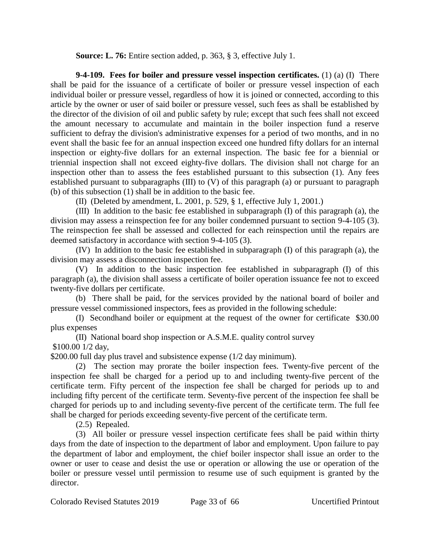**Source: L. 76:** Entire section added, p. 363, § 3, effective July 1.

**9-4-109. Fees for boiler and pressure vessel inspection certificates.** (1) (a) (I) There shall be paid for the issuance of a certificate of boiler or pressure vessel inspection of each individual boiler or pressure vessel, regardless of how it is joined or connected, according to this article by the owner or user of said boiler or pressure vessel, such fees as shall be established by the director of the division of oil and public safety by rule; except that such fees shall not exceed the amount necessary to accumulate and maintain in the boiler inspection fund a reserve sufficient to defray the division's administrative expenses for a period of two months, and in no event shall the basic fee for an annual inspection exceed one hundred fifty dollars for an internal inspection or eighty-five dollars for an external inspection. The basic fee for a biennial or triennial inspection shall not exceed eighty-five dollars. The division shall not charge for an inspection other than to assess the fees established pursuant to this subsection (1). Any fees established pursuant to subparagraphs (III) to (V) of this paragraph (a) or pursuant to paragraph (b) of this subsection (1) shall be in addition to the basic fee.

(II) (Deleted by amendment, L. 2001, p. 529, § 1, effective July 1, 2001.)

(III) In addition to the basic fee established in subparagraph (I) of this paragraph (a), the division may assess a reinspection fee for any boiler condemned pursuant to section 9-4-105 (3). The reinspection fee shall be assessed and collected for each reinspection until the repairs are deemed satisfactory in accordance with section 9-4-105 (3).

(IV) In addition to the basic fee established in subparagraph (I) of this paragraph (a), the division may assess a disconnection inspection fee.

(V) In addition to the basic inspection fee established in subparagraph (I) of this paragraph (a), the division shall assess a certificate of boiler operation issuance fee not to exceed twenty-five dollars per certificate.

(b) There shall be paid, for the services provided by the national board of boiler and pressure vessel commissioned inspectors, fees as provided in the following schedule:

(I) Secondhand boiler or equipment at the request of the owner for certificate \$30.00 plus expenses

(II) National board shop inspection or A.S.M.E. quality control survey

\$100.00 1/2 day,

\$200.00 full day plus travel and subsistence expense (1/2 day minimum).

(2) The section may prorate the boiler inspection fees. Twenty-five percent of the inspection fee shall be charged for a period up to and including twenty-five percent of the certificate term. Fifty percent of the inspection fee shall be charged for periods up to and including fifty percent of the certificate term. Seventy-five percent of the inspection fee shall be charged for periods up to and including seventy-five percent of the certificate term. The full fee shall be charged for periods exceeding seventy-five percent of the certificate term.

(2.5) Repealed.

(3) All boiler or pressure vessel inspection certificate fees shall be paid within thirty days from the date of inspection to the department of labor and employment. Upon failure to pay the department of labor and employment, the chief boiler inspector shall issue an order to the owner or user to cease and desist the use or operation or allowing the use or operation of the boiler or pressure vessel until permission to resume use of such equipment is granted by the director.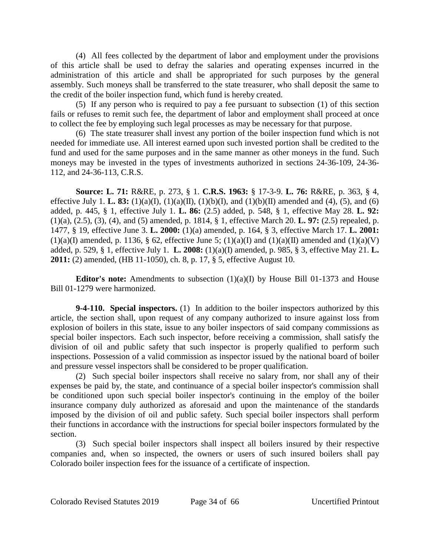(4) All fees collected by the department of labor and employment under the provisions of this article shall be used to defray the salaries and operating expenses incurred in the administration of this article and shall be appropriated for such purposes by the general assembly. Such moneys shall be transferred to the state treasurer, who shall deposit the same to the credit of the boiler inspection fund, which fund is hereby created.

(5) If any person who is required to pay a fee pursuant to subsection (1) of this section fails or refuses to remit such fee, the department of labor and employment shall proceed at once to collect the fee by employing such legal processes as may be necessary for that purpose.

(6) The state treasurer shall invest any portion of the boiler inspection fund which is not needed for immediate use. All interest earned upon such invested portion shall be credited to the fund and used for the same purposes and in the same manner as other moneys in the fund. Such moneys may be invested in the types of investments authorized in sections 24-36-109, 24-36- 112, and 24-36-113, C.R.S.

**Source: L. 71:** R&RE, p. 273, § 1. **C.R.S. 1963:** § 17-3-9. **L. 76:** R&RE, p. 363, § 4, effective July 1. **L. 83:** (1)(a)(I), (1)(a)(II), (1)(b)(I), and (1)(b)(II) amended and (4), (5), and (6) added, p. 445, § 1, effective July 1. **L. 86:** (2.5) added, p. 548, § 1, effective May 28. **L. 92:** (1)(a), (2.5), (3), (4), and (5) amended, p. 1814, § 1, effective March 20. **L. 97:** (2.5) repealed, p. 1477, § 19, effective June 3. **L. 2000:** (1)(a) amended, p. 164, § 3, effective March 17. **L. 2001:** (1)(a)(I) amended, p. 1136, § 62, effective June 5; (1)(a)(I) and (1)(a)(II) amended and (1)(a)(V) added, p. 529, § 1, effective July 1. **L. 2008:** (1)(a)(I) amended, p. 985, § 3, effective May 21. **L. 2011:** (2) amended, (HB 11-1050), ch. 8, p. 17, § 5, effective August 10.

**Editor's note:** Amendments to subsection  $(1)(a)(I)$  by House Bill 01-1373 and House Bill 01-1279 were harmonized.

**9-4-110. Special inspectors.** (1) In addition to the boiler inspectors authorized by this article, the section shall, upon request of any company authorized to insure against loss from explosion of boilers in this state, issue to any boiler inspectors of said company commissions as special boiler inspectors. Each such inspector, before receiving a commission, shall satisfy the division of oil and public safety that such inspector is properly qualified to perform such inspections. Possession of a valid commission as inspector issued by the national board of boiler and pressure vessel inspectors shall be considered to be proper qualification.

(2) Such special boiler inspectors shall receive no salary from, nor shall any of their expenses be paid by, the state, and continuance of a special boiler inspector's commission shall be conditioned upon such special boiler inspector's continuing in the employ of the boiler insurance company duly authorized as aforesaid and upon the maintenance of the standards imposed by the division of oil and public safety. Such special boiler inspectors shall perform their functions in accordance with the instructions for special boiler inspectors formulated by the section.

(3) Such special boiler inspectors shall inspect all boilers insured by their respective companies and, when so inspected, the owners or users of such insured boilers shall pay Colorado boiler inspection fees for the issuance of a certificate of inspection.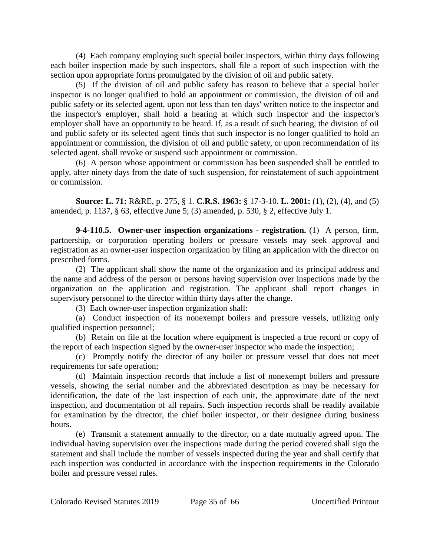(4) Each company employing such special boiler inspectors, within thirty days following each boiler inspection made by such inspectors, shall file a report of such inspection with the section upon appropriate forms promulgated by the division of oil and public safety.

(5) If the division of oil and public safety has reason to believe that a special boiler inspector is no longer qualified to hold an appointment or commission, the division of oil and public safety or its selected agent, upon not less than ten days' written notice to the inspector and the inspector's employer, shall hold a hearing at which such inspector and the inspector's employer shall have an opportunity to be heard. If, as a result of such hearing, the division of oil and public safety or its selected agent finds that such inspector is no longer qualified to hold an appointment or commission, the division of oil and public safety, or upon recommendation of its selected agent, shall revoke or suspend such appointment or commission.

(6) A person whose appointment or commission has been suspended shall be entitled to apply, after ninety days from the date of such suspension, for reinstatement of such appointment or commission.

**Source: L. 71:** R&RE, p. 275, § 1. **C.R.S. 1963:** § 17-3-10. **L. 2001:** (1), (2), (4), and (5) amended, p. 1137, § 63, effective June 5; (3) amended, p. 530, § 2, effective July 1.

**9-4-110.5. Owner-user inspection organizations - registration.** (1) A person, firm, partnership, or corporation operating boilers or pressure vessels may seek approval and registration as an owner-user inspection organization by filing an application with the director on prescribed forms.

(2) The applicant shall show the name of the organization and its principal address and the name and address of the person or persons having supervision over inspections made by the organization on the application and registration. The applicant shall report changes in supervisory personnel to the director within thirty days after the change.

(3) Each owner-user inspection organization shall:

(a) Conduct inspection of its nonexempt boilers and pressure vessels, utilizing only qualified inspection personnel;

(b) Retain on file at the location where equipment is inspected a true record or copy of the report of each inspection signed by the owner-user inspector who made the inspection;

(c) Promptly notify the director of any boiler or pressure vessel that does not meet requirements for safe operation;

(d) Maintain inspection records that include a list of nonexempt boilers and pressure vessels, showing the serial number and the abbreviated description as may be necessary for identification, the date of the last inspection of each unit, the approximate date of the next inspection, and documentation of all repairs. Such inspection records shall be readily available for examination by the director, the chief boiler inspector, or their designee during business hours.

(e) Transmit a statement annually to the director, on a date mutually agreed upon. The individual having supervision over the inspections made during the period covered shall sign the statement and shall include the number of vessels inspected during the year and shall certify that each inspection was conducted in accordance with the inspection requirements in the Colorado boiler and pressure vessel rules.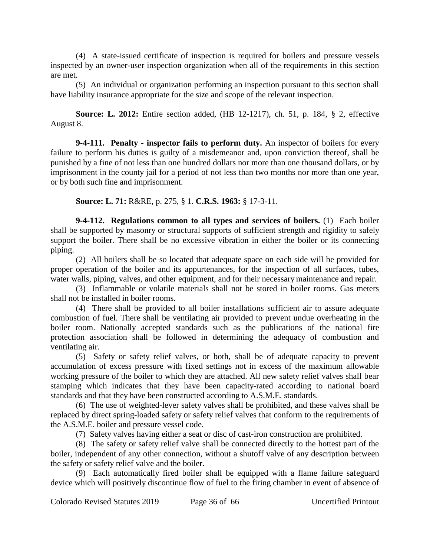(4) A state-issued certificate of inspection is required for boilers and pressure vessels inspected by an owner-user inspection organization when all of the requirements in this section are met.

(5) An individual or organization performing an inspection pursuant to this section shall have liability insurance appropriate for the size and scope of the relevant inspection.

**Source: L. 2012:** Entire section added, (HB 12-1217), ch. 51, p. 184, § 2, effective August 8.

**9-4-111. Penalty - inspector fails to perform duty.** An inspector of boilers for every failure to perform his duties is guilty of a misdemeanor and, upon conviction thereof, shall be punished by a fine of not less than one hundred dollars nor more than one thousand dollars, or by imprisonment in the county jail for a period of not less than two months nor more than one year, or by both such fine and imprisonment.

**Source: L. 71:** R&RE, p. 275, § 1. **C.R.S. 1963:** § 17-3-11.

**9-4-112. Regulations common to all types and services of boilers.** (1) Each boiler shall be supported by masonry or structural supports of sufficient strength and rigidity to safely support the boiler. There shall be no excessive vibration in either the boiler or its connecting piping.

(2) All boilers shall be so located that adequate space on each side will be provided for proper operation of the boiler and its appurtenances, for the inspection of all surfaces, tubes, water walls, piping, valves, and other equipment, and for their necessary maintenance and repair.

(3) Inflammable or volatile materials shall not be stored in boiler rooms. Gas meters shall not be installed in boiler rooms.

(4) There shall be provided to all boiler installations sufficient air to assure adequate combustion of fuel. There shall be ventilating air provided to prevent undue overheating in the boiler room. Nationally accepted standards such as the publications of the national fire protection association shall be followed in determining the adequacy of combustion and ventilating air.

(5) Safety or safety relief valves, or both, shall be of adequate capacity to prevent accumulation of excess pressure with fixed settings not in excess of the maximum allowable working pressure of the boiler to which they are attached. All new safety relief valves shall bear stamping which indicates that they have been capacity-rated according to national board standards and that they have been constructed according to A.S.M.E. standards.

(6) The use of weighted-lever safety valves shall be prohibited, and these valves shall be replaced by direct spring-loaded safety or safety relief valves that conform to the requirements of the A.S.M.E. boiler and pressure vessel code.

(7) Safety valves having either a seat or disc of cast-iron construction are prohibited.

(8) The safety or safety relief valve shall be connected directly to the hottest part of the boiler, independent of any other connection, without a shutoff valve of any description between the safety or safety relief valve and the boiler.

(9) Each automatically fired boiler shall be equipped with a flame failure safeguard device which will positively discontinue flow of fuel to the firing chamber in event of absence of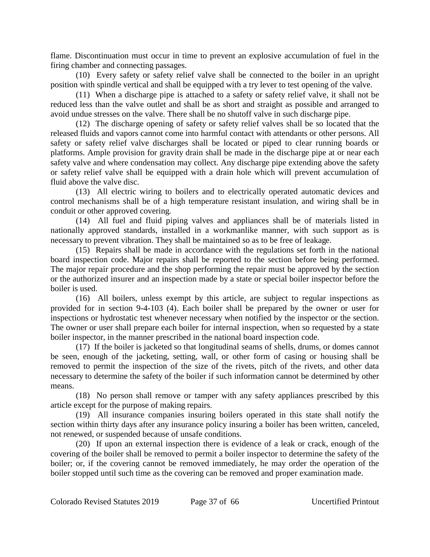flame. Discontinuation must occur in time to prevent an explosive accumulation of fuel in the firing chamber and connecting passages.

(10) Every safety or safety relief valve shall be connected to the boiler in an upright position with spindle vertical and shall be equipped with a try lever to test opening of the valve.

(11) When a discharge pipe is attached to a safety or safety relief valve, it shall not be reduced less than the valve outlet and shall be as short and straight as possible and arranged to avoid undue stresses on the valve. There shall be no shutoff valve in such discharge pipe.

(12) The discharge opening of safety or safety relief valves shall be so located that the released fluids and vapors cannot come into harmful contact with attendants or other persons. All safety or safety relief valve discharges shall be located or piped to clear running boards or platforms. Ample provision for gravity drain shall be made in the discharge pipe at or near each safety valve and where condensation may collect. Any discharge pipe extending above the safety or safety relief valve shall be equipped with a drain hole which will prevent accumulation of fluid above the valve disc.

(13) All electric wiring to boilers and to electrically operated automatic devices and control mechanisms shall be of a high temperature resistant insulation, and wiring shall be in conduit or other approved covering.

(14) All fuel and fluid piping valves and appliances shall be of materials listed in nationally approved standards, installed in a workmanlike manner, with such support as is necessary to prevent vibration. They shall be maintained so as to be free of leakage.

(15) Repairs shall be made in accordance with the regulations set forth in the national board inspection code. Major repairs shall be reported to the section before being performed. The major repair procedure and the shop performing the repair must be approved by the section or the authorized insurer and an inspection made by a state or special boiler inspector before the boiler is used.

(16) All boilers, unless exempt by this article, are subject to regular inspections as provided for in section 9-4-103 (4). Each boiler shall be prepared by the owner or user for inspections or hydrostatic test whenever necessary when notified by the inspector or the section. The owner or user shall prepare each boiler for internal inspection, when so requested by a state boiler inspector, in the manner prescribed in the national board inspection code.

(17) If the boiler is jacketed so that longitudinal seams of shells, drums, or domes cannot be seen, enough of the jacketing, setting, wall, or other form of casing or housing shall be removed to permit the inspection of the size of the rivets, pitch of the rivets, and other data necessary to determine the safety of the boiler if such information cannot be determined by other means.

(18) No person shall remove or tamper with any safety appliances prescribed by this article except for the purpose of making repairs.

(19) All insurance companies insuring boilers operated in this state shall notify the section within thirty days after any insurance policy insuring a boiler has been written, canceled, not renewed, or suspended because of unsafe conditions.

(20) If upon an external inspection there is evidence of a leak or crack, enough of the covering of the boiler shall be removed to permit a boiler inspector to determine the safety of the boiler; or, if the covering cannot be removed immediately, he may order the operation of the boiler stopped until such time as the covering can be removed and proper examination made.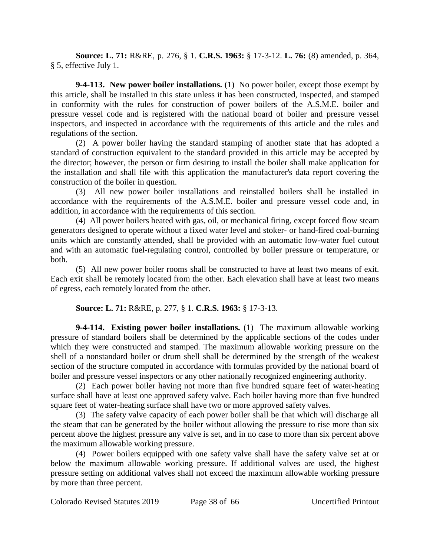**Source: L. 71:** R&RE, p. 276, § 1. **C.R.S. 1963:** § 17-3-12. **L. 76:** (8) amended, p. 364, § 5, effective July 1.

**9-4-113. New power boiler installations.** (1) No power boiler, except those exempt by this article, shall be installed in this state unless it has been constructed, inspected, and stamped in conformity with the rules for construction of power boilers of the A.S.M.E. boiler and pressure vessel code and is registered with the national board of boiler and pressure vessel inspectors, and inspected in accordance with the requirements of this article and the rules and regulations of the section.

(2) A power boiler having the standard stamping of another state that has adopted a standard of construction equivalent to the standard provided in this article may be accepted by the director; however, the person or firm desiring to install the boiler shall make application for the installation and shall file with this application the manufacturer's data report covering the construction of the boiler in question.

(3) All new power boiler installations and reinstalled boilers shall be installed in accordance with the requirements of the A.S.M.E. boiler and pressure vessel code and, in addition, in accordance with the requirements of this section.

(4) All power boilers heated with gas, oil, or mechanical firing, except forced flow steam generators designed to operate without a fixed water level and stoker- or hand-fired coal-burning units which are constantly attended, shall be provided with an automatic low-water fuel cutout and with an automatic fuel-regulating control, controlled by boiler pressure or temperature, or both.

(5) All new power boiler rooms shall be constructed to have at least two means of exit. Each exit shall be remotely located from the other. Each elevation shall have at least two means of egress, each remotely located from the other.

# **Source: L. 71:** R&RE, p. 277, § 1. **C.R.S. 1963:** § 17-3-13.

**9-4-114. Existing power boiler installations.** (1) The maximum allowable working pressure of standard boilers shall be determined by the applicable sections of the codes under which they were constructed and stamped. The maximum allowable working pressure on the shell of a nonstandard boiler or drum shell shall be determined by the strength of the weakest section of the structure computed in accordance with formulas provided by the national board of boiler and pressure vessel inspectors or any other nationally recognized engineering authority.

(2) Each power boiler having not more than five hundred square feet of water-heating surface shall have at least one approved safety valve. Each boiler having more than five hundred square feet of water-heating surface shall have two or more approved safety valves.

(3) The safety valve capacity of each power boiler shall be that which will discharge all the steam that can be generated by the boiler without allowing the pressure to rise more than six percent above the highest pressure any valve is set, and in no case to more than six percent above the maximum allowable working pressure.

(4) Power boilers equipped with one safety valve shall have the safety valve set at or below the maximum allowable working pressure. If additional valves are used, the highest pressure setting on additional valves shall not exceed the maximum allowable working pressure by more than three percent.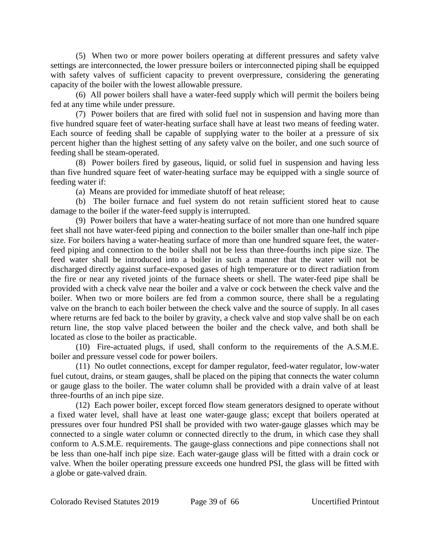(5) When two or more power boilers operating at different pressures and safety valve settings are interconnected, the lower pressure boilers or interconnected piping shall be equipped with safety valves of sufficient capacity to prevent overpressure, considering the generating capacity of the boiler with the lowest allowable pressure.

(6) All power boilers shall have a water-feed supply which will permit the boilers being fed at any time while under pressure.

(7) Power boilers that are fired with solid fuel not in suspension and having more than five hundred square feet of water-heating surface shall have at least two means of feeding water. Each source of feeding shall be capable of supplying water to the boiler at a pressure of six percent higher than the highest setting of any safety valve on the boiler, and one such source of feeding shall be steam-operated.

(8) Power boilers fired by gaseous, liquid, or solid fuel in suspension and having less than five hundred square feet of water-heating surface may be equipped with a single source of feeding water if:

(a) Means are provided for immediate shutoff of heat release;

(b) The boiler furnace and fuel system do not retain sufficient stored heat to cause damage to the boiler if the water-feed supply is interrupted.

(9) Power boilers that have a water-heating surface of not more than one hundred square feet shall not have water-feed piping and connection to the boiler smaller than one-half inch pipe size. For boilers having a water-heating surface of more than one hundred square feet, the waterfeed piping and connection to the boiler shall not be less than three-fourths inch pipe size. The feed water shall be introduced into a boiler in such a manner that the water will not be discharged directly against surface-exposed gases of high temperature or to direct radiation from the fire or near any riveted joints of the furnace sheets or shell. The water-feed pipe shall be provided with a check valve near the boiler and a valve or cock between the check valve and the boiler. When two or more boilers are fed from a common source, there shall be a regulating valve on the branch to each boiler between the check valve and the source of supply. In all cases where returns are fed back to the boiler by gravity, a check valve and stop valve shall be on each return line, the stop valve placed between the boiler and the check valve, and both shall be located as close to the boiler as practicable.

(10) Fire-actuated plugs, if used, shall conform to the requirements of the A.S.M.E. boiler and pressure vessel code for power boilers.

(11) No outlet connections, except for damper regulator, feed-water regulator, low-water fuel cutout, drains, or steam gauges, shall be placed on the piping that connects the water column or gauge glass to the boiler. The water column shall be provided with a drain valve of at least three-fourths of an inch pipe size.

(12) Each power boiler, except forced flow steam generators designed to operate without a fixed water level, shall have at least one water-gauge glass; except that boilers operated at pressures over four hundred PSI shall be provided with two water-gauge glasses which may be connected to a single water column or connected directly to the drum, in which case they shall conform to A.S.M.E. requirements. The gauge-glass connections and pipe connections shall not be less than one-half inch pipe size. Each water-gauge glass will be fitted with a drain cock or valve. When the boiler operating pressure exceeds one hundred PSI, the glass will be fitted with a globe or gate-valved drain.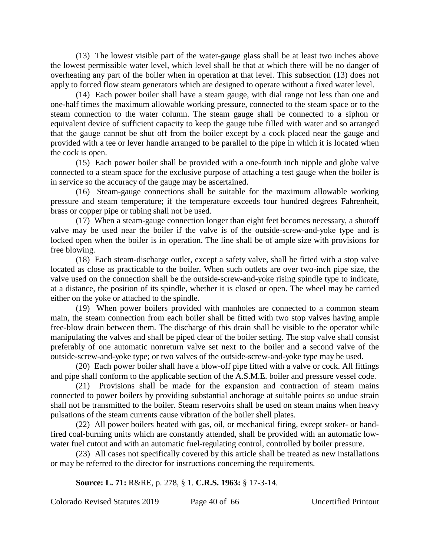(13) The lowest visible part of the water-gauge glass shall be at least two inches above the lowest permissible water level, which level shall be that at which there will be no danger of overheating any part of the boiler when in operation at that level. This subsection (13) does not apply to forced flow steam generators which are designed to operate without a fixed water level.

(14) Each power boiler shall have a steam gauge, with dial range not less than one and one-half times the maximum allowable working pressure, connected to the steam space or to the steam connection to the water column. The steam gauge shall be connected to a siphon or equivalent device of sufficient capacity to keep the gauge tube filled with water and so arranged that the gauge cannot be shut off from the boiler except by a cock placed near the gauge and provided with a tee or lever handle arranged to be parallel to the pipe in which it is located when the cock is open.

(15) Each power boiler shall be provided with a one-fourth inch nipple and globe valve connected to a steam space for the exclusive purpose of attaching a test gauge when the boiler is in service so the accuracy of the gauge may be ascertained.

(16) Steam-gauge connections shall be suitable for the maximum allowable working pressure and steam temperature; if the temperature exceeds four hundred degrees Fahrenheit, brass or copper pipe or tubing shall not be used.

(17) When a steam-gauge connection longer than eight feet becomes necessary, a shutoff valve may be used near the boiler if the valve is of the outside-screw-and-yoke type and is locked open when the boiler is in operation. The line shall be of ample size with provisions for free blowing.

(18) Each steam-discharge outlet, except a safety valve, shall be fitted with a stop valve located as close as practicable to the boiler. When such outlets are over two-inch pipe size, the valve used on the connection shall be the outside-screw-and-yoke rising spindle type to indicate, at a distance, the position of its spindle, whether it is closed or open. The wheel may be carried either on the yoke or attached to the spindle.

(19) When power boilers provided with manholes are connected to a common steam main, the steam connection from each boiler shall be fitted with two stop valves having ample free-blow drain between them. The discharge of this drain shall be visible to the operator while manipulating the valves and shall be piped clear of the boiler setting. The stop valve shall consist preferably of one automatic nonreturn valve set next to the boiler and a second valve of the outside-screw-and-yoke type; or two valves of the outside-screw-and-yoke type may be used.

(20) Each power boiler shall have a blow-off pipe fitted with a valve or cock. All fittings and pipe shall conform to the applicable section of the A.S.M.E. boiler and pressure vessel code.

(21) Provisions shall be made for the expansion and contraction of steam mains connected to power boilers by providing substantial anchorage at suitable points so undue strain shall not be transmitted to the boiler. Steam reservoirs shall be used on steam mains when heavy pulsations of the steam currents cause vibration of the boiler shell plates.

(22) All power boilers heated with gas, oil, or mechanical firing, except stoker- or handfired coal-burning units which are constantly attended, shall be provided with an automatic lowwater fuel cutout and with an automatic fuel-regulating control, controlled by boiler pressure.

(23) All cases not specifically covered by this article shall be treated as new installations or may be referred to the director for instructions concerning the requirements.

**Source: L. 71:** R&RE, p. 278, § 1. **C.R.S. 1963:** § 17-3-14.

Colorado Revised Statutes 2019 Page 40 of 66 Uncertified Printout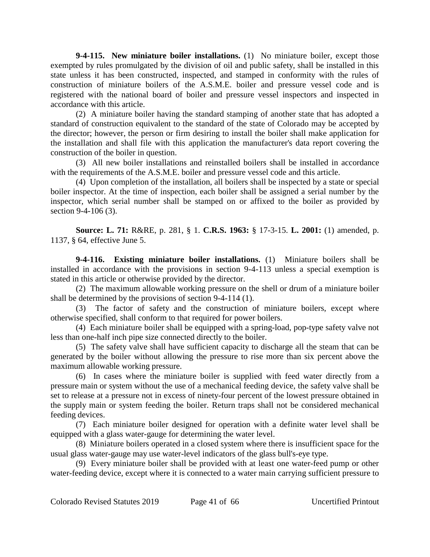**9-4-115. New miniature boiler installations.** (1) No miniature boiler, except those exempted by rules promulgated by the division of oil and public safety, shall be installed in this state unless it has been constructed, inspected, and stamped in conformity with the rules of construction of miniature boilers of the A.S.M.E. boiler and pressure vessel code and is registered with the national board of boiler and pressure vessel inspectors and inspected in accordance with this article.

(2) A miniature boiler having the standard stamping of another state that has adopted a standard of construction equivalent to the standard of the state of Colorado may be accepted by the director; however, the person or firm desiring to install the boiler shall make application for the installation and shall file with this application the manufacturer's data report covering the construction of the boiler in question.

(3) All new boiler installations and reinstalled boilers shall be installed in accordance with the requirements of the A.S.M.E. boiler and pressure vessel code and this article.

(4) Upon completion of the installation, all boilers shall be inspected by a state or special boiler inspector. At the time of inspection, each boiler shall be assigned a serial number by the inspector, which serial number shall be stamped on or affixed to the boiler as provided by section 9-4-106 (3).

**Source: L. 71:** R&RE, p. 281, § 1. **C.R.S. 1963:** § 17-3-15. **L. 2001:** (1) amended, p. 1137, § 64, effective June 5.

**9-4-116. Existing miniature boiler installations.** (1) Miniature boilers shall be installed in accordance with the provisions in section 9-4-113 unless a special exemption is stated in this article or otherwise provided by the director.

(2) The maximum allowable working pressure on the shell or drum of a miniature boiler shall be determined by the provisions of section 9-4-114 (1).

(3) The factor of safety and the construction of miniature boilers, except where otherwise specified, shall conform to that required for power boilers.

(4) Each miniature boiler shall be equipped with a spring-load, pop-type safety valve not less than one-half inch pipe size connected directly to the boiler.

(5) The safety valve shall have sufficient capacity to discharge all the steam that can be generated by the boiler without allowing the pressure to rise more than six percent above the maximum allowable working pressure.

(6) In cases where the miniature boiler is supplied with feed water directly from a pressure main or system without the use of a mechanical feeding device, the safety valve shall be set to release at a pressure not in excess of ninety-four percent of the lowest pressure obtained in the supply main or system feeding the boiler. Return traps shall not be considered mechanical feeding devices.

(7) Each miniature boiler designed for operation with a definite water level shall be equipped with a glass water-gauge for determining the water level.

(8) Miniature boilers operated in a closed system where there is insufficient space for the usual glass water-gauge may use water-level indicators of the glass bull's-eye type.

(9) Every miniature boiler shall be provided with at least one water-feed pump or other water-feeding device, except where it is connected to a water main carrying sufficient pressure to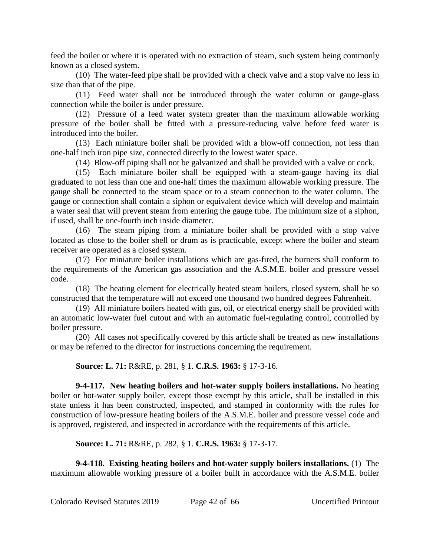feed the boiler or where it is operated with no extraction of steam, such system being commonly known as a closed system.

(10) The water-feed pipe shall be provided with a check valve and a stop valve no less in size than that of the pipe.

(11) Feed water shall not be introduced through the water column or gauge-glass connection while the boiler is under pressure.

(12) Pressure of a feed water system greater than the maximum allowable working pressure of the boiler shall be fitted with a pressure-reducing valve before feed water is introduced into the boiler.

(13) Each miniature boiler shall be provided with a blow-off connection, not less than one-half inch iron pipe size, connected directly to the lowest water space.

(14) Blow-off piping shall not be galvanized and shall be provided with a valve or cock.

(15) Each miniature boiler shall be equipped with a steam-gauge having its dial graduated to not less than one and one-half times the maximum allowable working pressure. The gauge shall be connected to the steam space or to a steam connection to the water column. The gauge or connection shall contain a siphon or equivalent device which will develop and maintain a water seal that will prevent steam from entering the gauge tube. The minimum size of a siphon, if used, shall be one-fourth inch inside diameter.

(16) The steam piping from a miniature boiler shall be provided with a stop valve located as close to the boiler shell or drum as is practicable, except where the boiler and steam receiver are operated as a closed system.

(17) For miniature boiler installations which are gas-fired, the burners shall conform to the requirements of the American gas association and the A.S.M.E. boiler and pressure vessel code.

(18) The heating element for electrically heated steam boilers, closed system, shall be so constructed that the temperature will not exceed one thousand two hundred degrees Fahrenheit.

(19) All miniature boilers heated with gas, oil, or electrical energy shall be provided with an automatic low-water fuel cutout and with an automatic fuel-regulating control, controlled by boiler pressure.

(20) All cases not specifically covered by this article shall be treated as new installations or may be referred to the director for instructions concerning the requirement.

**Source: L. 71:** R&RE, p. 281, § 1. **C.R.S. 1963:** § 17-3-16.

**9-4-117. New heating boilers and hot-water supply boilers installations.** No heating boiler or hot-water supply boiler, except those exempt by this article, shall be installed in this state unless it has been constructed, inspected, and stamped in conformity with the rules for construction of low-pressure heating boilers of the A.S.M.E. boiler and pressure vessel code and is approved, registered, and inspected in accordance with the requirements of this article.

**Source: L. 71:** R&RE, p. 282, § 1. **C.R.S. 1963:** § 17-3-17.

**9-4-118. Existing heating boilers and hot-water supply boilers installations.** (1) The maximum allowable working pressure of a boiler built in accordance with the A.S.M.E. boiler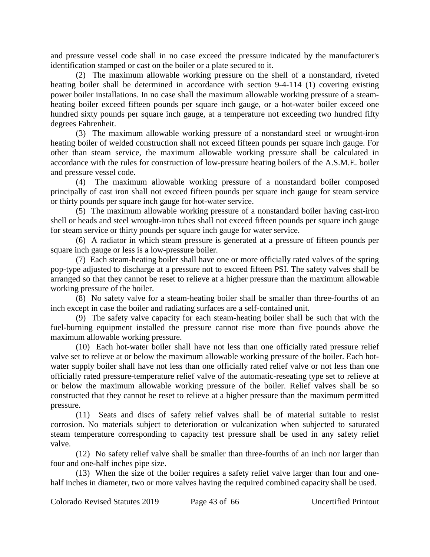and pressure vessel code shall in no case exceed the pressure indicated by the manufacturer's identification stamped or cast on the boiler or a plate secured to it.

(2) The maximum allowable working pressure on the shell of a nonstandard, riveted heating boiler shall be determined in accordance with section 9-4-114 (1) covering existing power boiler installations. In no case shall the maximum allowable working pressure of a steamheating boiler exceed fifteen pounds per square inch gauge, or a hot-water boiler exceed one hundred sixty pounds per square inch gauge, at a temperature not exceeding two hundred fifty degrees Fahrenheit.

(3) The maximum allowable working pressure of a nonstandard steel or wrought-iron heating boiler of welded construction shall not exceed fifteen pounds per square inch gauge. For other than steam service, the maximum allowable working pressure shall be calculated in accordance with the rules for construction of low-pressure heating boilers of the A.S.M.E. boiler and pressure vessel code.

(4) The maximum allowable working pressure of a nonstandard boiler composed principally of cast iron shall not exceed fifteen pounds per square inch gauge for steam service or thirty pounds per square inch gauge for hot-water service.

(5) The maximum allowable working pressure of a nonstandard boiler having cast-iron shell or heads and steel wrought-iron tubes shall not exceed fifteen pounds per square inch gauge for steam service or thirty pounds per square inch gauge for water service.

(6) A radiator in which steam pressure is generated at a pressure of fifteen pounds per square inch gauge or less is a low-pressure boiler.

(7) Each steam-heating boiler shall have one or more officially rated valves of the spring pop-type adjusted to discharge at a pressure not to exceed fifteen PSI. The safety valves shall be arranged so that they cannot be reset to relieve at a higher pressure than the maximum allowable working pressure of the boiler.

(8) No safety valve for a steam-heating boiler shall be smaller than three-fourths of an inch except in case the boiler and radiating surfaces are a self-contained unit.

(9) The safety valve capacity for each steam-heating boiler shall be such that with the fuel-burning equipment installed the pressure cannot rise more than five pounds above the maximum allowable working pressure.

(10) Each hot-water boiler shall have not less than one officially rated pressure relief valve set to relieve at or below the maximum allowable working pressure of the boiler. Each hotwater supply boiler shall have not less than one officially rated relief valve or not less than one officially rated pressure-temperature relief valve of the automatic-reseating type set to relieve at or below the maximum allowable working pressure of the boiler. Relief valves shall be so constructed that they cannot be reset to relieve at a higher pressure than the maximum permitted pressure.

(11) Seats and discs of safety relief valves shall be of material suitable to resist corrosion. No materials subject to deterioration or vulcanization when subjected to saturated steam temperature corresponding to capacity test pressure shall be used in any safety relief valve.

(12) No safety relief valve shall be smaller than three-fourths of an inch nor larger than four and one-half inches pipe size.

(13) When the size of the boiler requires a safety relief valve larger than four and onehalf inches in diameter, two or more valves having the required combined capacity shall be used.

Colorado Revised Statutes 2019 Page 43 of 66 Uncertified Printout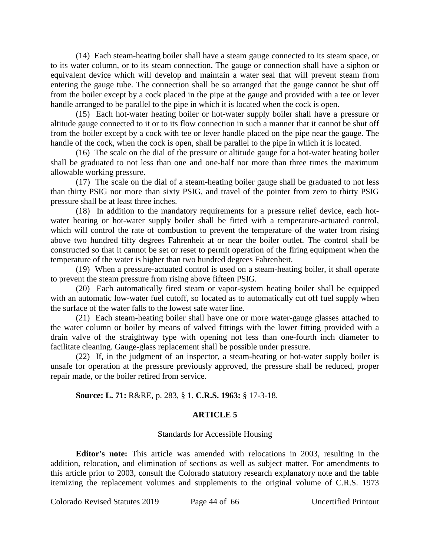(14) Each steam-heating boiler shall have a steam gauge connected to its steam space, or to its water column, or to its steam connection. The gauge or connection shall have a siphon or equivalent device which will develop and maintain a water seal that will prevent steam from entering the gauge tube. The connection shall be so arranged that the gauge cannot be shut off from the boiler except by a cock placed in the pipe at the gauge and provided with a tee or lever handle arranged to be parallel to the pipe in which it is located when the cock is open.

(15) Each hot-water heating boiler or hot-water supply boiler shall have a pressure or altitude gauge connected to it or to its flow connection in such a manner that it cannot be shut off from the boiler except by a cock with tee or lever handle placed on the pipe near the gauge. The handle of the cock, when the cock is open, shall be parallel to the pipe in which it is located.

(16) The scale on the dial of the pressure or altitude gauge for a hot-water heating boiler shall be graduated to not less than one and one-half nor more than three times the maximum allowable working pressure.

(17) The scale on the dial of a steam-heating boiler gauge shall be graduated to not less than thirty PSIG nor more than sixty PSIG, and travel of the pointer from zero to thirty PSIG pressure shall be at least three inches.

(18) In addition to the mandatory requirements for a pressure relief device, each hotwater heating or hot-water supply boiler shall be fitted with a temperature-actuated control, which will control the rate of combustion to prevent the temperature of the water from rising above two hundred fifty degrees Fahrenheit at or near the boiler outlet. The control shall be constructed so that it cannot be set or reset to permit operation of the firing equipment when the temperature of the water is higher than two hundred degrees Fahrenheit.

(19) When a pressure-actuated control is used on a steam-heating boiler, it shall operate to prevent the steam pressure from rising above fifteen PSIG.

(20) Each automatically fired steam or vapor-system heating boiler shall be equipped with an automatic low-water fuel cutoff, so located as to automatically cut off fuel supply when the surface of the water falls to the lowest safe water line.

(21) Each steam-heating boiler shall have one or more water-gauge glasses attached to the water column or boiler by means of valved fittings with the lower fitting provided with a drain valve of the straightway type with opening not less than one-fourth inch diameter to facilitate cleaning. Gauge-glass replacement shall be possible under pressure.

(22) If, in the judgment of an inspector, a steam-heating or hot-water supply boiler is unsafe for operation at the pressure previously approved, the pressure shall be reduced, proper repair made, or the boiler retired from service.

# **Source: L. 71:** R&RE, p. 283, § 1. **C.R.S. 1963:** § 17-3-18.

## **ARTICLE 5**

## Standards for Accessible Housing

**Editor's note:** This article was amended with relocations in 2003, resulting in the addition, relocation, and elimination of sections as well as subject matter. For amendments to this article prior to 2003, consult the Colorado statutory research explanatory note and the table itemizing the replacement volumes and supplements to the original volume of C.R.S. 1973

Colorado Revised Statutes 2019 Page 44 of 66 Uncertified Printout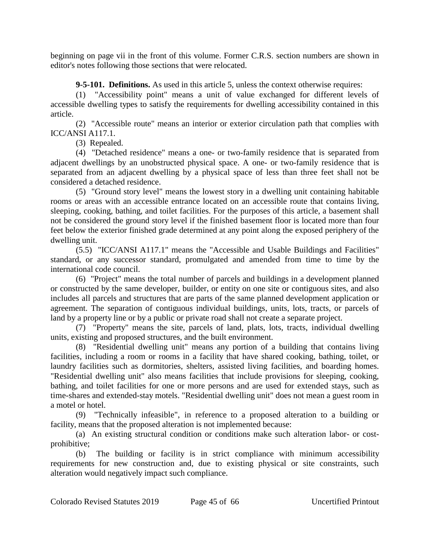beginning on page vii in the front of this volume. Former C.R.S. section numbers are shown in editor's notes following those sections that were relocated.

**9-5-101. Definitions.** As used in this article 5, unless the context otherwise requires:

(1) "Accessibility point" means a unit of value exchanged for different levels of accessible dwelling types to satisfy the requirements for dwelling accessibility contained in this article.

(2) "Accessible route" means an interior or exterior circulation path that complies with ICC/ANSI A117.1.

(3) Repealed.

(4) "Detached residence" means a one- or two-family residence that is separated from adjacent dwellings by an unobstructed physical space. A one- or two-family residence that is separated from an adjacent dwelling by a physical space of less than three feet shall not be considered a detached residence.

(5) "Ground story level" means the lowest story in a dwelling unit containing habitable rooms or areas with an accessible entrance located on an accessible route that contains living, sleeping, cooking, bathing, and toilet facilities. For the purposes of this article, a basement shall not be considered the ground story level if the finished basement floor is located more than four feet below the exterior finished grade determined at any point along the exposed periphery of the dwelling unit.

(5.5) "ICC/ANSI A117.1" means the "Accessible and Usable Buildings and Facilities" standard, or any successor standard, promulgated and amended from time to time by the international code council.

(6) "Project" means the total number of parcels and buildings in a development planned or constructed by the same developer, builder, or entity on one site or contiguous sites, and also includes all parcels and structures that are parts of the same planned development application or agreement. The separation of contiguous individual buildings, units, lots, tracts, or parcels of land by a property line or by a public or private road shall not create a separate project.

(7) "Property" means the site, parcels of land, plats, lots, tracts, individual dwelling units, existing and proposed structures, and the built environment.

(8) "Residential dwelling unit" means any portion of a building that contains living facilities, including a room or rooms in a facility that have shared cooking, bathing, toilet, or laundry facilities such as dormitories, shelters, assisted living facilities, and boarding homes. "Residential dwelling unit" also means facilities that include provisions for sleeping, cooking, bathing, and toilet facilities for one or more persons and are used for extended stays, such as time-shares and extended-stay motels. "Residential dwelling unit" does not mean a guest room in a motel or hotel.

(9) "Technically infeasible", in reference to a proposed alteration to a building or facility, means that the proposed alteration is not implemented because:

(a) An existing structural condition or conditions make such alteration labor- or costprohibitive;

(b) The building or facility is in strict compliance with minimum accessibility requirements for new construction and, due to existing physical or site constraints, such alteration would negatively impact such compliance.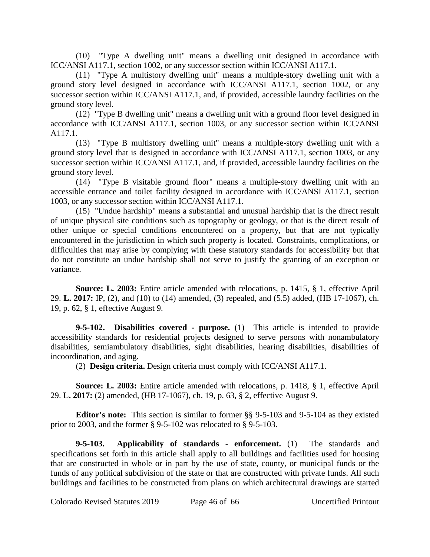(10) "Type A dwelling unit" means a dwelling unit designed in accordance with ICC/ANSI A117.1, section 1002, or any successor section within ICC/ANSI A117.1.

(11) "Type A multistory dwelling unit" means a multiple-story dwelling unit with a ground story level designed in accordance with ICC/ANSI A117.1, section 1002, or any successor section within ICC/ANSI A117.1, and, if provided, accessible laundry facilities on the ground story level.

(12) "Type B dwelling unit" means a dwelling unit with a ground floor level designed in accordance with ICC/ANSI A117.1, section 1003, or any successor section within ICC/ANSI A117.1.

(13) "Type B multistory dwelling unit" means a multiple-story dwelling unit with a ground story level that is designed in accordance with ICC/ANSI A117.1, section 1003, or any successor section within ICC/ANSI A117.1, and, if provided, accessible laundry facilities on the ground story level.

(14) "Type B visitable ground floor" means a multiple-story dwelling unit with an accessible entrance and toilet facility designed in accordance with ICC/ANSI A117.1, section 1003, or any successor section within ICC/ANSI A117.1.

(15) "Undue hardship" means a substantial and unusual hardship that is the direct result of unique physical site conditions such as topography or geology, or that is the direct result of other unique or special conditions encountered on a property, but that are not typically encountered in the jurisdiction in which such property is located. Constraints, complications, or difficulties that may arise by complying with these statutory standards for accessibility but that do not constitute an undue hardship shall not serve to justify the granting of an exception or variance.

**Source: L. 2003:** Entire article amended with relocations, p. 1415, § 1, effective April 29. **L. 2017:** IP, (2), and (10) to (14) amended, (3) repealed, and (5.5) added, (HB 17-1067), ch. 19, p. 62, § 1, effective August 9.

**9-5-102. Disabilities covered - purpose.** (1) This article is intended to provide accessibility standards for residential projects designed to serve persons with nonambulatory disabilities, semiambulatory disabilities, sight disabilities, hearing disabilities, disabilities of incoordination, and aging.

(2) **Design criteria.** Design criteria must comply with ICC/ANSI A117.1.

**Source: L. 2003:** Entire article amended with relocations, p. 1418, § 1, effective April 29. **L. 2017:** (2) amended, (HB 17-1067), ch. 19, p. 63, § 2, effective August 9.

**Editor's note:** This section is similar to former §§ 9-5-103 and 9-5-104 as they existed prior to 2003, and the former § 9-5-102 was relocated to § 9-5-103.

**9-5-103. Applicability of standards - enforcement.** (1) The standards and specifications set forth in this article shall apply to all buildings and facilities used for housing that are constructed in whole or in part by the use of state, county, or municipal funds or the funds of any political subdivision of the state or that are constructed with private funds. All such buildings and facilities to be constructed from plans on which architectural drawings are started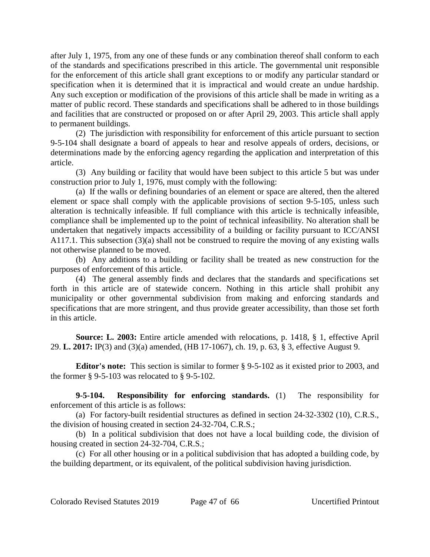after July 1, 1975, from any one of these funds or any combination thereof shall conform to each of the standards and specifications prescribed in this article. The governmental unit responsible for the enforcement of this article shall grant exceptions to or modify any particular standard or specification when it is determined that it is impractical and would create an undue hardship. Any such exception or modification of the provisions of this article shall be made in writing as a matter of public record. These standards and specifications shall be adhered to in those buildings and facilities that are constructed or proposed on or after April 29, 2003. This article shall apply to permanent buildings.

(2) The jurisdiction with responsibility for enforcement of this article pursuant to section 9-5-104 shall designate a board of appeals to hear and resolve appeals of orders, decisions, or determinations made by the enforcing agency regarding the application and interpretation of this article.

(3) Any building or facility that would have been subject to this article 5 but was under construction prior to July 1, 1976, must comply with the following:

(a) If the walls or defining boundaries of an element or space are altered, then the altered element or space shall comply with the applicable provisions of section 9-5-105, unless such alteration is technically infeasible. If full compliance with this article is technically infeasible, compliance shall be implemented up to the point of technical infeasibility. No alteration shall be undertaken that negatively impacts accessibility of a building or facility pursuant to ICC/ANSI A117.1. This subsection (3)(a) shall not be construed to require the moving of any existing walls not otherwise planned to be moved.

(b) Any additions to a building or facility shall be treated as new construction for the purposes of enforcement of this article.

(4) The general assembly finds and declares that the standards and specifications set forth in this article are of statewide concern. Nothing in this article shall prohibit any municipality or other governmental subdivision from making and enforcing standards and specifications that are more stringent, and thus provide greater accessibility, than those set forth in this article.

**Source: L. 2003:** Entire article amended with relocations, p. 1418, § 1, effective April 29. **L. 2017:** IP(3) and (3)(a) amended, (HB 17-1067), ch. 19, p. 63, § 3, effective August 9.

**Editor's note:** This section is similar to former § 9-5-102 as it existed prior to 2003, and the former § 9-5-103 was relocated to § 9-5-102.

**9-5-104. Responsibility for enforcing standards.** (1) The responsibility for enforcement of this article is as follows:

(a) For factory-built residential structures as defined in section 24-32-3302 (10), C.R.S., the division of housing created in section 24-32-704, C.R.S.;

(b) In a political subdivision that does not have a local building code, the division of housing created in section 24-32-704, C.R.S.;

(c) For all other housing or in a political subdivision that has adopted a building code, by the building department, or its equivalent, of the political subdivision having jurisdiction.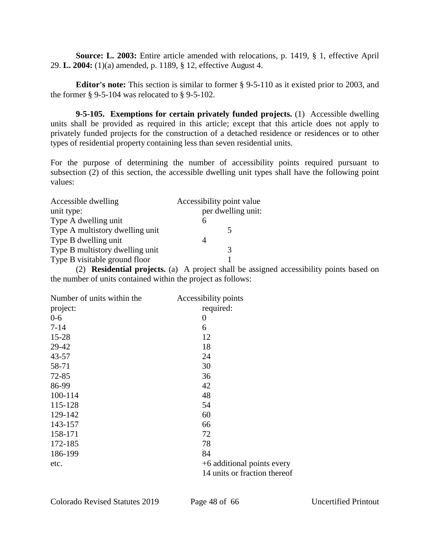**Source: L. 2003:** Entire article amended with relocations, p. 1419, § 1, effective April 29. **L. 2004:** (1)(a) amended, p. 1189, § 12, effective August 4.

**Editor's note:** This section is similar to former § 9-5-110 as it existed prior to 2003, and the former § 9-5-104 was relocated to § 9-5-102.

**9-5-105. Exemptions for certain privately funded projects.** (1) Accessible dwelling units shall be provided as required in this article; except that this article does not apply to privately funded projects for the construction of a detached residence or residences or to other types of residential property containing less than seven residential units.

For the purpose of determining the number of accessibility points required pursuant to subsection (2) of this section, the accessible dwelling unit types shall have the following point values:

| Accessible dwelling             | Accessibility point value |
|---------------------------------|---------------------------|
| unit type:                      | per dwelling unit:        |
| Type A dwelling unit            | h                         |
| Type A multistory dwelling unit |                           |
| Type B dwelling unit            |                           |
| Type B multistory dwelling unit |                           |
| Type B visitable ground floor   |                           |

(2) **Residential projects.** (a) A project shall be assigned accessibility points based on the number of units contained within the project as follows:

| Number of units within the | Accessibility points         |
|----------------------------|------------------------------|
| project:                   | required:                    |
| $0-6$                      | $\overline{0}$               |
| $7 - 14$                   | 6                            |
| 15-28                      | 12                           |
| 29-42                      | 18                           |
| $43 - 57$                  | 24                           |
| 58-71                      | 30                           |
| 72-85                      | 36                           |
| 86-99                      | 42                           |
| 100-114                    | 48                           |
| 115-128                    | 54                           |
| 129-142                    | 60                           |
| 143-157                    | 66                           |
| 158-171                    | 72                           |
| 172-185                    | 78                           |
| 186-199                    | 84                           |
| etc.                       | +6 additional points every   |
|                            | 14 units or fraction thereof |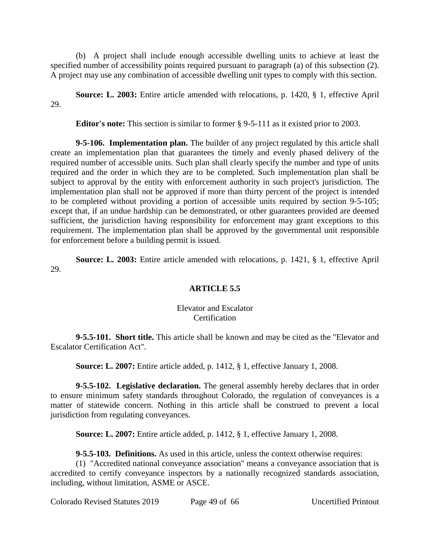(b) A project shall include enough accessible dwelling units to achieve at least the specified number of accessibility points required pursuant to paragraph (a) of this subsection (2). A project may use any combination of accessible dwelling unit types to comply with this section.

**Source: L. 2003:** Entire article amended with relocations, p. 1420, § 1, effective April 29.

**Editor's note:** This section is similar to former § 9-5-111 as it existed prior to 2003.

**9-5-106. Implementation plan.** The builder of any project regulated by this article shall create an implementation plan that guarantees the timely and evenly phased delivery of the required number of accessible units. Such plan shall clearly specify the number and type of units required and the order in which they are to be completed. Such implementation plan shall be subject to approval by the entity with enforcement authority in such project's jurisdiction. The implementation plan shall not be approved if more than thirty percent of the project is intended to be completed without providing a portion of accessible units required by section 9-5-105; except that, if an undue hardship can be demonstrated, or other guarantees provided are deemed sufficient, the jurisdiction having responsibility for enforcement may grant exceptions to this requirement. The implementation plan shall be approved by the governmental unit responsible for enforcement before a building permit is issued.

**Source: L. 2003:** Entire article amended with relocations, p. 1421, § 1, effective April 29.

# **ARTICLE 5.5**

# Elevator and Escalator **Certification**

**9-5.5-101. Short title.** This article shall be known and may be cited as the "Elevator and Escalator Certification Act".

**Source: L. 2007:** Entire article added, p. 1412, § 1, effective January 1, 2008.

**9-5.5-102. Legislative declaration.** The general assembly hereby declares that in order to ensure minimum safety standards throughout Colorado, the regulation of conveyances is a matter of statewide concern. Nothing in this article shall be construed to prevent a local jurisdiction from regulating conveyances.

**Source: L. 2007:** Entire article added, p. 1412, § 1, effective January 1, 2008.

**9-5.5-103. Definitions.** As used in this article, unless the context otherwise requires:

(1) "Accredited national conveyance association" means a conveyance association that is accredited to certify conveyance inspectors by a nationally recognized standards association, including, without limitation, ASME or ASCE.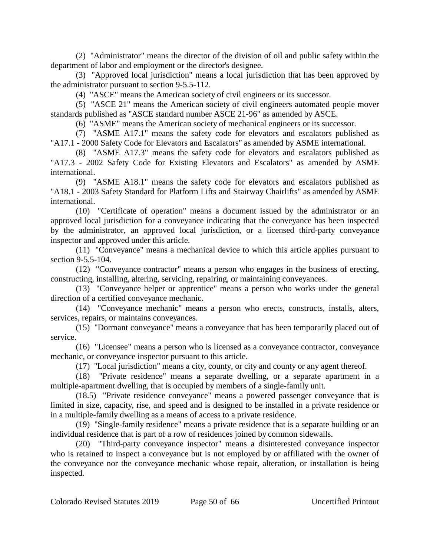(2) "Administrator" means the director of the division of oil and public safety within the department of labor and employment or the director's designee.

(3) "Approved local jurisdiction" means a local jurisdiction that has been approved by the administrator pursuant to section 9-5.5-112.

(4) "ASCE" means the American society of civil engineers or its successor.

(5) "ASCE 21" means the American society of civil engineers automated people mover standards published as "ASCE standard number ASCE 21-96" as amended by ASCE.

(6) "ASME" means the American society of mechanical engineers or its successor.

(7) "ASME A17.1" means the safety code for elevators and escalators published as "A17.1 - 2000 Safety Code for Elevators and Escalators" as amended by ASME international.

(8) "ASME A17.3" means the safety code for elevators and escalators published as "A17.3 - 2002 Safety Code for Existing Elevators and Escalators" as amended by ASME international.

(9) "ASME A18.1" means the safety code for elevators and escalators published as "A18.1 - 2003 Safety Standard for Platform Lifts and Stairway Chairlifts" as amended by ASME international.

(10) "Certificate of operation" means a document issued by the administrator or an approved local jurisdiction for a conveyance indicating that the conveyance has been inspected by the administrator, an approved local jurisdiction, or a licensed third-party conveyance inspector and approved under this article.

(11) "Conveyance" means a mechanical device to which this article applies pursuant to section 9-5.5-104.

(12) "Conveyance contractor" means a person who engages in the business of erecting, constructing, installing, altering, servicing, repairing, or maintaining conveyances.

(13) "Conveyance helper or apprentice" means a person who works under the general direction of a certified conveyance mechanic.

(14) "Conveyance mechanic" means a person who erects, constructs, installs, alters, services, repairs, or maintains conveyances.

(15) "Dormant conveyance" means a conveyance that has been temporarily placed out of service.

(16) "Licensee" means a person who is licensed as a conveyance contractor, conveyance mechanic, or conveyance inspector pursuant to this article.

(17) "Local jurisdiction" means a city, county, or city and county or any agent thereof.

(18) "Private residence" means a separate dwelling, or a separate apartment in a multiple-apartment dwelling, that is occupied by members of a single-family unit.

(18.5) "Private residence conveyance" means a powered passenger conveyance that is limited in size, capacity, rise, and speed and is designed to be installed in a private residence or in a multiple-family dwelling as a means of access to a private residence.

(19) "Single-family residence" means a private residence that is a separate building or an individual residence that is part of a row of residences joined by common sidewalls.

(20) "Third-party conveyance inspector" means a disinterested conveyance inspector who is retained to inspect a conveyance but is not employed by or affiliated with the owner of the conveyance nor the conveyance mechanic whose repair, alteration, or installation is being inspected.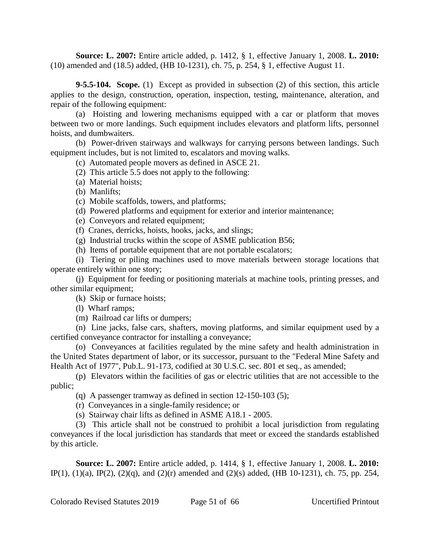**Source: L. 2007:** Entire article added, p. 1412, § 1, effective January 1, 2008. **L. 2010:** (10) amended and (18.5) added, (HB 10-1231), ch. 75, p. 254, § 1, effective August 11.

**9-5.5-104. Scope.** (1) Except as provided in subsection (2) of this section, this article applies to the design, construction, operation, inspection, testing, maintenance, alteration, and repair of the following equipment:

(a) Hoisting and lowering mechanisms equipped with a car or platform that moves between two or more landings. Such equipment includes elevators and platform lifts, personnel hoists, and dumbwaiters.

(b) Power-driven stairways and walkways for carrying persons between landings. Such equipment includes, but is not limited to, escalators and moving walks.

(c) Automated people movers as defined in ASCE 21.

(2) This article 5.5 does not apply to the following:

(a) Material hoists;

(b) Manlifts;

(c) Mobile scaffolds, towers, and platforms;

(d) Powered platforms and equipment for exterior and interior maintenance;

(e) Conveyors and related equipment;

(f) Cranes, derricks, hoists, hooks, jacks, and slings;

(g) Industrial trucks within the scope of ASME publication B56;

(h) Items of portable equipment that are not portable escalators;

(i) Tiering or piling machines used to move materials between storage locations that operate entirely within one story;

(j) Equipment for feeding or positioning materials at machine tools, printing presses, and other similar equipment;

(k) Skip or furnace hoists;

(l) Wharf ramps;

(m) Railroad car lifts or dumpers;

(n) Line jacks, false cars, shafters, moving platforms, and similar equipment used by a certified conveyance contractor for installing a conveyance;

(o) Conveyances at facilities regulated by the mine safety and health administration in the United States department of labor, or its successor, pursuant to the "Federal Mine Safety and Health Act of 1977", Pub.L. 91-173, codified at 30 U.S.C. sec. 801 et seq., as amended;

(p) Elevators within the facilities of gas or electric utilities that are not accessible to the public;

(q) A passenger tramway as defined in section 12-150-103 (5);

(r) Conveyances in a single-family residence; or

(s) Stairway chair lifts as defined in ASME A18.1 - 2005.

(3) This article shall not be construed to prohibit a local jurisdiction from regulating conveyances if the local jurisdiction has standards that meet or exceed the standards established by this article.

**Source: L. 2007:** Entire article added, p. 1414, § 1, effective January 1, 2008. **L. 2010:** IP(1), (1)(a), IP(2), (2)(q), and (2)(r) amended and (2)(s) added, (HB 10-1231), ch. 75, pp. 254,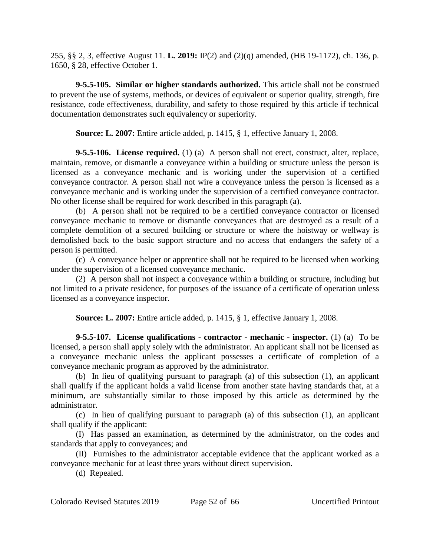255, §§ 2, 3, effective August 11. **L. 2019:** IP(2) and (2)(q) amended, (HB 19-1172), ch. 136, p. 1650, § 28, effective October 1.

**9-5.5-105. Similar or higher standards authorized.** This article shall not be construed to prevent the use of systems, methods, or devices of equivalent or superior quality, strength, fire resistance, code effectiveness, durability, and safety to those required by this article if technical documentation demonstrates such equivalency or superiority.

**Source: L. 2007:** Entire article added, p. 1415, § 1, effective January 1, 2008.

**9-5.5-106. License required.** (1) (a) A person shall not erect, construct, alter, replace, maintain, remove, or dismantle a conveyance within a building or structure unless the person is licensed as a conveyance mechanic and is working under the supervision of a certified conveyance contractor. A person shall not wire a conveyance unless the person is licensed as a conveyance mechanic and is working under the supervision of a certified conveyance contractor. No other license shall be required for work described in this paragraph (a).

(b) A person shall not be required to be a certified conveyance contractor or licensed conveyance mechanic to remove or dismantle conveyances that are destroyed as a result of a complete demolition of a secured building or structure or where the hoistway or wellway is demolished back to the basic support structure and no access that endangers the safety of a person is permitted.

(c) A conveyance helper or apprentice shall not be required to be licensed when working under the supervision of a licensed conveyance mechanic.

(2) A person shall not inspect a conveyance within a building or structure, including but not limited to a private residence, for purposes of the issuance of a certificate of operation unless licensed as a conveyance inspector.

**Source: L. 2007:** Entire article added, p. 1415, § 1, effective January 1, 2008.

**9-5.5-107. License qualifications - contractor - mechanic - inspector.** (1) (a) To be licensed, a person shall apply solely with the administrator. An applicant shall not be licensed as a conveyance mechanic unless the applicant possesses a certificate of completion of a conveyance mechanic program as approved by the administrator.

(b) In lieu of qualifying pursuant to paragraph (a) of this subsection (1), an applicant shall qualify if the applicant holds a valid license from another state having standards that, at a minimum, are substantially similar to those imposed by this article as determined by the administrator.

(c) In lieu of qualifying pursuant to paragraph (a) of this subsection (1), an applicant shall qualify if the applicant:

(I) Has passed an examination, as determined by the administrator, on the codes and standards that apply to conveyances; and

(II) Furnishes to the administrator acceptable evidence that the applicant worked as a conveyance mechanic for at least three years without direct supervision.

(d) Repealed.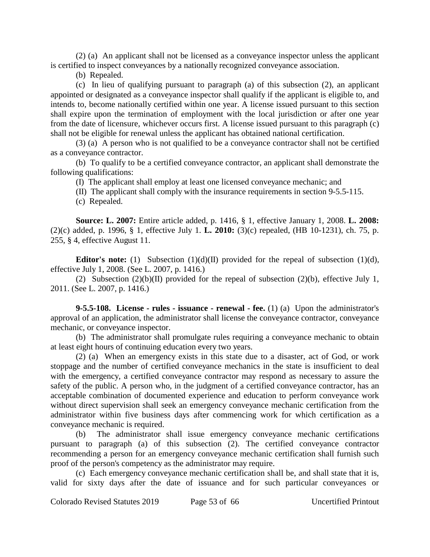(2) (a) An applicant shall not be licensed as a conveyance inspector unless the applicant is certified to inspect conveyances by a nationally recognized conveyance association.

(b) Repealed.

(c) In lieu of qualifying pursuant to paragraph (a) of this subsection (2), an applicant appointed or designated as a conveyance inspector shall qualify if the applicant is eligible to, and intends to, become nationally certified within one year. A license issued pursuant to this section shall expire upon the termination of employment with the local jurisdiction or after one year from the date of licensure, whichever occurs first. A license issued pursuant to this paragraph (c) shall not be eligible for renewal unless the applicant has obtained national certification.

(3) (a) A person who is not qualified to be a conveyance contractor shall not be certified as a conveyance contractor.

(b) To qualify to be a certified conveyance contractor, an applicant shall demonstrate the following qualifications:

(I) The applicant shall employ at least one licensed conveyance mechanic; and

(II) The applicant shall comply with the insurance requirements in section 9-5.5-115.

(c) Repealed.

**Source: L. 2007:** Entire article added, p. 1416, § 1, effective January 1, 2008. **L. 2008:** (2)(c) added, p. 1996, § 1, effective July 1. **L. 2010:** (3)(c) repealed, (HB 10-1231), ch. 75, p. 255, § 4, effective August 11.

**Editor's note:** (1) Subsection (1)(d)(II) provided for the repeal of subsection (1)(d), effective July 1, 2008. (See L. 2007, p. 1416.)

(2) Subsection  $(2)(b)(II)$  provided for the repeal of subsection  $(2)(b)$ , effective July 1, 2011. (See L. 2007, p. 1416.)

**9-5.5-108. License - rules - issuance - renewal - fee.** (1) (a) Upon the administrator's approval of an application, the administrator shall license the conveyance contractor, conveyance mechanic, or conveyance inspector.

(b) The administrator shall promulgate rules requiring a conveyance mechanic to obtain at least eight hours of continuing education every two years.

(2) (a) When an emergency exists in this state due to a disaster, act of God, or work stoppage and the number of certified conveyance mechanics in the state is insufficient to deal with the emergency, a certified conveyance contractor may respond as necessary to assure the safety of the public. A person who, in the judgment of a certified conveyance contractor, has an acceptable combination of documented experience and education to perform conveyance work without direct supervision shall seek an emergency conveyance mechanic certification from the administrator within five business days after commencing work for which certification as a conveyance mechanic is required.

(b) The administrator shall issue emergency conveyance mechanic certifications pursuant to paragraph (a) of this subsection (2). The certified conveyance contractor recommending a person for an emergency conveyance mechanic certification shall furnish such proof of the person's competency as the administrator may require.

(c) Each emergency conveyance mechanic certification shall be, and shall state that it is, valid for sixty days after the date of issuance and for such particular conveyances or

Colorado Revised Statutes 2019 Page 53 of 66 Uncertified Printout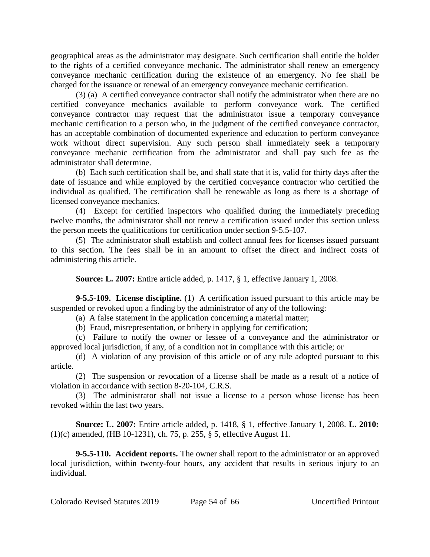geographical areas as the administrator may designate. Such certification shall entitle the holder to the rights of a certified conveyance mechanic. The administrator shall renew an emergency conveyance mechanic certification during the existence of an emergency. No fee shall be charged for the issuance or renewal of an emergency conveyance mechanic certification.

(3) (a) A certified conveyance contractor shall notify the administrator when there are no certified conveyance mechanics available to perform conveyance work. The certified conveyance contractor may request that the administrator issue a temporary conveyance mechanic certification to a person who, in the judgment of the certified conveyance contractor, has an acceptable combination of documented experience and education to perform conveyance work without direct supervision. Any such person shall immediately seek a temporary conveyance mechanic certification from the administrator and shall pay such fee as the administrator shall determine.

(b) Each such certification shall be, and shall state that it is, valid for thirty days after the date of issuance and while employed by the certified conveyance contractor who certified the individual as qualified. The certification shall be renewable as long as there is a shortage of licensed conveyance mechanics.

(4) Except for certified inspectors who qualified during the immediately preceding twelve months, the administrator shall not renew a certification issued under this section unless the person meets the qualifications for certification under section 9-5.5-107.

(5) The administrator shall establish and collect annual fees for licenses issued pursuant to this section. The fees shall be in an amount to offset the direct and indirect costs of administering this article.

**Source: L. 2007:** Entire article added, p. 1417, § 1, effective January 1, 2008.

**9-5.5-109. License discipline.** (1) A certification issued pursuant to this article may be suspended or revoked upon a finding by the administrator of any of the following:

(a) A false statement in the application concerning a material matter;

(b) Fraud, misrepresentation, or bribery in applying for certification;

(c) Failure to notify the owner or lessee of a conveyance and the administrator or approved local jurisdiction, if any, of a condition not in compliance with this article; or

(d) A violation of any provision of this article or of any rule adopted pursuant to this article.

(2) The suspension or revocation of a license shall be made as a result of a notice of violation in accordance with section 8-20-104, C.R.S.

(3) The administrator shall not issue a license to a person whose license has been revoked within the last two years.

**Source: L. 2007:** Entire article added, p. 1418, § 1, effective January 1, 2008. **L. 2010:** (1)(c) amended, (HB 10-1231), ch. 75, p. 255, § 5, effective August 11.

**9-5.5-110. Accident reports.** The owner shall report to the administrator or an approved local jurisdiction, within twenty-four hours, any accident that results in serious injury to an individual.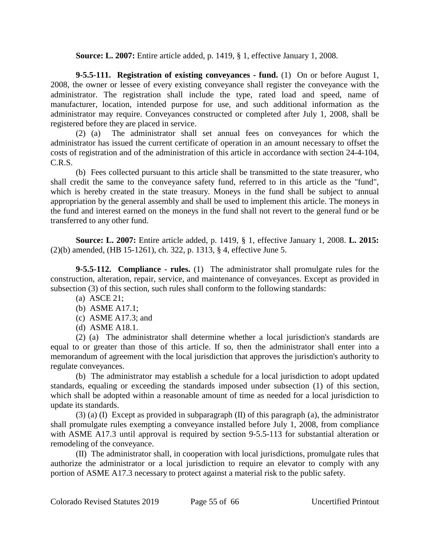**Source: L. 2007:** Entire article added, p. 1419, § 1, effective January 1, 2008.

**9-5.5-111. Registration of existing conveyances - fund.** (1) On or before August 1, 2008, the owner or lessee of every existing conveyance shall register the conveyance with the administrator. The registration shall include the type, rated load and speed, name of manufacturer, location, intended purpose for use, and such additional information as the administrator may require. Conveyances constructed or completed after July 1, 2008, shall be registered before they are placed in service.

(2) (a) The administrator shall set annual fees on conveyances for which the administrator has issued the current certificate of operation in an amount necessary to offset the costs of registration and of the administration of this article in accordance with section 24-4-104, C.R.S.

(b) Fees collected pursuant to this article shall be transmitted to the state treasurer, who shall credit the same to the conveyance safety fund, referred to in this article as the "fund", which is hereby created in the state treasury. Moneys in the fund shall be subject to annual appropriation by the general assembly and shall be used to implement this article. The moneys in the fund and interest earned on the moneys in the fund shall not revert to the general fund or be transferred to any other fund.

**Source: L. 2007:** Entire article added, p. 1419, § 1, effective January 1, 2008. **L. 2015:** (2)(b) amended, (HB 15-1261), ch. 322, p. 1313, § 4, effective June 5.

**9-5.5-112. Compliance - rules.** (1) The administrator shall promulgate rules for the construction, alteration, repair, service, and maintenance of conveyances. Except as provided in subsection (3) of this section, such rules shall conform to the following standards:

- (a) ASCE 21;
- (b) ASME A17.1;
- (c) ASME A17.3; and
- (d) ASME A18.1.

(2) (a) The administrator shall determine whether a local jurisdiction's standards are equal to or greater than those of this article. If so, then the administrator shall enter into a memorandum of agreement with the local jurisdiction that approves the jurisdiction's authority to regulate conveyances.

(b) The administrator may establish a schedule for a local jurisdiction to adopt updated standards, equaling or exceeding the standards imposed under subsection (1) of this section, which shall be adopted within a reasonable amount of time as needed for a local jurisdiction to update its standards.

(3) (a) (I) Except as provided in subparagraph (II) of this paragraph (a), the administrator shall promulgate rules exempting a conveyance installed before July 1, 2008, from compliance with ASME A17.3 until approval is required by section 9-5.5-113 for substantial alteration or remodeling of the conveyance.

(II) The administrator shall, in cooperation with local jurisdictions, promulgate rules that authorize the administrator or a local jurisdiction to require an elevator to comply with any portion of ASME A17.3 necessary to protect against a material risk to the public safety.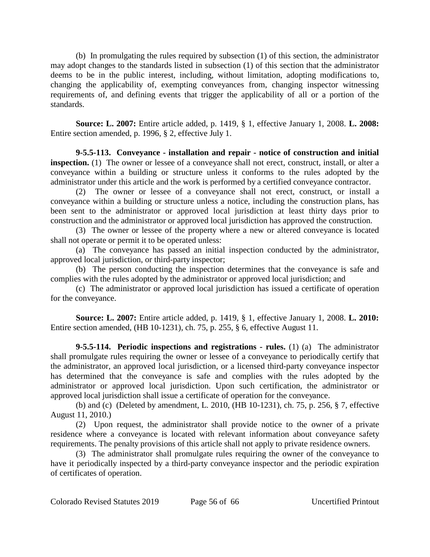(b) In promulgating the rules required by subsection (1) of this section, the administrator may adopt changes to the standards listed in subsection (1) of this section that the administrator deems to be in the public interest, including, without limitation, adopting modifications to, changing the applicability of, exempting conveyances from, changing inspector witnessing requirements of, and defining events that trigger the applicability of all or a portion of the standards.

**Source: L. 2007:** Entire article added, p. 1419, § 1, effective January 1, 2008. **L. 2008:** Entire section amended, p. 1996, § 2, effective July 1.

**9-5.5-113. Conveyance - installation and repair - notice of construction and initial inspection.** (1) The owner or lessee of a conveyance shall not erect, construct, install, or alter a conveyance within a building or structure unless it conforms to the rules adopted by the administrator under this article and the work is performed by a certified conveyance contractor.

(2) The owner or lessee of a conveyance shall not erect, construct, or install a conveyance within a building or structure unless a notice, including the construction plans, has been sent to the administrator or approved local jurisdiction at least thirty days prior to construction and the administrator or approved local jurisdiction has approved the construction.

(3) The owner or lessee of the property where a new or altered conveyance is located shall not operate or permit it to be operated unless:

(a) The conveyance has passed an initial inspection conducted by the administrator, approved local jurisdiction, or third-party inspector;

(b) The person conducting the inspection determines that the conveyance is safe and complies with the rules adopted by the administrator or approved local jurisdiction; and

(c) The administrator or approved local jurisdiction has issued a certificate of operation for the conveyance.

**Source: L. 2007:** Entire article added, p. 1419, § 1, effective January 1, 2008. **L. 2010:** Entire section amended, (HB 10-1231), ch. 75, p. 255, § 6, effective August 11.

**9-5.5-114. Periodic inspections and registrations - rules.** (1) (a) The administrator shall promulgate rules requiring the owner or lessee of a conveyance to periodically certify that the administrator, an approved local jurisdiction, or a licensed third-party conveyance inspector has determined that the conveyance is safe and complies with the rules adopted by the administrator or approved local jurisdiction. Upon such certification, the administrator or approved local jurisdiction shall issue a certificate of operation for the conveyance.

(b) and (c) (Deleted by amendment, L. 2010, (HB 10-1231), ch. 75, p. 256, § 7, effective August 11, 2010.)

(2) Upon request, the administrator shall provide notice to the owner of a private residence where a conveyance is located with relevant information about conveyance safety requirements. The penalty provisions of this article shall not apply to private residence owners.

(3) The administrator shall promulgate rules requiring the owner of the conveyance to have it periodically inspected by a third-party conveyance inspector and the periodic expiration of certificates of operation.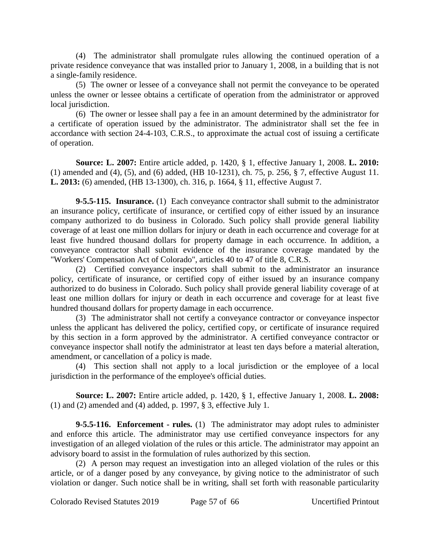(4) The administrator shall promulgate rules allowing the continued operation of a private residence conveyance that was installed prior to January 1, 2008, in a building that is not a single-family residence.

(5) The owner or lessee of a conveyance shall not permit the conveyance to be operated unless the owner or lessee obtains a certificate of operation from the administrator or approved local jurisdiction.

(6) The owner or lessee shall pay a fee in an amount determined by the administrator for a certificate of operation issued by the administrator. The administrator shall set the fee in accordance with section 24-4-103, C.R.S., to approximate the actual cost of issuing a certificate of operation.

**Source: L. 2007:** Entire article added, p. 1420, § 1, effective January 1, 2008. **L. 2010:** (1) amended and (4), (5), and (6) added, (HB 10-1231), ch. 75, p. 256, § 7, effective August 11. **L. 2013:** (6) amended, (HB 13-1300), ch. 316, p. 1664, § 11, effective August 7.

**9-5.5-115. Insurance.** (1) Each conveyance contractor shall submit to the administrator an insurance policy, certificate of insurance, or certified copy of either issued by an insurance company authorized to do business in Colorado. Such policy shall provide general liability coverage of at least one million dollars for injury or death in each occurrence and coverage for at least five hundred thousand dollars for property damage in each occurrence. In addition, a conveyance contractor shall submit evidence of the insurance coverage mandated by the "Workers' Compensation Act of Colorado", articles 40 to 47 of title 8, C.R.S.

(2) Certified conveyance inspectors shall submit to the administrator an insurance policy, certificate of insurance, or certified copy of either issued by an insurance company authorized to do business in Colorado. Such policy shall provide general liability coverage of at least one million dollars for injury or death in each occurrence and coverage for at least five hundred thousand dollars for property damage in each occurrence.

(3) The administrator shall not certify a conveyance contractor or conveyance inspector unless the applicant has delivered the policy, certified copy, or certificate of insurance required by this section in a form approved by the administrator. A certified conveyance contractor or conveyance inspector shall notify the administrator at least ten days before a material alteration, amendment, or cancellation of a policy is made.

(4) This section shall not apply to a local jurisdiction or the employee of a local jurisdiction in the performance of the employee's official duties.

**Source: L. 2007:** Entire article added, p. 1420, § 1, effective January 1, 2008. **L. 2008:** (1) and (2) amended and (4) added, p. 1997, § 3, effective July 1.

**9-5.5-116. Enforcement - rules.** (1) The administrator may adopt rules to administer and enforce this article. The administrator may use certified conveyance inspectors for any investigation of an alleged violation of the rules or this article. The administrator may appoint an advisory board to assist in the formulation of rules authorized by this section.

(2) A person may request an investigation into an alleged violation of the rules or this article, or of a danger posed by any conveyance, by giving notice to the administrator of such violation or danger. Such notice shall be in writing, shall set forth with reasonable particularity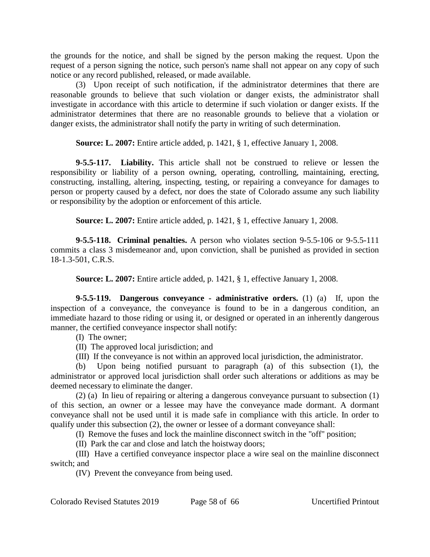the grounds for the notice, and shall be signed by the person making the request. Upon the request of a person signing the notice, such person's name shall not appear on any copy of such notice or any record published, released, or made available.

(3) Upon receipt of such notification, if the administrator determines that there are reasonable grounds to believe that such violation or danger exists, the administrator shall investigate in accordance with this article to determine if such violation or danger exists. If the administrator determines that there are no reasonable grounds to believe that a violation or danger exists, the administrator shall notify the party in writing of such determination.

**Source: L. 2007:** Entire article added, p. 1421, § 1, effective January 1, 2008.

**9-5.5-117. Liability.** This article shall not be construed to relieve or lessen the responsibility or liability of a person owning, operating, controlling, maintaining, erecting, constructing, installing, altering, inspecting, testing, or repairing a conveyance for damages to person or property caused by a defect, nor does the state of Colorado assume any such liability or responsibility by the adoption or enforcement of this article.

**Source: L. 2007:** Entire article added, p. 1421, § 1, effective January 1, 2008.

**9-5.5-118. Criminal penalties.** A person who violates section 9-5.5-106 or 9-5.5-111 commits a class 3 misdemeanor and, upon conviction, shall be punished as provided in section 18-1.3-501, C.R.S.

**Source: L. 2007:** Entire article added, p. 1421, § 1, effective January 1, 2008.

**9-5.5-119. Dangerous conveyance - administrative orders.** (1) (a) If, upon the inspection of a conveyance, the conveyance is found to be in a dangerous condition, an immediate hazard to those riding or using it, or designed or operated in an inherently dangerous manner, the certified conveyance inspector shall notify:

- (I) The owner;
- (II) The approved local jurisdiction; and
- (III) If the conveyance is not within an approved local jurisdiction, the administrator.

(b) Upon being notified pursuant to paragraph (a) of this subsection (1), the administrator or approved local jurisdiction shall order such alterations or additions as may be deemed necessary to eliminate the danger.

(2) (a) In lieu of repairing or altering a dangerous conveyance pursuant to subsection (1) of this section, an owner or a lessee may have the conveyance made dormant. A dormant conveyance shall not be used until it is made safe in compliance with this article. In order to qualify under this subsection (2), the owner or lessee of a dormant conveyance shall:

(I) Remove the fuses and lock the mainline disconnect switch in the "off" position;

(II) Park the car and close and latch the hoistway doors;

(III) Have a certified conveyance inspector place a wire seal on the mainline disconnect switch; and

(IV) Prevent the conveyance from being used.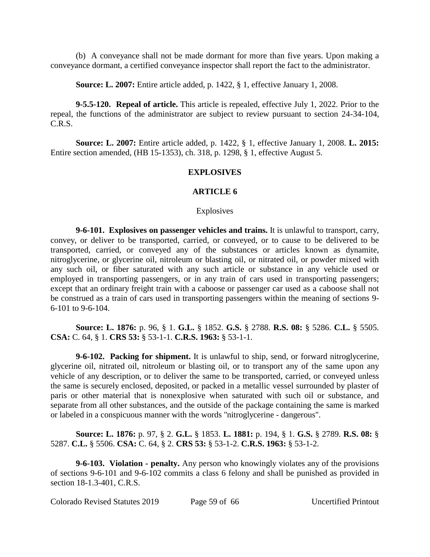(b) A conveyance shall not be made dormant for more than five years. Upon making a conveyance dormant, a certified conveyance inspector shall report the fact to the administrator.

**Source: L. 2007:** Entire article added, p. 1422, § 1, effective January 1, 2008.

**9-5.5-120. Repeal of article.** This article is repealed, effective July 1, 2022. Prior to the repeal, the functions of the administrator are subject to review pursuant to section 24-34-104, C.R.S.

**Source: L. 2007:** Entire article added, p. 1422, § 1, effective January 1, 2008. **L. 2015:** Entire section amended, (HB 15-1353), ch. 318, p. 1298, § 1, effective August 5.

## **EXPLOSIVES**

## **ARTICLE 6**

**Explosives** 

**9-6-101. Explosives on passenger vehicles and trains.** It is unlawful to transport, carry, convey, or deliver to be transported, carried, or conveyed, or to cause to be delivered to be transported, carried, or conveyed any of the substances or articles known as dynamite, nitroglycerine, or glycerine oil, nitroleum or blasting oil, or nitrated oil, or powder mixed with any such oil, or fiber saturated with any such article or substance in any vehicle used or employed in transporting passengers, or in any train of cars used in transporting passengers; except that an ordinary freight train with a caboose or passenger car used as a caboose shall not be construed as a train of cars used in transporting passengers within the meaning of sections 9- 6-101 to 9-6-104.

**Source: L. 1876:** p. 96, § 1. **G.L.** § 1852. **G.S.** § 2788. **R.S. 08:** § 5286. **C.L.** § 5505. **CSA:** C. 64, § 1. **CRS 53:** § 53-1-1. **C.R.S. 1963:** § 53-1-1.

**9-6-102. Packing for shipment.** It is unlawful to ship, send, or forward nitroglycerine, glycerine oil, nitrated oil, nitroleum or blasting oil, or to transport any of the same upon any vehicle of any description, or to deliver the same to be transported, carried, or conveyed unless the same is securely enclosed, deposited, or packed in a metallic vessel surrounded by plaster of paris or other material that is nonexplosive when saturated with such oil or substance, and separate from all other substances, and the outside of the package containing the same is marked or labeled in a conspicuous manner with the words "nitroglycerine - dangerous".

**Source: L. 1876:** p. 97, § 2. **G.L.** § 1853. **L. 1881:** p. 194, § 1. **G.S.** § 2789. **R.S. 08:** § 5287. **C.L.** § 5506. **CSA:** C. 64, § 2. **CRS 53:** § 53-1-2. **C.R.S. 1963:** § 53-1-2.

**9-6-103. Violation - penalty.** Any person who knowingly violates any of the provisions of sections 9-6-101 and 9-6-102 commits a class 6 felony and shall be punished as provided in section 18-1.3-401, C.R.S.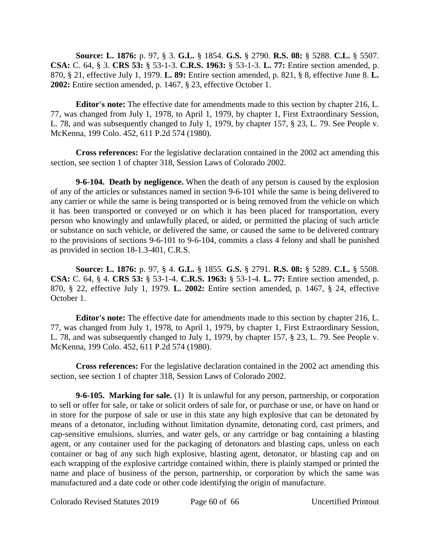**Source: L. 1876:** p. 97, § 3. **G.L.** § 1854. **G.S.** § 2790. **R.S. 08:** § 5288. **C.L.** § 5507. **CSA:** C. 64, § 3. **CRS 53:** § 53-1-3. **C.R.S. 1963:** § 53-1-3. **L. 77:** Entire section amended, p. 870, § 21, effective July 1, 1979. **L. 89:** Entire section amended, p. 821, § 8, effective June 8. **L. 2002:** Entire section amended, p. 1467, § 23, effective October 1.

**Editor's note:** The effective date for amendments made to this section by chapter 216, L. 77, was changed from July 1, 1978, to April 1, 1979, by chapter 1, First Extraordinary Session, L. 78, and was subsequently changed to July 1, 1979, by chapter 157, § 23, L. 79. See People v. McKenna, 199 Colo. 452, 611 P.2d 574 (1980).

**Cross references:** For the legislative declaration contained in the 2002 act amending this section, see section 1 of chapter 318, Session Laws of Colorado 2002.

**9-6-104. Death by negligence.** When the death of any person is caused by the explosion of any of the articles or substances named in section 9-6-101 while the same is being delivered to any carrier or while the same is being transported or is being removed from the vehicle on which it has been transported or conveyed or on which it has been placed for transportation, every person who knowingly and unlawfully placed, or aided, or permitted the placing of such article or substance on such vehicle, or delivered the same, or caused the same to be delivered contrary to the provisions of sections 9-6-101 to 9-6-104, commits a class 4 felony and shall be punished as provided in section 18-1.3-401, C.R.S.

**Source: L. 1876:** p. 97, § 4. **G.L.** § 1855. **G.S.** § 2791. **R.S. 08:** § 5289. **C.L.** § 5508. **CSA:** C. 64, § 4. **CRS 53:** § 53-1-4. **C.R.S. 1963:** § 53-1-4. **L. 77:** Entire section amended, p. 870, § 22, effective July 1, 1979. **L. 2002:** Entire section amended, p. 1467, § 24, effective October 1.

**Editor's note:** The effective date for amendments made to this section by chapter 216, L. 77, was changed from July 1, 1978, to April 1, 1979, by chapter 1, First Extraordinary Session, L. 78, and was subsequently changed to July 1, 1979, by chapter 157, § 23, L. 79. See People v. McKenna, 199 Colo. 452, 611 P.2d 574 (1980).

**Cross references:** For the legislative declaration contained in the 2002 act amending this section, see section 1 of chapter 318, Session Laws of Colorado 2002.

**9-6-105. Marking for sale.** (1) It is unlawful for any person, partnership, or corporation to sell or offer for sale, or take or solicit orders of sale for, or purchase or use, or have on hand or in store for the purpose of sale or use in this state any high explosive that can be detonated by means of a detonator, including without limitation dynamite, detonating cord, cast primers, and cap-sensitive emulsions, slurries, and water gels, or any cartridge or bag containing a blasting agent, or any container used for the packaging of detonators and blasting caps, unless on each container or bag of any such high explosive, blasting agent, detonator, or blasting cap and on each wrapping of the explosive cartridge contained within, there is plainly stamped or printed the name and place of business of the person, partnership, or corporation by which the same was manufactured and a date code or other code identifying the origin of manufacture.

Colorado Revised Statutes 2019 Page 60 of 66 Uncertified Printout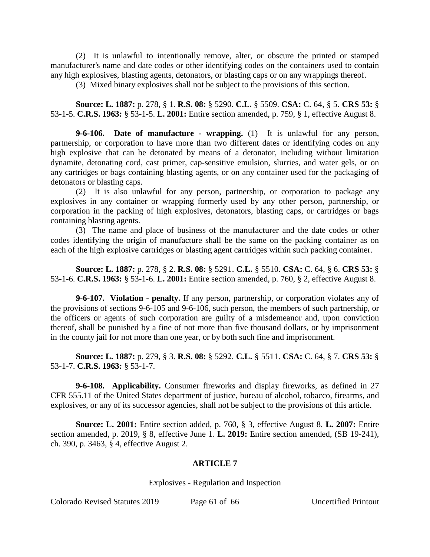(2) It is unlawful to intentionally remove, alter, or obscure the printed or stamped manufacturer's name and date codes or other identifying codes on the containers used to contain any high explosives, blasting agents, detonators, or blasting caps or on any wrappings thereof.

(3) Mixed binary explosives shall not be subject to the provisions of this section.

**Source: L. 1887:** p. 278, § 1. **R.S. 08:** § 5290. **C.L.** § 5509. **CSA:** C. 64, § 5. **CRS 53:** § 53-1-5. **C.R.S. 1963:** § 53-1-5. **L. 2001:** Entire section amended, p. 759, § 1, effective August 8.

**9-6-106. Date of manufacture - wrapping.** (1) It is unlawful for any person, partnership, or corporation to have more than two different dates or identifying codes on any high explosive that can be detonated by means of a detonator, including without limitation dynamite, detonating cord, cast primer, cap-sensitive emulsion, slurries, and water gels, or on any cartridges or bags containing blasting agents, or on any container used for the packaging of detonators or blasting caps.

(2) It is also unlawful for any person, partnership, or corporation to package any explosives in any container or wrapping formerly used by any other person, partnership, or corporation in the packing of high explosives, detonators, blasting caps, or cartridges or bags containing blasting agents.

(3) The name and place of business of the manufacturer and the date codes or other codes identifying the origin of manufacture shall be the same on the packing container as on each of the high explosive cartridges or blasting agent cartridges within such packing container.

**Source: L. 1887:** p. 278, § 2. **R.S. 08:** § 5291. **C.L.** § 5510. **CSA:** C. 64, § 6. **CRS 53:** § 53-1-6. **C.R.S. 1963:** § 53-1-6. **L. 2001:** Entire section amended, p. 760, § 2, effective August 8.

**9-6-107. Violation - penalty.** If any person, partnership, or corporation violates any of the provisions of sections 9-6-105 and 9-6-106, such person, the members of such partnership, or the officers or agents of such corporation are guilty of a misdemeanor and, upon conviction thereof, shall be punished by a fine of not more than five thousand dollars, or by imprisonment in the county jail for not more than one year, or by both such fine and imprisonment.

**Source: L. 1887:** p. 279, § 3. **R.S. 08:** § 5292. **C.L.** § 5511. **CSA:** C. 64, § 7. **CRS 53:** § 53-1-7. **C.R.S. 1963:** § 53-1-7.

**9-6-108. Applicability.** Consumer fireworks and display fireworks, as defined in 27 CFR 555.11 of the United States department of justice, bureau of alcohol, tobacco, firearms, and explosives, or any of its successor agencies, shall not be subject to the provisions of this article.

**Source: L. 2001:** Entire section added, p. 760, § 3, effective August 8. **L. 2007:** Entire section amended, p. 2019, § 8, effective June 1. **L. 2019:** Entire section amended, (SB 19-241), ch. 390, p. 3463, § 4, effective August 2.

# **ARTICLE 7**

Explosives - Regulation and Inspection

Colorado Revised Statutes 2019 Page 61 of 66 Uncertified Printout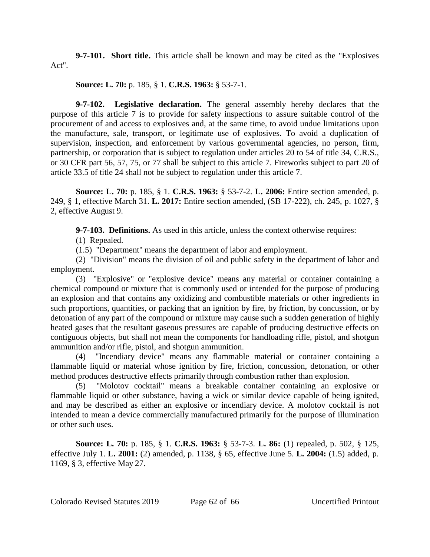**9-7-101. Short title.** This article shall be known and may be cited as the "Explosives Act".

**Source: L. 70:** p. 185, § 1. **C.R.S. 1963:** § 53-7-1.

**9-7-102. Legislative declaration.** The general assembly hereby declares that the purpose of this article 7 is to provide for safety inspections to assure suitable control of the procurement of and access to explosives and, at the same time, to avoid undue limitations upon the manufacture, sale, transport, or legitimate use of explosives. To avoid a duplication of supervision, inspection, and enforcement by various governmental agencies, no person, firm, partnership, or corporation that is subject to regulation under articles 20 to 54 of title 34, C.R.S., or 30 CFR part 56, 57, 75, or 77 shall be subject to this article 7. Fireworks subject to part 20 of article 33.5 of title 24 shall not be subject to regulation under this article 7.

**Source: L. 70:** p. 185, § 1. **C.R.S. 1963:** § 53-7-2. **L. 2006:** Entire section amended, p. 249, § 1, effective March 31. **L. 2017:** Entire section amended, (SB 17-222), ch. 245, p. 1027, § 2, effective August 9.

**9-7-103. Definitions.** As used in this article, unless the context otherwise requires:

(1) Repealed.

(1.5) "Department" means the department of labor and employment.

(2) "Division" means the division of oil and public safety in the department of labor and employment.

(3) "Explosive" or "explosive device" means any material or container containing a chemical compound or mixture that is commonly used or intended for the purpose of producing an explosion and that contains any oxidizing and combustible materials or other ingredients in such proportions, quantities, or packing that an ignition by fire, by friction, by concussion, or by detonation of any part of the compound or mixture may cause such a sudden generation of highly heated gases that the resultant gaseous pressures are capable of producing destructive effects on contiguous objects, but shall not mean the components for handloading rifle, pistol, and shotgun ammunition and/or rifle, pistol, and shotgun ammunition.

(4) "Incendiary device" means any flammable material or container containing a flammable liquid or material whose ignition by fire, friction, concussion, detonation, or other method produces destructive effects primarily through combustion rather than explosion.

(5) "Molotov cocktail" means a breakable container containing an explosive or flammable liquid or other substance, having a wick or similar device capable of being ignited, and may be described as either an explosive or incendiary device. A molotov cocktail is not intended to mean a device commercially manufactured primarily for the purpose of illumination or other such uses.

**Source: L. 70:** p. 185, § 1. **C.R.S. 1963:** § 53-7-3. **L. 86:** (1) repealed, p. 502, § 125, effective July 1. **L. 2001:** (2) amended, p. 1138, § 65, effective June 5. **L. 2004:** (1.5) added, p. 1169, § 3, effective May 27.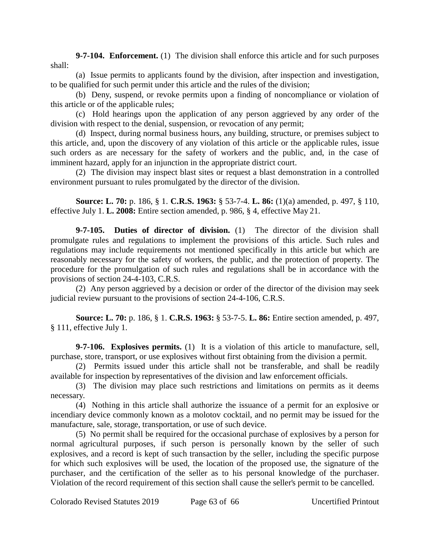**9-7-104. Enforcement.** (1) The division shall enforce this article and for such purposes shall:

(a) Issue permits to applicants found by the division, after inspection and investigation, to be qualified for such permit under this article and the rules of the division;

(b) Deny, suspend, or revoke permits upon a finding of noncompliance or violation of this article or of the applicable rules;

(c) Hold hearings upon the application of any person aggrieved by any order of the division with respect to the denial, suspension, or revocation of any permit;

(d) Inspect, during normal business hours, any building, structure, or premises subject to this article, and, upon the discovery of any violation of this article or the applicable rules, issue such orders as are necessary for the safety of workers and the public, and, in the case of imminent hazard, apply for an injunction in the appropriate district court.

(2) The division may inspect blast sites or request a blast demonstration in a controlled environment pursuant to rules promulgated by the director of the division.

**Source: L. 70:** p. 186, § 1. **C.R.S. 1963:** § 53-7-4. **L. 86:** (1)(a) amended, p. 497, § 110, effective July 1. **L. 2008:** Entire section amended, p. 986, § 4, effective May 21.

**9-7-105. Duties of director of division.** (1) The director of the division shall promulgate rules and regulations to implement the provisions of this article. Such rules and regulations may include requirements not mentioned specifically in this article but which are reasonably necessary for the safety of workers, the public, and the protection of property. The procedure for the promulgation of such rules and regulations shall be in accordance with the provisions of section 24-4-103, C.R.S.

(2) Any person aggrieved by a decision or order of the director of the division may seek judicial review pursuant to the provisions of section 24-4-106, C.R.S.

**Source: L. 70:** p. 186, § 1. **C.R.S. 1963:** § 53-7-5. **L. 86:** Entire section amended, p. 497, § 111, effective July 1.

**9-7-106. Explosives permits.** (1) It is a violation of this article to manufacture, sell, purchase, store, transport, or use explosives without first obtaining from the division a permit.

(2) Permits issued under this article shall not be transferable, and shall be readily available for inspection by representatives of the division and law enforcement officials.

(3) The division may place such restrictions and limitations on permits as it deems necessary.

(4) Nothing in this article shall authorize the issuance of a permit for an explosive or incendiary device commonly known as a molotov cocktail, and no permit may be issued for the manufacture, sale, storage, transportation, or use of such device.

(5) No permit shall be required for the occasional purchase of explosives by a person for normal agricultural purposes, if such person is personally known by the seller of such explosives, and a record is kept of such transaction by the seller, including the specific purpose for which such explosives will be used, the location of the proposed use, the signature of the purchaser, and the certification of the seller as to his personal knowledge of the purchaser. Violation of the record requirement of this section shall cause the seller's permit to be cancelled.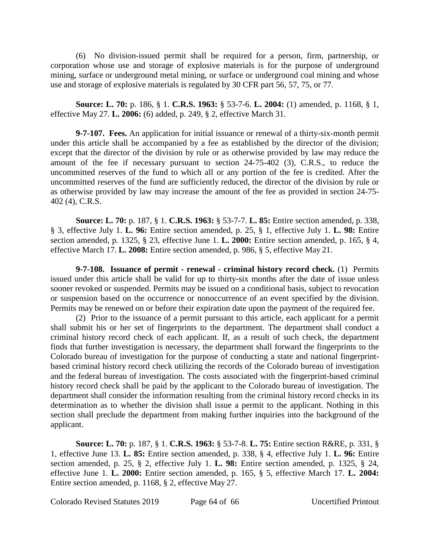(6) No division-issued permit shall be required for a person, firm, partnership, or corporation whose use and storage of explosive materials is for the purpose of underground mining, surface or underground metal mining, or surface or underground coal mining and whose use and storage of explosive materials is regulated by 30 CFR part 56, 57, 75, or 77.

**Source: L. 70:** p. 186, § 1. **C.R.S. 1963:** § 53-7-6. **L. 2004:** (1) amended, p. 1168, § 1, effective May 27. **L. 2006:** (6) added, p. 249, § 2, effective March 31.

**9-7-107. Fees.** An application for initial issuance or renewal of a thirty-six-month permit under this article shall be accompanied by a fee as established by the director of the division; except that the director of the division by rule or as otherwise provided by law may reduce the amount of the fee if necessary pursuant to section 24-75-402 (3), C.R.S., to reduce the uncommitted reserves of the fund to which all or any portion of the fee is credited. After the uncommitted reserves of the fund are sufficiently reduced, the director of the division by rule or as otherwise provided by law may increase the amount of the fee as provided in section 24-75- 402 (4), C.R.S.

**Source: L. 70:** p. 187, § 1. **C.R.S. 1963:** § 53-7-7. **L. 85:** Entire section amended, p. 338, § 3, effective July 1. **L. 96:** Entire section amended, p. 25, § 1, effective July 1. **L. 98:** Entire section amended, p. 1325, § 23, effective June 1. **L. 2000:** Entire section amended, p. 165, § 4, effective March 17. **L. 2008:** Entire section amended, p. 986, § 5, effective May 21.

**9-7-108. Issuance of permit - renewal - criminal history record check.** (1) Permits issued under this article shall be valid for up to thirty-six months after the date of issue unless sooner revoked or suspended. Permits may be issued on a conditional basis, subject to revocation or suspension based on the occurrence or nonoccurrence of an event specified by the division. Permits may be renewed on or before their expiration date upon the payment of the required fee.

(2) Prior to the issuance of a permit pursuant to this article, each applicant for a permit shall submit his or her set of fingerprints to the department. The department shall conduct a criminal history record check of each applicant. If, as a result of such check, the department finds that further investigation is necessary, the department shall forward the fingerprints to the Colorado bureau of investigation for the purpose of conducting a state and national fingerprintbased criminal history record check utilizing the records of the Colorado bureau of investigation and the federal bureau of investigation. The costs associated with the fingerprint-based criminal history record check shall be paid by the applicant to the Colorado bureau of investigation. The department shall consider the information resulting from the criminal history record checks in its determination as to whether the division shall issue a permit to the applicant. Nothing in this section shall preclude the department from making further inquiries into the background of the applicant.

**Source: L. 70:** p. 187, § 1. **C.R.S. 1963:** § 53-7-8. **L. 75:** Entire section R&RE, p. 331, § 1, effective June 13. **L. 85:** Entire section amended, p. 338, § 4, effective July 1. **L. 96:** Entire section amended, p. 25, § 2, effective July 1. **L. 98:** Entire section amended, p. 1325, § 24, effective June 1. **L. 2000:** Entire section amended, p. 165, § 5, effective March 17. **L. 2004:** Entire section amended, p. 1168, § 2, effective May 27.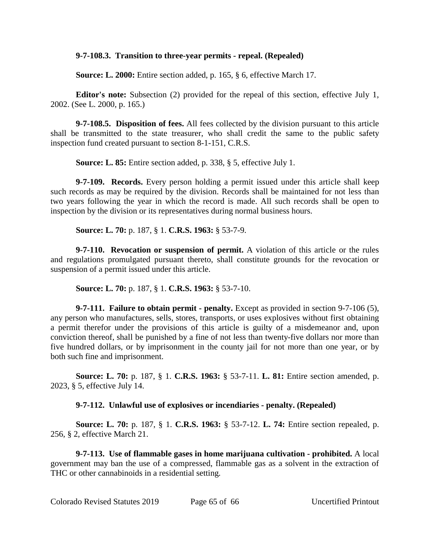## **9-7-108.3. Transition to three-year permits - repeal. (Repealed)**

**Source: L. 2000:** Entire section added, p. 165, § 6, effective March 17.

**Editor's note:** Subsection (2) provided for the repeal of this section, effective July 1, 2002. (See L. 2000, p. 165.)

**9-7-108.5. Disposition of fees.** All fees collected by the division pursuant to this article shall be transmitted to the state treasurer, who shall credit the same to the public safety inspection fund created pursuant to section 8-1-151, C.R.S.

**Source: L. 85:** Entire section added, p. 338, § 5, effective July 1.

**9-7-109. Records.** Every person holding a permit issued under this article shall keep such records as may be required by the division. Records shall be maintained for not less than two years following the year in which the record is made. All such records shall be open to inspection by the division or its representatives during normal business hours.

**Source: L. 70:** p. 187, § 1. **C.R.S. 1963:** § 53-7-9.

**9-7-110. Revocation or suspension of permit.** A violation of this article or the rules and regulations promulgated pursuant thereto, shall constitute grounds for the revocation or suspension of a permit issued under this article.

**Source: L. 70:** p. 187, § 1. **C.R.S. 1963:** § 53-7-10.

**9-7-111. Failure to obtain permit - penalty.** Except as provided in section 9-7-106 (5), any person who manufactures, sells, stores, transports, or uses explosives without first obtaining a permit therefor under the provisions of this article is guilty of a misdemeanor and, upon conviction thereof, shall be punished by a fine of not less than twenty-five dollars nor more than five hundred dollars, or by imprisonment in the county jail for not more than one year, or by both such fine and imprisonment.

**Source: L. 70:** p. 187, § 1. **C.R.S. 1963:** § 53-7-11. **L. 81:** Entire section amended, p. 2023, § 5, effective July 14.

**9-7-112. Unlawful use of explosives or incendiaries - penalty. (Repealed)**

**Source: L. 70:** p. 187, § 1. **C.R.S. 1963:** § 53-7-12. **L. 74:** Entire section repealed, p. 256, § 2, effective March 21.

**9-7-113. Use of flammable gases in home marijuana cultivation - prohibited.** A local government may ban the use of a compressed, flammable gas as a solvent in the extraction of THC or other cannabinoids in a residential setting.